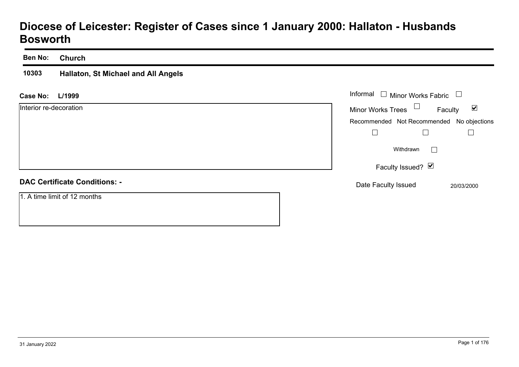# **Diocese of Leicester: Register of Cases since 1 January 2000: Hallaton - Husbands Bosworth**

#### **Ben No:Church**

#### **10303 Hallaton, St Michael and All Angels**

#### **L/1999Case No:**

| <b>Case No:</b><br>L/1999            | Informal<br>$\Box$<br><b>Minor Works Fabric</b>             |
|--------------------------------------|-------------------------------------------------------------|
| Interior re-decoration               | <b>Minor Works Trees</b><br>$\blacktriangledown$<br>Faculty |
|                                      | Recommended Not Recommended No objections                   |
|                                      |                                                             |
|                                      | Withdrawn                                                   |
|                                      | Faculty Issued? Ø                                           |
| <b>DAC Certificate Conditions: -</b> | Date Faculty Issued<br>20/03/2000                           |
| 1. A time limit of 12 months         |                                                             |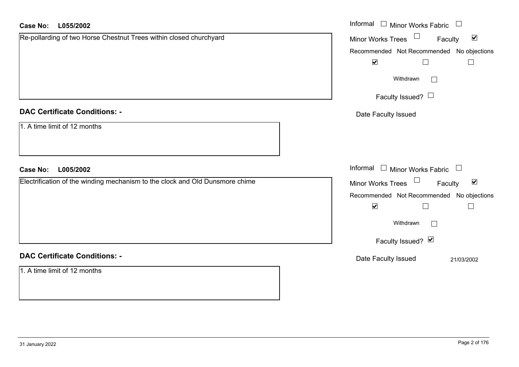| <b>Case No:</b><br>L055/2002                                                 | Informal $\Box$ Minor Works Fabric $\Box$                   |
|------------------------------------------------------------------------------|-------------------------------------------------------------|
| Re-pollarding of two Horse Chestnut Trees within closed churchyard           | Minor Works Trees<br>$\blacktriangledown$<br>Faculty        |
|                                                                              | Recommended Not Recommended No objections                   |
|                                                                              | $\blacktriangledown$<br>$\Box$<br>$\Box$                    |
|                                                                              | Withdrawn                                                   |
|                                                                              | Faculty Issued? $\Box$                                      |
| <b>DAC Certificate Conditions: -</b>                                         | Date Faculty Issued                                         |
| 1. A time limit of 12 months                                                 |                                                             |
| <b>Case No:</b><br>L005/2002                                                 | Informal $\Box$ Minor Works Fabric $\Box$                   |
| Electrification of the winding mechanism to the clock and Old Dunsmore chime | Minor Works Trees $\Box$<br>$\blacktriangledown$<br>Faculty |
|                                                                              | Recommended Not Recommended No objections                   |
|                                                                              | $\blacktriangledown$<br>$\Box$<br>$\overline{\phantom{a}}$  |
|                                                                              | Withdrawn                                                   |
|                                                                              | Faculty Issued? Ø                                           |
| <b>DAC Certificate Conditions: -</b>                                         | Date Faculty Issued<br>21/03/2002                           |
| 1. A time limit of 12 months                                                 |                                                             |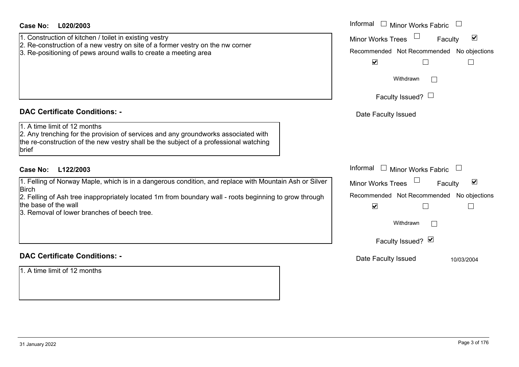| <b>Case No:</b><br>L020/2003<br>1. Construction of kitchen / toilet in existing vestry<br>2. Re-construction of a new vestry on site of a former vestry on the nw corner<br>3. Re-positioning of pews around walls to create a meeting area                                                                               | Informal I Minor Works Fabric<br>$\blacktriangledown$<br><b>Minor Works Trees</b><br>Faculty<br>Recommended Not Recommended No objections<br>$\blacktriangleright$<br>Withdrawn<br>Faculty Issued? $\Box$   |
|---------------------------------------------------------------------------------------------------------------------------------------------------------------------------------------------------------------------------------------------------------------------------------------------------------------------------|-------------------------------------------------------------------------------------------------------------------------------------------------------------------------------------------------------------|
| <b>DAC Certificate Conditions: -</b><br>1. A time limit of 12 months<br>2. Any trenching for the provision of services and any groundworks associated with<br>the re-construction of the new vestry shall be the subject of a professional watching<br>brief                                                              | Date Faculty Issued                                                                                                                                                                                         |
| L122/2003<br>Case No:<br>1. Felling of Norway Maple, which is in a dangerous condition, and replace with Mountain Ash or Silver<br>Birch<br>2. Felling of Ash tree inappropriately located 1m from boundary wall - roots beginning to grow through<br>the base of the wall<br>3. Removal of lower branches of beech tree. | Informal $\Box$ Minor Works Fabric<br>$\Box$<br>$\blacktriangledown$<br>Minor Works Trees<br>Faculty<br>Recommended Not Recommended No objections<br>$\blacktriangledown$<br>Withdrawn<br>Faculty Issued? Ø |
| <b>DAC Certificate Conditions: -</b><br>1. A time limit of 12 months                                                                                                                                                                                                                                                      | Date Faculty Issued<br>10/03/2004                                                                                                                                                                           |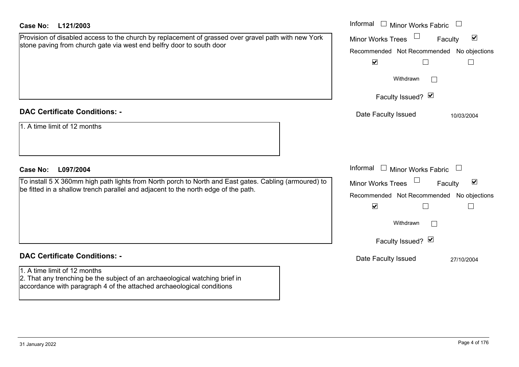| <b>Case No:</b><br>L121/2003                                                                                                                                                                                                 | Informal $\Box$ Minor Works Fabric                                                                                                                                                                                                                       |
|------------------------------------------------------------------------------------------------------------------------------------------------------------------------------------------------------------------------------|----------------------------------------------------------------------------------------------------------------------------------------------------------------------------------------------------------------------------------------------------------|
| Provision of disabled access to the church by replacement of grassed over gravel path with new York<br>stone paving from church gate via west end belfry door to south door                                                  | $\blacktriangledown$<br><b>Minor Works Trees</b><br>Faculty<br>No objections<br>Recommended Not Recommended<br>$\blacktriangledown$<br>$\Box$<br>$\Box$                                                                                                  |
|                                                                                                                                                                                                                              | Withdrawn<br>Faculty Issued? Ø                                                                                                                                                                                                                           |
| <b>DAC Certificate Conditions: -</b><br>1. A time limit of 12 months                                                                                                                                                         | Date Faculty Issued<br>10/03/2004                                                                                                                                                                                                                        |
| L097/2004<br><b>Case No:</b><br>To install 5 X 360mm high path lights from North porch to North and East gates. Cabling (armoured) to<br>be fitted in a shallow trench parallel and adjacent to the north edge of the path.  | Informal $\Box$ Minor Works Fabric $\Box$<br>$\blacktriangledown$<br><b>Minor Works Trees</b><br>Faculty<br>Recommended Not Recommended<br>No objections<br>$\blacktriangledown$<br>$\Box$<br>$\overline{\phantom{a}}$<br>Withdrawn<br>Faculty Issued? Ø |
| <b>DAC Certificate Conditions: -</b><br>1. A time limit of 12 months<br>2. That any trenching be the subject of an archaeological watching brief in<br>accordance with paragraph 4 of the attached archaeological conditions | Date Faculty Issued<br>27/10/2004                                                                                                                                                                                                                        |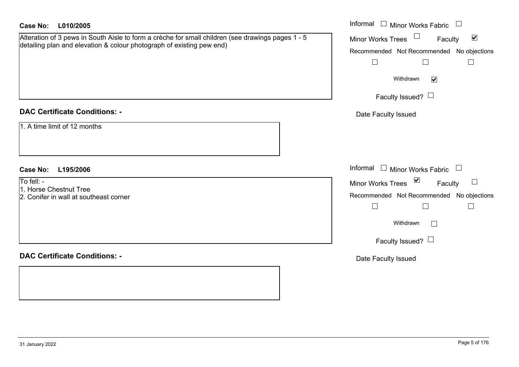| <b>Case No:</b><br>L010/2005                                                                                                                                               | Informal $\square$<br><b>Minor Works Fabric</b><br>$\Box$                                                                                                                                      |
|----------------------------------------------------------------------------------------------------------------------------------------------------------------------------|------------------------------------------------------------------------------------------------------------------------------------------------------------------------------------------------|
| Alteration of 3 pews in South Aisle to form a crèche for small children (see drawings pages 1 - 5<br>detailing plan and elevation & colour photograph of existing pew end) | Minor Works Trees<br>$\blacktriangledown$<br>Faculty<br>Recommended Not Recommended No objections<br>$\Box$<br>$\Box$<br>$\Box$<br>Withdrawn<br>$\blacktriangledown$<br>Faculty Issued? $\Box$ |
| <b>DAC Certificate Conditions: -</b>                                                                                                                                       | Date Faculty Issued                                                                                                                                                                            |
| 1. A time limit of 12 months                                                                                                                                               |                                                                                                                                                                                                |
| <b>Case No:</b><br>L195/2006                                                                                                                                               | Informal $\Box$ Minor Works Fabric $\Box$                                                                                                                                                      |
| To fell: -<br>1. Horse Chestnut Tree<br>2. Conifer in wall at southeast corner                                                                                             | Minor Works Trees <b>▽</b><br>$\Box$<br>Faculty<br>Recommended Not Recommended No objections                                                                                                   |
|                                                                                                                                                                            | $\Box$<br>$\Box$<br>$\Box$<br>Withdrawn<br>$\Box$<br>Faculty Issued? $\Box$                                                                                                                    |
| <b>DAC Certificate Conditions: -</b>                                                                                                                                       | Date Faculty Issued                                                                                                                                                                            |
|                                                                                                                                                                            |                                                                                                                                                                                                |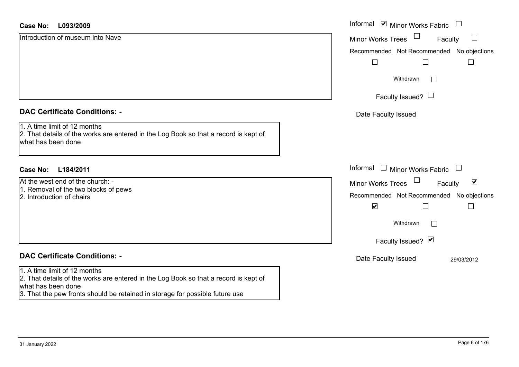| <b>Case No:</b><br>L093/2009                                                                                                               | Informal ⊠ Minor Works Fabric                               |
|--------------------------------------------------------------------------------------------------------------------------------------------|-------------------------------------------------------------|
| Introduction of museum into Nave                                                                                                           | $\Box$<br><b>Minor Works Trees</b><br>Faculty               |
|                                                                                                                                            | Recommended Not Recommended No objections                   |
|                                                                                                                                            |                                                             |
|                                                                                                                                            | Withdrawn<br>$\perp$                                        |
|                                                                                                                                            | Faculty Issued? $\Box$                                      |
| <b>DAC Certificate Conditions: -</b>                                                                                                       | Date Faculty Issued                                         |
| 1. A time limit of 12 months<br>2. That details of the works are entered in the Log Book so that a record is kept of<br>what has been done |                                                             |
| L184/2011<br>Case No:                                                                                                                      | Informal $\Box$ Minor Works Fabric                          |
| At the west end of the church: -                                                                                                           | $\blacktriangledown$<br>Faculty<br><b>Minor Works Trees</b> |
| 1. Removal of the two blocks of pews<br>2. Introduction of chairs                                                                          | Recommended Not Recommended No objections                   |
|                                                                                                                                            | $\blacktriangledown$                                        |
|                                                                                                                                            | Withdrawn<br>$\Box$                                         |
|                                                                                                                                            | Faculty Issued? Ø                                           |
| <b>DAC Certificate Conditions: -</b>                                                                                                       | Date Faculty Issued<br>29/03/2012                           |
| 1. A time limit of 12 months                                                                                                               |                                                             |
| 2. That details of the works are entered in the Log Book so that a record is kept of<br>what has been done                                 |                                                             |
| 3. That the pew fronts should be retained in storage for possible future use                                                               |                                                             |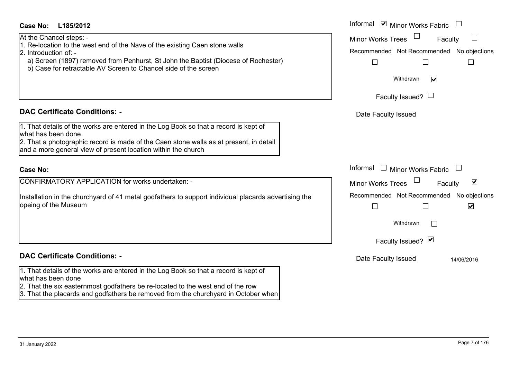# At the Chancel steps: -

**DAC Certificate Conditions: -**

2. Introduction of: -

what has been done

**Case No:**

opeing of the Museum

### Informal  $\vee$  Minor Works Fabric  $\Box$ **L185/2012Case No:** Informal Faculty  $\Box$ Minor Works Trees Recommended Not Recommended No objections  $\Box$  $\Box$  $\Box$ Withdrawn $\overline{\mathbf{v}}$ Faculty Issued?  $\Box$ Date Faculty Issued  $\Box$  Minor Works Fabric  $\Box$  Informal  $\overline{\mathsf{v}}$ Faculty Minor Works Trees Recommended Not Recommended No objections Installation in the churchyard of 41 metal godfathers to support individual placards advertising the  $\Box$  $\Box$  $\overline{\mathbf{v}}$ Withdrawn $\Box$ Faculty Issued? Ø

#### **DAC Certificate Conditions: -**

1. That details of the works are entered in the Log Book so that a record is kept of what has been done

2. That the six easternmost godfathers be re-located to the west end of the row

1. Re-location to the west end of the Nave of the existing Caen stone walls

b) Case for retractable AV Screen to Chancel side of the screen

and a more general view of present location within the church

CONFIRMATORY APPLICATION for works undertaken: -

a) Screen (1897) removed from Penhurst, St John the Baptist (Diocese of Rochester)

1. That details of the works are entered in the Log Book so that a record is kept of

2. That a photographic record is made of the Caen stone walls as at present, in detail

3. That the placards and godfathers be removed from the churchyard in October when

Date Faculty Issued 14/06/2016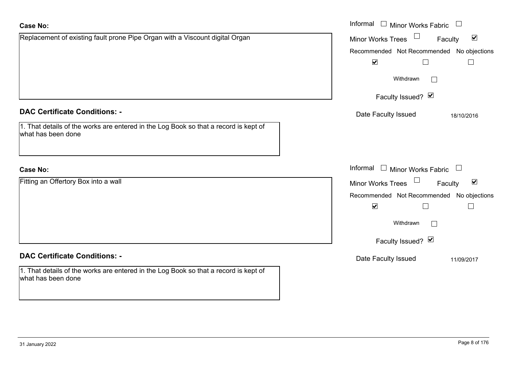| <b>Case No:</b>                                                                                            | Informal $\Box$ Minor Works Fabric $\Box$            |
|------------------------------------------------------------------------------------------------------------|------------------------------------------------------|
| Replacement of existing fault prone Pipe Organ with a Viscount digital Organ                               | Minor Works Trees<br>$\blacktriangledown$<br>Faculty |
|                                                                                                            | Recommended Not Recommended No objections            |
|                                                                                                            | $\blacktriangledown$                                 |
|                                                                                                            | Withdrawn<br>П                                       |
|                                                                                                            | Faculty Issued? $\vee$                               |
| <b>DAC Certificate Conditions: -</b>                                                                       | Date Faculty Issued<br>18/10/2016                    |
| 1. That details of the works are entered in the Log Book so that a record is kept of<br>what has been done |                                                      |
| <b>Case No:</b>                                                                                            | Informal $\Box$ Minor Works Fabric $\Box$            |
| Fitting an Offertory Box into a wall                                                                       | Minor Works Trees<br>$\blacktriangledown$<br>Faculty |
|                                                                                                            | Recommended Not Recommended No objections            |
|                                                                                                            | $\blacktriangledown$                                 |
|                                                                                                            | Withdrawn<br>Г                                       |
|                                                                                                            | Faculty Issued? $\blacksquare$                       |
| <b>DAC Certificate Conditions: -</b>                                                                       | Date Faculty Issued<br>11/09/2017                    |
| 1. That details of the works are entered in the Log Book so that a record is kept of<br>what has been done |                                                      |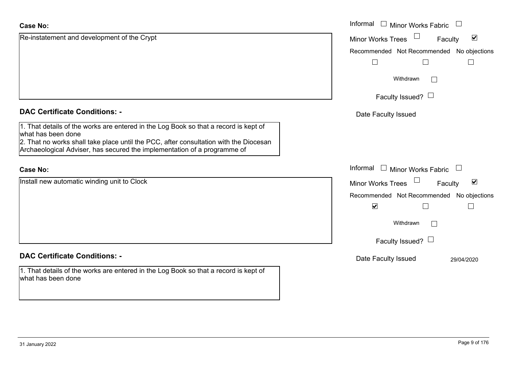| <b>Case No:</b>                                                                                                                                                   | Informal $\square$<br>Minor Works Fabric                    |
|-------------------------------------------------------------------------------------------------------------------------------------------------------------------|-------------------------------------------------------------|
| Re-instatement and development of the Crypt                                                                                                                       | $\blacktriangledown$<br><b>Minor Works Trees</b><br>Faculty |
|                                                                                                                                                                   | Recommended Not Recommended No objections                   |
|                                                                                                                                                                   |                                                             |
|                                                                                                                                                                   | Withdrawn                                                   |
|                                                                                                                                                                   | Faculty Issued? $\Box$                                      |
| <b>DAC Certificate Conditions: -</b>                                                                                                                              | Date Faculty Issued                                         |
| 1. That details of the works are entered in the Log Book so that a record is kept of<br>what has been done                                                        |                                                             |
| 2. That no works shall take place until the PCC, after consultation with the Diocesan<br>Archaeological Adviser, has secured the implementation of a programme of |                                                             |
| <b>Case No:</b>                                                                                                                                                   | Informal $\square$<br>Minor Works Fabric $\Box$             |
| Install new automatic winding unit to Clock                                                                                                                       | Minor Works Trees<br>$\blacktriangledown$<br>Faculty        |
|                                                                                                                                                                   | Recommended Not Recommended No objections                   |
|                                                                                                                                                                   | $\blacktriangledown$                                        |
|                                                                                                                                                                   | Withdrawn<br>$\Box$                                         |
|                                                                                                                                                                   | Faculty Issued? $\Box$                                      |
| <b>DAC Certificate Conditions: -</b>                                                                                                                              | Date Faculty Issued<br>29/04/2020                           |
| 1. That details of the works are entered in the Log Book so that a record is kept of<br>what has been done                                                        |                                                             |
|                                                                                                                                                                   |                                                             |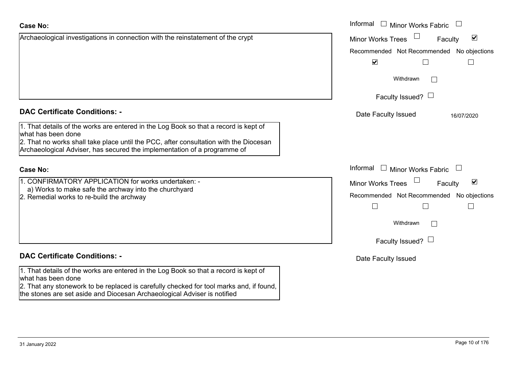| <b>Case No:</b>                                                                                                                                                                                                                                                                 | Informal I Minor Works Fabric                               |  |  |
|---------------------------------------------------------------------------------------------------------------------------------------------------------------------------------------------------------------------------------------------------------------------------------|-------------------------------------------------------------|--|--|
| Archaeological investigations in connection with the reinstatement of the crypt                                                                                                                                                                                                 | $\blacktriangledown$<br><b>Minor Works Trees</b><br>Faculty |  |  |
|                                                                                                                                                                                                                                                                                 | Recommended Not Recommended No objections                   |  |  |
|                                                                                                                                                                                                                                                                                 | $\blacktriangledown$<br>$\Box$                              |  |  |
|                                                                                                                                                                                                                                                                                 | Withdrawn                                                   |  |  |
|                                                                                                                                                                                                                                                                                 | Faculty Issued? $\Box$                                      |  |  |
| <b>DAC Certificate Conditions: -</b>                                                                                                                                                                                                                                            | Date Faculty Issued<br>16/07/2020                           |  |  |
| 1. That details of the works are entered in the Log Book so that a record is kept of<br>what has been done<br>2. That no works shall take place until the PCC, after consultation with the Diocesan<br>Archaeological Adviser, has secured the implementation of a programme of |                                                             |  |  |
| <b>Case No:</b>                                                                                                                                                                                                                                                                 | Informal<br><b>Minor Works Fabric</b>                       |  |  |
| 1. CONFIRMATORY APPLICATION for works undertaken: -                                                                                                                                                                                                                             | $\blacktriangledown$<br><b>Minor Works Trees</b><br>Faculty |  |  |
| a) Works to make safe the archway into the churchyard<br>2. Remedial works to re-build the archway                                                                                                                                                                              | Recommended Not Recommended No objections                   |  |  |
|                                                                                                                                                                                                                                                                                 | $\perp$                                                     |  |  |
|                                                                                                                                                                                                                                                                                 | Withdrawn                                                   |  |  |
|                                                                                                                                                                                                                                                                                 | Faculty Issued? $\Box$                                      |  |  |
| <b>DAC Certificate Conditions: -</b>                                                                                                                                                                                                                                            | Date Faculty Issued                                         |  |  |
| 1. That details of the works are entered in the Log Book so that a record is kept of<br>what has been done                                                                                                                                                                      |                                                             |  |  |
| 2. That any stonework to be replaced is carefully checked for tool marks and, if found,<br>the stones are set aside and Diocesan Archaeological Adviser is notified                                                                                                             |                                                             |  |  |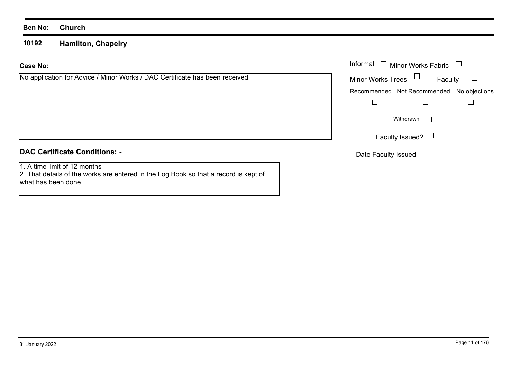**10192Hamilton, Chapelry**

#### **Case No:**

## **DAC Certificate Conditions: -**

1. A time limit of 12 months

 2. That details of the works are entered in the Log Book so that a record is kept of what has been done

|                                                                     | Informal $\Box$ Minor Works Fabric $\Box$     |
|---------------------------------------------------------------------|-----------------------------------------------|
| cation for Advice / Minor Works / DAC Certificate has been received | Faculty $\square$<br>Minor Works Trees $\Box$ |
|                                                                     | Recommended Not Recommended No objections     |
|                                                                     |                                               |
|                                                                     | Withdrawn                                     |
|                                                                     | Faculty Issued? $\Box$                        |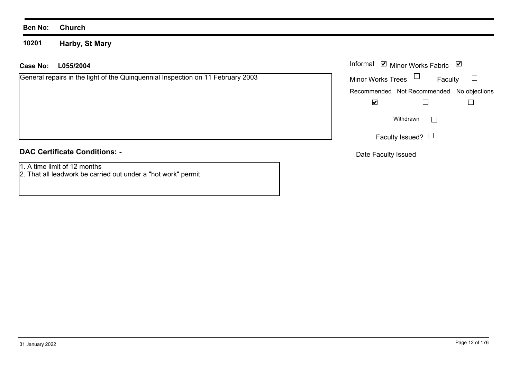**10201Harby, St Mary**

#### **L055/2004Case No:** Informal

General repairs in the light of the Quinquennial Inspection on 11 February 2003

#### **DAC Certificate Conditions: -**

1. A time limit of 12 months

2. That all leadwork be carried out under a "hot work" permit

| Informal ⊠ Minor Works Fabric |                 |         | ⊻                                         |
|-------------------------------|-----------------|---------|-------------------------------------------|
| <b>Minor Works Trees</b>      | $\Box$          | Faculty |                                           |
|                               |                 |         | Recommended Not Recommended No objections |
|                               |                 |         |                                           |
|                               | Withdrawn       |         |                                           |
|                               | Faculty Issued? |         |                                           |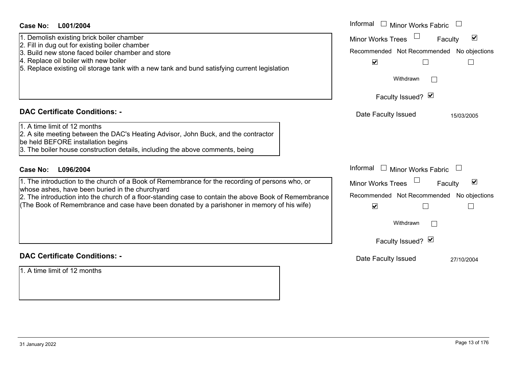| Case No:<br>L001/2004                                                                                                                                                                                                                                                                                                                                     | Informal $\Box$ Minor Works Fabric $\Box$                                                                                                                                       |
|-----------------------------------------------------------------------------------------------------------------------------------------------------------------------------------------------------------------------------------------------------------------------------------------------------------------------------------------------------------|---------------------------------------------------------------------------------------------------------------------------------------------------------------------------------|
| 1. Demolish existing brick boiler chamber<br>2. Fill in dug out for existing boiler chamber<br>3. Build new stone faced boiler chamber and store<br>4. Replace oil boiler with new boiler<br>5. Replace existing oil storage tank with a new tank and bund satisfying current legislation                                                                 | $\overline{\mathbf{v}}$<br><b>Minor Works Trees</b><br>Faculty<br>Recommended Not Recommended No objections<br>$\blacktriangledown$<br>$\Box$<br>Withdrawn<br>Faculty Issued? Ø |
| <b>DAC Certificate Conditions: -</b>                                                                                                                                                                                                                                                                                                                      | Date Faculty Issued<br>15/03/2005                                                                                                                                               |
| 1. A time limit of 12 months<br>2. A site meeting between the DAC's Heating Advisor, John Buck, and the contractor<br>be held BEFORE installation begins<br>3. The boiler house construction details, including the above comments, being                                                                                                                 |                                                                                                                                                                                 |
| L096/2004<br>Case No:                                                                                                                                                                                                                                                                                                                                     | Informal □ Minor Works Fabric                                                                                                                                                   |
| 1. The introduction to the church of a Book of Remembrance for the recording of persons who, or<br>whose ashes, have been buried in the churchyard<br>2. The introduction into the church of a floor-standing case to contain the above Book of Remembrance<br>(The Book of Remembrance and case have been donated by a parishoner in memory of his wife) | $\blacktriangledown$<br><b>Minor Works Trees</b><br>Faculty<br>Recommended Not Recommended No objections<br>$\blacktriangledown$<br>⊔<br>$\mathbf{I}$                           |
|                                                                                                                                                                                                                                                                                                                                                           | Withdrawn<br>Faculty Issued? Ø                                                                                                                                                  |
| <b>DAC Certificate Conditions: -</b>                                                                                                                                                                                                                                                                                                                      | Date Faculty Issued<br>27/10/2004                                                                                                                                               |
| 1. A time limit of 12 months                                                                                                                                                                                                                                                                                                                              |                                                                                                                                                                                 |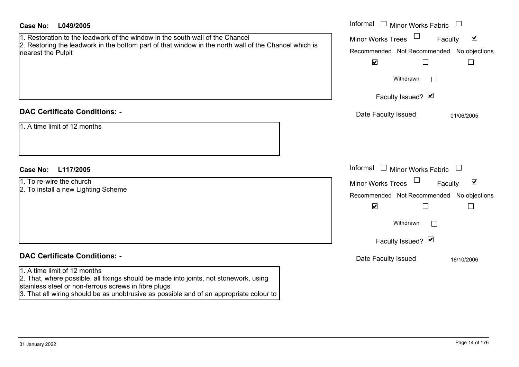| Case No:<br>L049/2005                                                                                                                                                                                                                                                    | Informal $\Box$ Minor Works Fabric                                                                                                                                      |
|--------------------------------------------------------------------------------------------------------------------------------------------------------------------------------------------------------------------------------------------------------------------------|-------------------------------------------------------------------------------------------------------------------------------------------------------------------------|
| 1. Restoration to the leadwork of the window in the south wall of the Chancel<br>2. Restoring the leadwork in the bottom part of that window in the north wall of the Chancel which is<br>nearest the Pulpit                                                             | $\blacktriangledown$<br><b>Minor Works Trees</b><br>Faculty<br>Recommended Not Recommended No objections<br>$\blacktriangledown$<br>$\Box$<br>$\mathbb{L}$              |
|                                                                                                                                                                                                                                                                          | Withdrawn                                                                                                                                                               |
|                                                                                                                                                                                                                                                                          | Faculty Issued? Ø                                                                                                                                                       |
| <b>DAC Certificate Conditions: -</b><br>1. A time limit of 12 months                                                                                                                                                                                                     | Date Faculty Issued<br>01/06/2005                                                                                                                                       |
| <b>Case No:</b><br>L117/2005                                                                                                                                                                                                                                             | Informal<br>$\Box$<br><b>Minor Works Fabric</b>                                                                                                                         |
| 1. To re-wire the church<br>2. To install a new Lighting Scheme                                                                                                                                                                                                          | $\blacktriangledown$<br><b>Minor Works Trees</b><br>Faculty<br>Recommended Not Recommended No objections<br>$\blacktriangledown$<br>П<br>Withdrawn<br>Faculty Issued? Ø |
| <b>DAC Certificate Conditions: -</b>                                                                                                                                                                                                                                     | Date Faculty Issued<br>18/10/2006                                                                                                                                       |
| 1. A time limit of 12 months<br>2. That, where possible, all fixings should be made into joints, not stonework, using<br>stainless steel or non-ferrous screws in fibre plugs<br>3. That all wiring should be as unobtrusive as possible and of an appropriate colour to |                                                                                                                                                                         |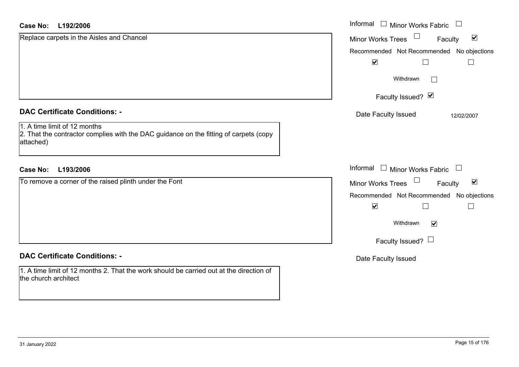| <b>Case No:</b><br>L192/2006                                                                                                       | Informal<br>$\Box$<br><b>Minor Works Fabric</b>                       |
|------------------------------------------------------------------------------------------------------------------------------------|-----------------------------------------------------------------------|
| Replace carpets in the Aisles and Chancel                                                                                          | $\Box$<br>$\blacktriangledown$<br>Minor Works Trees<br>Faculty        |
|                                                                                                                                    | Recommended Not Recommended No objections                             |
|                                                                                                                                    | $\blacktriangledown$<br>$\Box$                                        |
|                                                                                                                                    | Withdrawn<br>$\mathbb{R}^n$                                           |
|                                                                                                                                    | Faculty Issued? Ø                                                     |
| <b>DAC Certificate Conditions: -</b>                                                                                               | Date Faculty Issued<br>12/02/2007                                     |
| 1. A time limit of 12 months<br>2. That the contractor complies with the DAC guidance on the fitting of carpets (copy<br>attached) |                                                                       |
| L193/2006<br><b>Case No:</b>                                                                                                       | Informal<br>$\Box$ Minor Works Fabric<br>$\overline{\phantom{a}}$     |
| To remove a corner of the raised plinth under the Font                                                                             | $\blacktriangledown$<br>$\Box$<br><b>Minor Works Trees</b><br>Faculty |
|                                                                                                                                    | Recommended Not Recommended No objections                             |
|                                                                                                                                    | $\blacktriangledown$<br>$\overline{\phantom{a}}$<br>$\Box$            |
|                                                                                                                                    | Withdrawn<br>$\blacktriangledown$                                     |
|                                                                                                                                    | Faculty Issued? $\Box$                                                |
| <b>DAC Certificate Conditions: -</b>                                                                                               | Date Faculty Issued                                                   |
| 1. A time limit of 12 months 2. That the work should be carried out at the direction of<br>the church architect                    |                                                                       |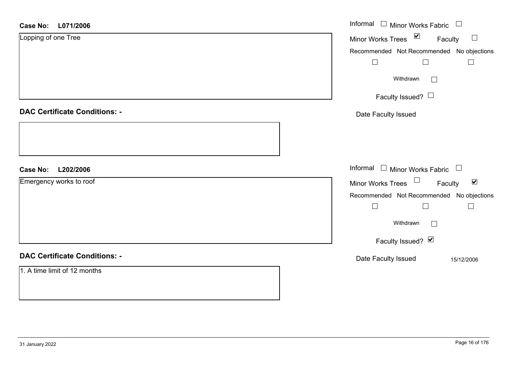| L071/2006<br><b>Case No:</b>         | Informal □ Minor Works Fabric □                          |
|--------------------------------------|----------------------------------------------------------|
| Lopping of one Tree                  | Minor Works Trees <b>■</b><br>Faculty<br>$\Box$          |
|                                      | Recommended Not Recommended No objections                |
|                                      | $\Box$<br>$\Box$<br>$\Box$                               |
|                                      | Withdrawn<br>$\Box$                                      |
|                                      | Faculty Issued?                                          |
| <b>DAC Certificate Conditions: -</b> | Date Faculty Issued                                      |
|                                      |                                                          |
|                                      |                                                          |
| L202/2006<br><b>Case No:</b>         | Informal $\Box$ Minor Works Fabric $\Box$                |
| Emergency works to roof              | Minor Works Trees $\Box$ Faculty<br>$\blacktriangledown$ |
|                                      | Recommended Not Recommended No objections                |
|                                      | $\Box$<br>$\Box$<br>$\Box$                               |
|                                      | Withdrawn<br>$\Box$                                      |
|                                      | Faculty Issued? Ø                                        |
| <b>DAC Certificate Conditions: -</b> | Date Faculty Issued<br>15/12/2006                        |
| 1. A time limit of 12 months         |                                                          |
|                                      |                                                          |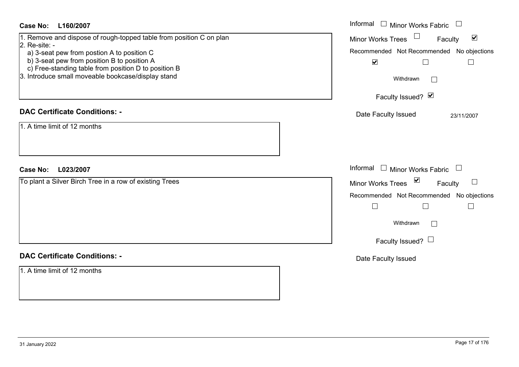| Case No:<br>L160/2007                                                                                                                                                                                                                                                                             | Informal $\Box$ Minor Works Fabric                                                                                                                                                                                           |
|---------------------------------------------------------------------------------------------------------------------------------------------------------------------------------------------------------------------------------------------------------------------------------------------------|------------------------------------------------------------------------------------------------------------------------------------------------------------------------------------------------------------------------------|
| 1. Remove and dispose of rough-topped table from position C on plan<br>$2.$ Re-site: -<br>a) 3-seat pew from postion A to position C<br>b) 3-seat pew from position B to position A<br>c) Free-standing table from position D to position B<br>3. Introduce small moveable bookcase/display stand | $\Box$<br>$\blacktriangledown$<br><b>Minor Works Trees</b><br>Faculty<br>Recommended Not Recommended No objections<br>$\blacktriangledown$<br>$\Box$<br>$\Box$<br>Withdrawn<br>$\overline{\phantom{0}}$<br>Faculty Issued? Ø |
| <b>DAC Certificate Conditions: -</b><br>1. A time limit of 12 months                                                                                                                                                                                                                              | Date Faculty Issued<br>23/11/2007                                                                                                                                                                                            |
|                                                                                                                                                                                                                                                                                                   |                                                                                                                                                                                                                              |
| Case No:<br>L023/2007                                                                                                                                                                                                                                                                             | Informal $\Box$ Minor Works Fabric                                                                                                                                                                                           |
| To plant a Silver Birch Tree in a row of existing Trees                                                                                                                                                                                                                                           | Minor Works Trees ⊠<br>Faculty<br>Recommended Not Recommended No objections<br>$\Box$<br>$\Box$<br>$\Box$<br>Withdrawn<br>$\Box$<br>Faculty Issued? $\Box$                                                                   |
| <b>DAC Certificate Conditions: -</b>                                                                                                                                                                                                                                                              | Date Faculty Issued                                                                                                                                                                                                          |
| 1. A time limit of 12 months                                                                                                                                                                                                                                                                      |                                                                                                                                                                                                                              |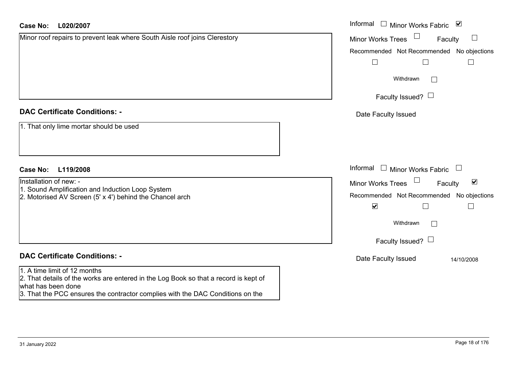| <b>Case No:</b><br>L020/2007                                                                                                                                                                                                 | Informal<br>□ Minor Works Fabric $\blacksquare$             |
|------------------------------------------------------------------------------------------------------------------------------------------------------------------------------------------------------------------------------|-------------------------------------------------------------|
| Minor roof repairs to prevent leak where South Aisle roof joins Clerestory                                                                                                                                                   | <b>Minor Works Trees</b><br>Faculty<br>$\Box$               |
|                                                                                                                                                                                                                              | Recommended Not Recommended No objections                   |
|                                                                                                                                                                                                                              | $\Box$<br>$\Box$                                            |
|                                                                                                                                                                                                                              | Withdrawn<br>$\mathbb{R}^n$                                 |
|                                                                                                                                                                                                                              | Faculty Issued? $\Box$                                      |
| <b>DAC Certificate Conditions: -</b>                                                                                                                                                                                         | Date Faculty Issued                                         |
| 1. That only lime mortar should be used                                                                                                                                                                                      |                                                             |
| <b>Case No:</b><br>L119/2008                                                                                                                                                                                                 | Informal<br>$\Box$ Minor Works Fabric                       |
| Installation of new: -                                                                                                                                                                                                       | $\blacktriangledown$<br><b>Minor Works Trees</b><br>Faculty |
| 1. Sound Amplification and Induction Loop System<br>2. Motorised AV Screen (5' x 4') behind the Chancel arch                                                                                                                 | Recommended Not Recommended No objections                   |
|                                                                                                                                                                                                                              | $\blacktriangledown$<br>$\Box$<br>$\overline{\phantom{a}}$  |
|                                                                                                                                                                                                                              | Withdrawn                                                   |
|                                                                                                                                                                                                                              | Faculty Issued? $\Box$                                      |
| <b>DAC Certificate Conditions: -</b>                                                                                                                                                                                         | Date Faculty Issued<br>14/10/2008                           |
| 1. A time limit of 12 months<br>2. That details of the works are entered in the Log Book so that a record is kept of<br>what has been done<br>3. That the PCC ensures the contractor complies with the DAC Conditions on the |                                                             |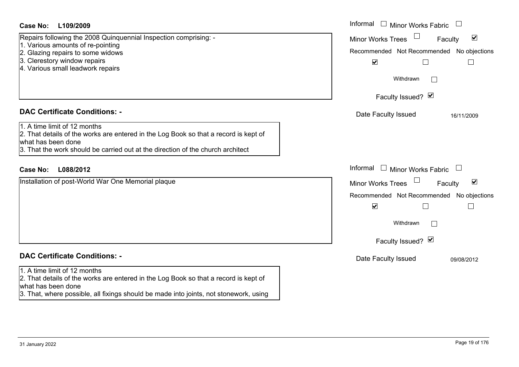| <b>Case No:</b><br>L109/2009                                                                                                                                                                                                                                          | Informal<br>$\mathbf{1}$<br><b>Minor Works Fabric</b><br>$\begin{array}{c} \hline \end{array}$                                                                                                    |
|-----------------------------------------------------------------------------------------------------------------------------------------------------------------------------------------------------------------------------------------------------------------------|---------------------------------------------------------------------------------------------------------------------------------------------------------------------------------------------------|
| Repairs following the 2008 Quinquennial Inspection comprising: -<br>1. Various amounts of re-pointing<br>2. Glazing repairs to some widows<br>3. Clerestory window repairs<br>4. Various small leadwork repairs                                                       | $\blacktriangledown$<br><b>Minor Works Trees</b><br>Faculty<br>Recommended Not Recommended No objections<br>$\blacktriangledown$<br>$\Box$<br>$\Box$<br>Withdrawn<br>$\Box$                       |
|                                                                                                                                                                                                                                                                       | Faculty Issued? M                                                                                                                                                                                 |
| <b>DAC Certificate Conditions: -</b><br>1. A time limit of 12 months<br>2. That details of the works are entered in the Log Book so that a record is kept of<br>what has been done<br>3. That the work should be carried out at the direction of the church architect | Date Faculty Issued<br>16/11/2009                                                                                                                                                                 |
| <b>Case No:</b><br>L088/2012                                                                                                                                                                                                                                          | Informal<br>$\mathbb{R}^n$<br>Minor Works Fabric<br>$\Box$                                                                                                                                        |
| Installation of post-World War One Memorial plaque                                                                                                                                                                                                                    | $\blacktriangledown$<br><b>Minor Works Trees</b><br>Faculty<br>Recommended Not Recommended No objections<br>$\blacktriangledown$<br>$\Box$<br>$\Box$<br>Withdrawn<br>$\perp$<br>Faculty Issued? Ø |
| <b>DAC Certificate Conditions: -</b>                                                                                                                                                                                                                                  | Date Faculty Issued<br>09/08/2012                                                                                                                                                                 |
| 1. A time limit of 12 months<br>2. That details of the works are entered in the Log Book so that a record is kept of<br>what has been done<br>3. That, where possible, all fixings should be made into joints, not stonework, using                                   |                                                                                                                                                                                                   |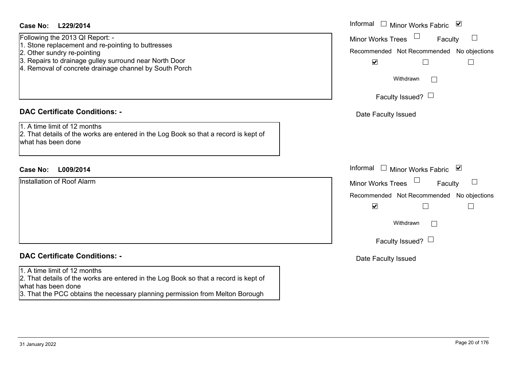#### **L229/2014Case No:** Informal

- 1. Stone replacement and re-pointing to buttresses
- 2. Other sundry re-pointing
- 3. Repairs to drainage gulley surround near North Door
- 4. Removal of concrete drainage channel by South Porch

#### **DAC Certificate Conditions: -**

#### **DAC Certificate Conditions: -**

#### 1. A time limit of 12 months

2. That details of the works are entered in the Log Book so that a record is kept of what has been done

3. That the PCC obtains the necessary planning permission from Melton Borough

| <b>Case No:</b><br>L229/2014                                                                                                                                                                                                             | Informal □ Minor Works Fabric ⊠                                                                                                                                     |
|------------------------------------------------------------------------------------------------------------------------------------------------------------------------------------------------------------------------------------------|---------------------------------------------------------------------------------------------------------------------------------------------------------------------|
| Following the 2013 QI Report: -<br>1. Stone replacement and re-pointing to buttresses<br>2. Other sundry re-pointing<br>3. Repairs to drainage gulley surround near North Door<br>4. Removal of concrete drainage channel by South Porch | <b>Minor Works Trees</b><br>$\Box$<br>Faculty<br>Recommended Not Recommended No objections<br>$\blacktriangledown$<br>Withdrawn<br>$\Box$                           |
|                                                                                                                                                                                                                                          | Faculty Issued? $\Box$                                                                                                                                              |
| <b>DAC Certificate Conditions: -</b>                                                                                                                                                                                                     | Date Faculty Issued                                                                                                                                                 |
| 1. A time limit of 12 months<br>2. That details of the works are entered in the Log Book so that a record is kept of<br>what has been done                                                                                               |                                                                                                                                                                     |
| L009/2014<br><b>Case No:</b>                                                                                                                                                                                                             | Informal □ Minor Works Fabric ⊠                                                                                                                                     |
| <b>Installation of Roof Alarm</b>                                                                                                                                                                                                        | <b>Minor Works Trees</b><br>$\Box$<br>Faculty<br>Recommended Not Recommended No objections<br>$\blacktriangledown$<br>Withdrawn<br>$\Box$<br>Faculty Issued? $\Box$ |
| <b>DAC Certificate Conditions: -</b>                                                                                                                                                                                                     | Date Faculty Issued                                                                                                                                                 |
| 1. A time limit of 12 months                                                                                                                                                                                                             |                                                                                                                                                                     |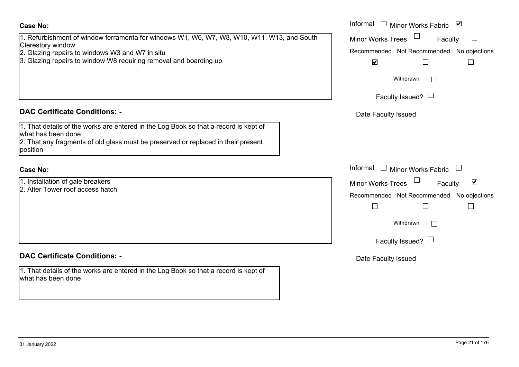31 January 2022 Page 21 of 176

# 1. Refurbishment of window ferramenta for windows W1, W6, W7, W8, W10, W11, W13, and South Clerestory window 2. Glazing repairs to windows W3 and W7 in situ 3. Glazing repairs to window W8 requiring removal and boarding up **Case No:**Informal

# **DAC Certificate Conditions: -**

1. That details of the works are entered in the Log Book so that a record is kept of what has been done

2. That any fragments of old glass must be preserved or replaced in their present position

#### **Case No:**

1. Installation of gale breakers 2. Alter Tower roof access hatch

# **DAC Certificate Conditions: -**

1. That details of the works are entered in the Log Book so that a record is kept of what has been done

|                                                                                               | Informal<br>$\mathbb{Z}$<br>Minor Works Fabric<br>⊻  |
|-----------------------------------------------------------------------------------------------|------------------------------------------------------|
| ishment of window ferramenta for windows W1, W6, W7, W8, W10, W11, W13, and South<br>y window | <b>Minor Works Trees</b><br>Faculty                  |
| g repairs to windows W3 and W7 in situ                                                        | Recommended Not Recommended No objections            |
| g repairs to window W8 requiring removal and boarding up                                      | $\blacktriangledown$                                 |
|                                                                                               | Withdrawn                                            |
|                                                                                               | Faculty Issued? $\Box$                               |
| rtificate Conditions: -                                                                       | Date Faculty Issued                                  |
| etails of the works are entered in the Log Book so that a record is kept of<br>been done      |                                                      |
| ny fragments of old glass must be preserved or replaced in their present                      |                                                      |
|                                                                                               | Informal $\square$<br>Minor Works Fabric             |
| ation of gale breakers                                                                        | $\blacktriangledown$<br>Minor Works Trees<br>Faculty |
| ower roof access hatch                                                                        | Recommended Not Recommended<br>No objections         |
|                                                                                               |                                                      |
|                                                                                               | Withdrawn                                            |
|                                                                                               | Faculty Issued? $\Box$                               |
| rtificate Conditions: -                                                                       | Date Faculty Issued                                  |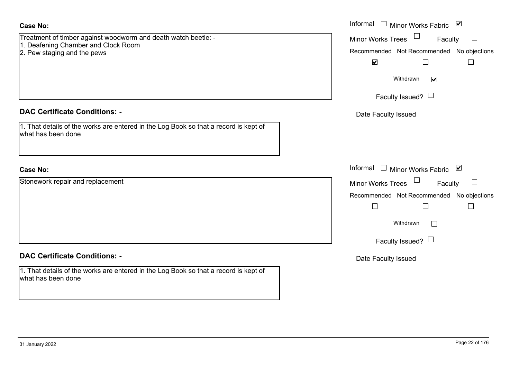| <b>Case No:</b>                                                                                                                      | Informal □ Minor Works Fabric ☑                                                                                                                                     |
|--------------------------------------------------------------------------------------------------------------------------------------|---------------------------------------------------------------------------------------------------------------------------------------------------------------------|
| Treatment of timber against woodworm and death watch beetle: -<br>1. Deafening Chamber and Clock Room<br>2. Pew staging and the pews | Minor Works Trees<br>Faculty<br>$\Box$<br>Recommended Not Recommended No objections<br>$\blacktriangleright$<br>$\Box$<br>$\Box$                                    |
|                                                                                                                                      | Withdrawn<br>$\blacktriangledown$<br>Faculty Issued? $\Box$                                                                                                         |
| <b>DAC Certificate Conditions: -</b>                                                                                                 | Date Faculty Issued                                                                                                                                                 |
| 1. That details of the works are entered in the Log Book so that a record is kept of<br>what has been done                           |                                                                                                                                                                     |
| <b>Case No:</b>                                                                                                                      | Informal $\Box$ Minor Works Fabric $\Box$                                                                                                                           |
| Stonework repair and replacement                                                                                                     | Minor Works Trees<br>Faculty<br>$\Box$<br>Recommended Not Recommended No objections<br>$\Box$<br>$\Box$<br>$\vert \ \ \vert$<br>Withdrawn<br>Faculty Issued? $\Box$ |
| <b>DAC Certificate Conditions: -</b>                                                                                                 | Date Faculty Issued                                                                                                                                                 |
| 1. That details of the works are entered in the Log Book so that a record is kept of<br>what has been done                           |                                                                                                                                                                     |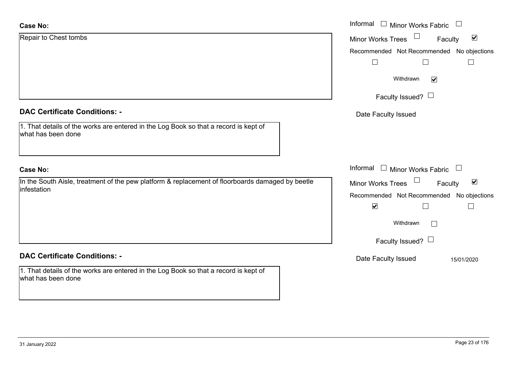| Case No:                                                                                                        | Informal $\Box$ Minor Works Fabric $\Box$                      |
|-----------------------------------------------------------------------------------------------------------------|----------------------------------------------------------------|
| Repair to Chest tombs                                                                                           | $\blacktriangledown$<br><b>Minor Works Trees</b><br>Faculty    |
|                                                                                                                 | Recommended Not Recommended No objections                      |
|                                                                                                                 | Г                                                              |
|                                                                                                                 | Withdrawn<br>$\blacktriangledown$                              |
|                                                                                                                 | Faculty Issued? $\Box$                                         |
| <b>DAC Certificate Conditions: -</b>                                                                            | Date Faculty Issued                                            |
| 1. That details of the works are entered in the Log Book so that a record is kept of<br>what has been done      |                                                                |
| <b>Case No:</b>                                                                                                 | Informal $\Box$ Minor Works Fabric $\Box$                      |
| In the South Aisle, treatment of the pew platform & replacement of floorboards damaged by beetle<br>infestation | $\Box$<br>$\blacktriangledown$<br>Minor Works Trees<br>Faculty |
|                                                                                                                 | Recommended Not Recommended No objections                      |
|                                                                                                                 | $\blacktriangledown$                                           |
|                                                                                                                 | Withdrawn                                                      |
|                                                                                                                 | Faculty Issued? $\Box$                                         |
| <b>DAC Certificate Conditions: -</b>                                                                            | Date Faculty Issued<br>15/01/2020                              |
| 1. That details of the works are entered in the Log Book so that a record is kept of<br>what has been done      |                                                                |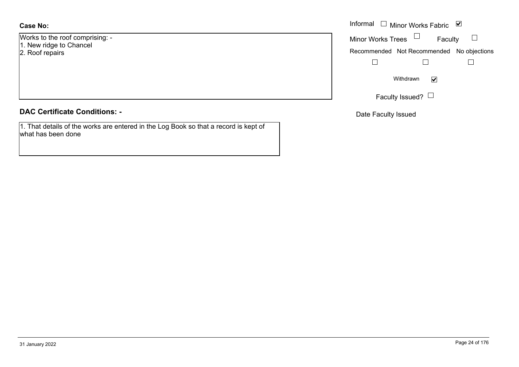#### **Case No:**

Works to the roof comprising: - 1. New ridge to Chancel 2. Roof repairs

|  | <b>DAC Certificate Conditions: -</b> |  |
|--|--------------------------------------|--|
|  |                                      |  |

1. That details of the works are entered in the Log Book so that a record is kept of what has been done

|                          | Informal $\Box$ Minor Works Fabric $\Box$ |
|--------------------------|-------------------------------------------|
| the roof comprising: -   | Minor Works Trees $\Box$<br>Faculty       |
| dge to Chancel<br>epairs | Recommended Not Recommended No objections |
|                          |                                           |
|                          | Withdrawn<br>$\blacktriangledown$         |
|                          | Faculty Issued? $\lfloor$                 |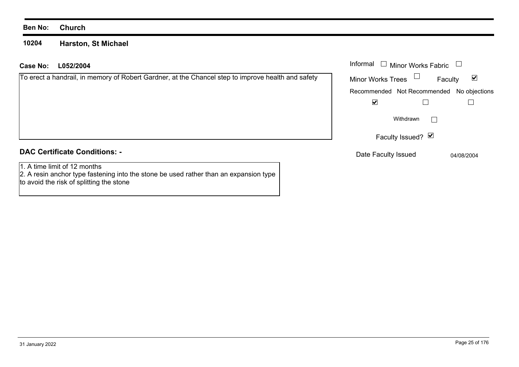#### **10204 Harston, St Michael**

| Case No:<br>L052/2004                                                                                                 | Informal<br>$\Box$ Minor Works Fabric              |
|-----------------------------------------------------------------------------------------------------------------------|----------------------------------------------------|
| To erect a handrail, in memory of Robert Gardner, at the Chancel step to improve health and safety                    | $\Box$<br><b>Minor Works Trees</b><br>☑<br>Faculty |
|                                                                                                                       | Recommended Not Recommended No objections          |
|                                                                                                                       | ☑                                                  |
|                                                                                                                       | Withdrawn                                          |
|                                                                                                                       | Faculty Issued? $\Box$                             |
| <b>DAC Certificate Conditions: -</b>                                                                                  | Date Faculty Issued<br>04/08/2004                  |
| 1. A time limit of 12 months<br>2. A resin anchor type fastening into the stone be used rather than an expansion type |                                                    |

to avoid the risk of splitting the stone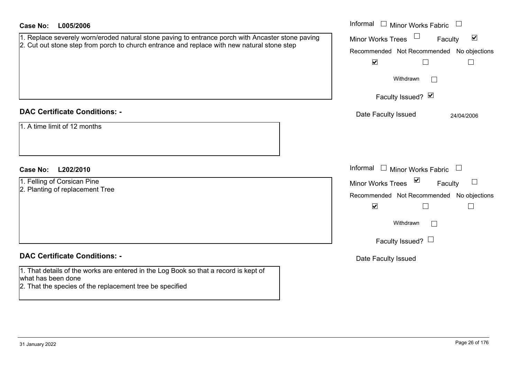| <b>Case No:</b><br>L005/2006                                                                                                                                                                                   | Informal $\Box$ Minor Works Fabric $\Box$                                                                                                                                                                                                           |
|----------------------------------------------------------------------------------------------------------------------------------------------------------------------------------------------------------------|-----------------------------------------------------------------------------------------------------------------------------------------------------------------------------------------------------------------------------------------------------|
| 1. Replace severely worn/eroded natural stone paving to entrance porch with Ancaster stone paving<br>2. Cut out stone step from porch to church entrance and replace with new natural stone step               | Minor Works Trees<br>$\blacktriangledown$<br>Faculty<br>Recommended Not Recommended No objections<br>$\blacktriangledown$<br>Withdrawn<br>$\Box$<br>Faculty Issued? Ø                                                                               |
| <b>DAC Certificate Conditions: -</b><br>1. A time limit of 12 months                                                                                                                                           | Date Faculty Issued<br>24/04/2006                                                                                                                                                                                                                   |
| <b>Case No:</b><br>L202/2010<br>1. Felling of Corsican Pine<br>2. Planting of replacement Tree                                                                                                                 | Informal<br>$\Box$ Minor Works Fabric $\Box$<br>Minor Works Trees ⊠<br>$\Box$<br>Faculty<br>Recommended Not Recommended No objections<br>$\blacktriangledown$<br>$\mathsf{L}$<br>$\vert \ \ \vert$<br>Withdrawn<br>$\Box$<br>Faculty Issued? $\Box$ |
| <b>DAC Certificate Conditions: -</b><br>1. That details of the works are entered in the Log Book so that a record is kept of<br>what has been done<br>2. That the species of the replacement tree be specified | Date Faculty Issued                                                                                                                                                                                                                                 |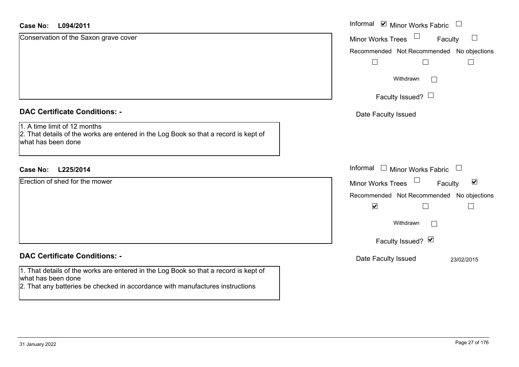| <b>Case No:</b><br>L094/2011                                                                                                                                                                | Informal $\blacksquare$ Minor Works Fabric $\blacksquare$   |
|---------------------------------------------------------------------------------------------------------------------------------------------------------------------------------------------|-------------------------------------------------------------|
| Conservation of the Saxon grave cover                                                                                                                                                       | $\Box$<br>Minor Works Trees<br>Faculty                      |
|                                                                                                                                                                                             | Recommended Not Recommended No objections                   |
|                                                                                                                                                                                             |                                                             |
|                                                                                                                                                                                             | Withdrawn                                                   |
|                                                                                                                                                                                             | Faculty Issued? $\Box$                                      |
| <b>DAC Certificate Conditions: -</b>                                                                                                                                                        | Date Faculty Issued                                         |
| 1. A time limit of 12 months<br>2. That details of the works are entered in the Log Book so that a record is kept of<br>what has been done                                                  |                                                             |
| L225/2014<br><b>Case No:</b>                                                                                                                                                                | Informal<br>$\Box$ Minor Works Fabric $\Box$                |
| Erection of shed for the mower                                                                                                                                                              | $\blacktriangledown$<br><b>Minor Works Trees</b><br>Faculty |
|                                                                                                                                                                                             | Recommended Not Recommended No objections                   |
|                                                                                                                                                                                             | $\blacktriangledown$                                        |
|                                                                                                                                                                                             | Withdrawn                                                   |
|                                                                                                                                                                                             | Faculty Issued? Ø                                           |
| <b>DAC Certificate Conditions: -</b>                                                                                                                                                        | Date Faculty Issued<br>23/02/2015                           |
| 1. That details of the works are entered in the Log Book so that a record is kept of<br>what has been done<br>2. That any batteries be checked in accordance with manufactures instructions |                                                             |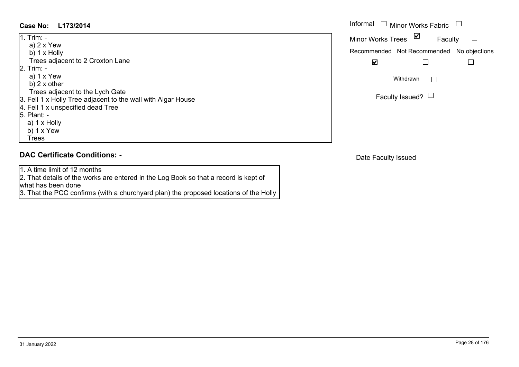#### $\overline{L}$  . This

| 11. Trim: -                                                  |
|--------------------------------------------------------------|
| a) $2 \times$ Yew                                            |
| b) $1 \times$ Holly                                          |
| Trees adjacent to 2 Croxton Lane                             |
| 2. Trim: -                                                   |
| a) $1 \times$ Yew                                            |
| b) $2 \times$ other                                          |
| Trees adjacent to the Lych Gate                              |
| 3. Fell 1 x Holly Tree adjacent to the wall with Algar House |
| 4. Fell 1 x unspecified dead Tree                            |
| 5. Plant: -                                                  |
| a) 1 x Holly                                                 |
| b) $1 \times$ Yew                                            |
| <b>Trees</b>                                                 |

#### **DAC Certificate Conditions: -**

1. A time limit of 12 months 2. That details of the works are entered in the Log Book so that a record is kept of what has been done

3. That the PCC confirms (with a churchyard plan) the proposed locations of the Holly

| Case No:<br>L173/2014                                                                            | Informal<br><b>Minor Works Fabric</b>     |
|--------------------------------------------------------------------------------------------------|-------------------------------------------|
| $1.$ Trim: $-$                                                                                   | ⊻<br><b>Minor Works Trees</b><br>Faculty  |
| a) 2 x Yew<br>b) 1 x Holly                                                                       | Recommended Not Recommended No objections |
| Trees adjacent to 2 Croxton Lane<br>2. Trim: -                                                   | M                                         |
| a) 1 x Yew<br>b) $2 \times$ other                                                                | Withdrawn                                 |
| Trees adjacent to the Lych Gate<br>3. Fell 1 x Holly Tree adiacent to the wall with Algar House. | Faculty Issued? $\Box$                    |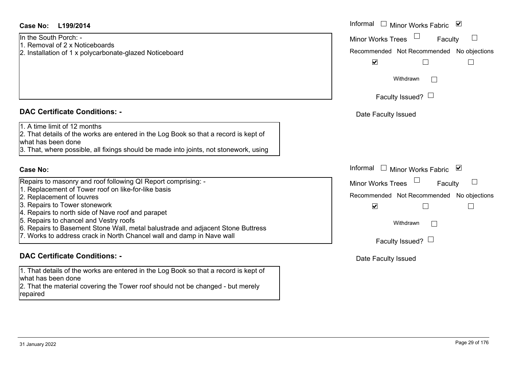#### **L199/2014Case No:** Informal

In the South Porch: -

- 1. Removal of 2 x Noticeboards
- 2. Installation of 1 x polycarbonate-glazed Noticeboard

#### **DAC Certificate Conditions: -**

1. A time limit of 12 months

2. That details of the works are entered in the Log Book so that a record is kept of what has been done

3. That, where possible, all fixings should be made into joints, not stonework, using

#### **Case No:**

Repairs to masonry and roof following QI Report comprising: -

- 1. Replacement of Tower roof on like-for-like basis
- 2. Replacement of louvres
- 3. Repairs to Tower stonework
- 4. Repairs to north side of Nave roof and parapet
- 5. Repairs to chancel and Vestry roofs
- 6. Repairs to Basement Stone Wall, metal balustrade and adjacent Stone Buttress
- 7. Works to address crack in North Chancel wall and damp in Nave wall

#### **DAC Certificate Conditions: -**

1. That details of the works are entered in the Log Book so that a record is kept of what has been done 2. That the material covering the Tower roof should not be changed - but merely

repaired

| L199/2014                                                                                                                                                                                                                                                                                                                                                               | Informal □ Minor Works Fabric ⊠                                                                                                                                 |
|-------------------------------------------------------------------------------------------------------------------------------------------------------------------------------------------------------------------------------------------------------------------------------------------------------------------------------------------------------------------------|-----------------------------------------------------------------------------------------------------------------------------------------------------------------|
| uth Porch: -<br>val of 2 x Noticeboards<br>ation of 1 x polycarbonate-glazed Noticeboard                                                                                                                                                                                                                                                                                | <b>Minor Works Trees</b><br>$\mathbf{I}$<br>Faculty<br>Recommended Not Recommended No objections<br>$\blacktriangledown$                                        |
|                                                                                                                                                                                                                                                                                                                                                                         | Withdrawn<br>Faculty Issued? $\Box$                                                                                                                             |
| rtificate Conditions: -                                                                                                                                                                                                                                                                                                                                                 | Date Faculty Issued                                                                                                                                             |
| limit of 12 months<br>etails of the works are entered in the Log Book so that a record is kept of<br>been done<br>where possible, all fixings should be made into joints, not stonework, using                                                                                                                                                                          |                                                                                                                                                                 |
|                                                                                                                                                                                                                                                                                                                                                                         | Informal □ Minor Works Fabric<br>⊻                                                                                                                              |
| o masonry and roof following QI Report comprising: -<br>cement of Tower roof on like-for-like basis<br>cement of louvres<br>s to Tower stonework<br>s to north side of Nave roof and parapet<br>s to chancel and Vestry roofs<br>s to Basement Stone Wall, metal balustrade and adjacent Stone Buttress<br>to address crack in North Chancel wall and damp in Nave wall | <b>Minor Works Trees</b><br>Faculty<br>Recommended Not Recommended No objections<br>$\blacktriangledown$<br>Withdrawn<br>$\mathbf{L}$<br>Faculty Issued? $\Box$ |
| rtificate Conditions: -                                                                                                                                                                                                                                                                                                                                                 | Date Faculty Issued                                                                                                                                             |
|                                                                                                                                                                                                                                                                                                                                                                         |                                                                                                                                                                 |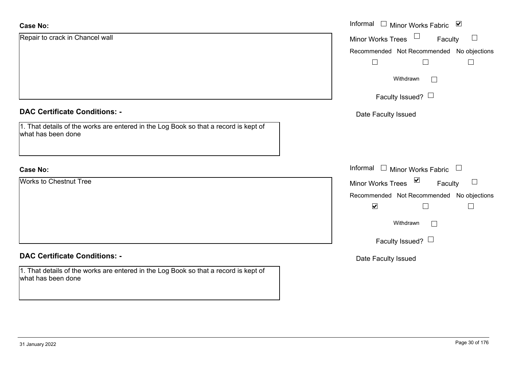| <b>Case No:</b>                                                                                            | Informal $\Box$ Minor Works Fabric $\Box$                             |
|------------------------------------------------------------------------------------------------------------|-----------------------------------------------------------------------|
| Repair to crack in Chancel wall                                                                            | $\Box$<br><b>Minor Works Trees</b><br>Faculty                         |
|                                                                                                            | Recommended Not Recommended No objections                             |
|                                                                                                            |                                                                       |
|                                                                                                            | Withdrawn<br>$\perp$                                                  |
|                                                                                                            | Faculty Issued? $\Box$                                                |
| <b>DAC Certificate Conditions: -</b>                                                                       | Date Faculty Issued                                                   |
| 1. That details of the works are entered in the Log Book so that a record is kept of<br>what has been done |                                                                       |
| <b>Case No:</b>                                                                                            | Informal $\Box$ Minor Works Fabric $\Box$                             |
| <b>Works to Chestnut Tree</b>                                                                              | $\blacktriangledown$<br><b>Minor Works Trees</b><br>$\Box$<br>Faculty |
|                                                                                                            | Recommended Not Recommended No objections                             |
|                                                                                                            | $\blacktriangledown$<br>$\Box$                                        |
|                                                                                                            | Withdrawn<br>$\perp$                                                  |
|                                                                                                            | Faculty Issued? $\Box$                                                |
| <b>DAC Certificate Conditions: -</b>                                                                       | Date Faculty Issued                                                   |
| 1. That details of the works are entered in the Log Book so that a record is kept of<br>what has been done |                                                                       |

ш.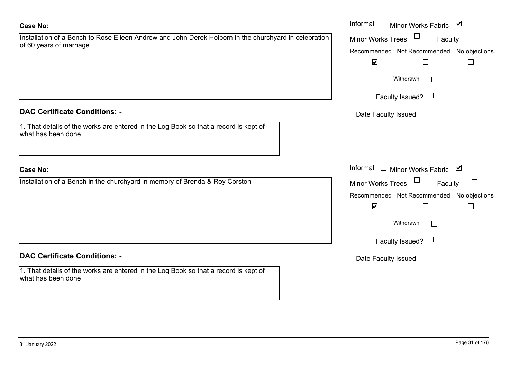#### **Case No:**

| Installation of a Bench to Rose Eileen Andrew and John Derek Holborn in the churchyard in celebration |  |  |
|-------------------------------------------------------------------------------------------------------|--|--|
| of 60 years of marriage                                                                               |  |  |

#### **DAC Certificate Conditions: -**

1. That details of the works are entered in the Log Book so that a record is kept of what has been done

#### **Case No:**

Installation of a Bench in the churchyard in memory of Brenda & Roy Corston

#### **DAC Certificate Conditions: -**

1. That details of the works are entered in the Log Book so that a record is kept of what has been done

|                                                                                                                | Informal $\Box$<br>$\blacktriangledown$<br><b>Minor Works Fabric</b> |
|----------------------------------------------------------------------------------------------------------------|----------------------------------------------------------------------|
| on of a Bench to Rose Eileen Andrew and John Derek Holborn in the churchyard in celebration<br>irs of marriage | Minor Works Trees<br>Faculty                                         |
|                                                                                                                | Recommended Not Recommended No objections                            |
|                                                                                                                | $\blacktriangledown$                                                 |
|                                                                                                                | Withdrawn                                                            |
|                                                                                                                | Faculty Issued? $\Box$                                               |
| rtificate Conditions: -                                                                                        | Date Faculty Issued                                                  |
| etails of the works are entered in the Log Book so that a record is kept of<br>been done                       |                                                                      |
|                                                                                                                | Informal □ Minor Works Fabric<br>⊻                                   |
| on of a Bench in the churchyard in memory of Brenda & Roy Corston                                              | Minor Works Trees<br>Faculty                                         |
|                                                                                                                | Recommended Not Recommended No objections                            |
|                                                                                                                | $\blacktriangledown$                                                 |
|                                                                                                                | Withdrawn<br>$\mathbb{R}^n$                                          |
|                                                                                                                | Faculty Issued? $\Box$                                               |
|                                                                                                                |                                                                      |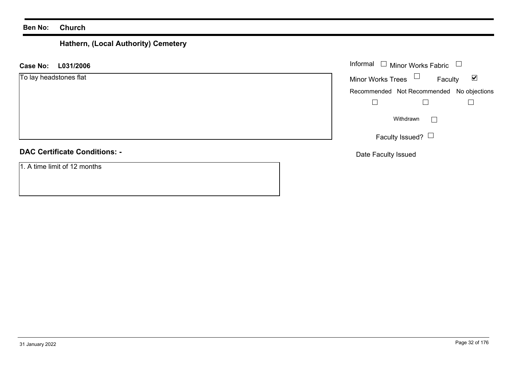# **Hathern, (Local Authority) Cemetery**

| Informal $\Box$ Minor Works Fabric $\Box$<br>L031/2006<br><b>Case No:</b> |                                           |                      |  |
|---------------------------------------------------------------------------|-------------------------------------------|----------------------|--|
| To lay headstones flat                                                    | Minor Works Trees $\Box$<br>Faculty       | $\blacktriangledown$ |  |
|                                                                           | Recommended Not Recommended No objections |                      |  |
|                                                                           |                                           |                      |  |
|                                                                           | Withdrawn<br>$\mathbf{1}$                 |                      |  |
|                                                                           | Faculty Issued? $\Box$                    |                      |  |
| <b>DAC Certificate Conditions: -</b>                                      | Date Faculty Issued                       |                      |  |
| 1. A time limit of 12 months                                              |                                           |                      |  |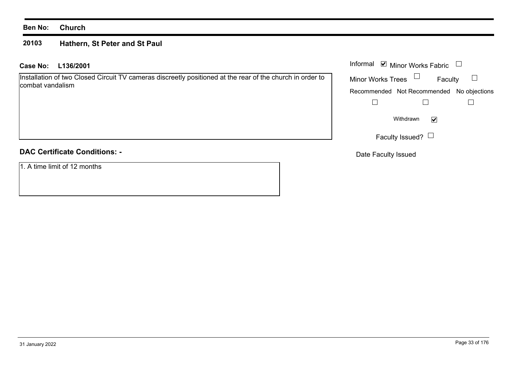#### **20103Hathern, St Peter and St Paul**

#### **L136/2001 Case No:** Informal

Installation of two Closed Circuit TV cameras discreetly positioned at the rear of the church in order to combat vandalism

## **DAC Certificate Conditions: -**

1. A time limit of 12 months

|                          | Informal ■ Minor Works Fabric |                                           |  |
|--------------------------|-------------------------------|-------------------------------------------|--|
| <b>Minor Works Trees</b> |                               | Faculty                                   |  |
|                          |                               | Recommended Not Recommended No objections |  |
|                          |                               |                                           |  |
|                          | Withdrawn                     |                                           |  |
|                          | Faculty Issued?               |                                           |  |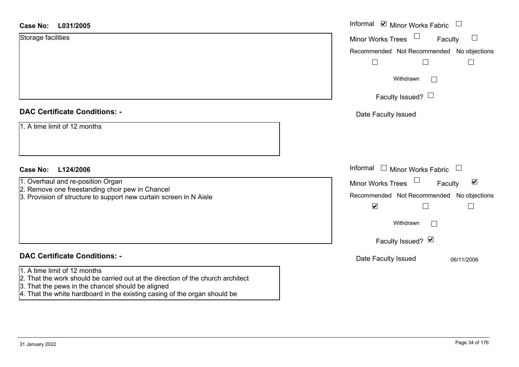| <b>Case No:</b><br>L031/2005                                                                                    | Informal ⊠ Minor Works Fabric<br>$\Box$              |
|-----------------------------------------------------------------------------------------------------------------|------------------------------------------------------|
| Storage facilities                                                                                              | $\Box$<br>Minor Works Trees<br>Faculty               |
|                                                                                                                 | Recommended Not Recommended No objections            |
|                                                                                                                 |                                                      |
|                                                                                                                 | Withdrawn<br>$\mathbb{R}^n$                          |
|                                                                                                                 | Faculty Issued? $\Box$                               |
| <b>DAC Certificate Conditions: -</b>                                                                            | Date Faculty Issued                                  |
| 1. A time limit of 12 months                                                                                    |                                                      |
|                                                                                                                 |                                                      |
|                                                                                                                 | Informal<br>$\Box$ Minor Works Fabric<br>$\Box$      |
| <b>Case No:</b><br>L124/2006                                                                                    |                                                      |
| 1. Overhaul and re-position Organ<br>2. Remove one freestanding choir pew in Chancel                            | $\blacktriangledown$<br>Minor Works Trees<br>Faculty |
| 3. Provision of structure to support new curtain screen in N Aisle                                              | Recommended Not Recommended No objections            |
|                                                                                                                 | $\blacktriangledown$                                 |
|                                                                                                                 | Withdrawn<br>Г                                       |
|                                                                                                                 | Faculty Issued? Ø                                    |
| <b>DAC Certificate Conditions: -</b>                                                                            | Date Faculty Issued<br>06/11/2006                    |
| 1. A time limit of 12 months<br>2. That the work should be carried out at the direction of the church architect |                                                      |
| 3. That the pews in the chancel should be aligned                                                               |                                                      |

4. That the white hardboard in the existing casing of the organ should be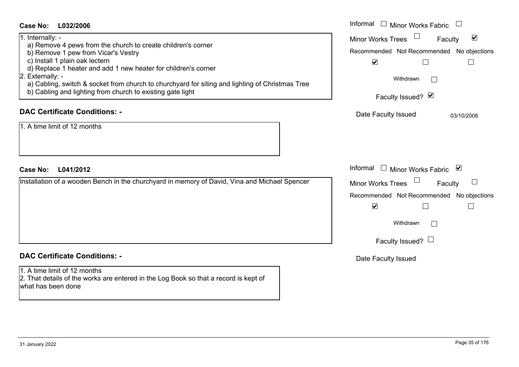| <b>Case No:</b><br>L032/2006                                                                                                                                                                                                                                                                                                                                                                                     | Informal $\Box$ Minor Works Fabric $\Box$                                                                                                                                                        |
|------------------------------------------------------------------------------------------------------------------------------------------------------------------------------------------------------------------------------------------------------------------------------------------------------------------------------------------------------------------------------------------------------------------|--------------------------------------------------------------------------------------------------------------------------------------------------------------------------------------------------|
| 1. Internally: -<br>a) Remove 4 pews from the church to create children's corner<br>b) Remove 1 pew from Vicar's Vestry<br>c) Install 1 plain oak lectern<br>d) Replace 1 heater and add 1 new heater for children's corner<br>2. Externally: -<br>a) Cabling, switch & socket from church to churchyard for siting and lighting of Christmas Tree<br>b) Cabling and lighting from church to existing gate light | Minor Works Trees<br>$\blacktriangledown$<br>Faculty<br>Recommended Not Recommended No objections<br>$\blacktriangledown$<br>$\perp$<br>$\mathbf{I}$<br>Withdrawn<br>$\Box$<br>Faculty Issued? Ø |
| <b>DAC Certificate Conditions: -</b><br>1. A time limit of 12 months                                                                                                                                                                                                                                                                                                                                             | Date Faculty Issued<br>03/10/2006                                                                                                                                                                |
| <b>Case No:</b><br>L041/2012                                                                                                                                                                                                                                                                                                                                                                                     | Informal $\Box$ Minor Works Fabric $\Box$                                                                                                                                                        |
| Installation of a wooden Bench in the churchyard in memory of David, Vina and Michael Spencer                                                                                                                                                                                                                                                                                                                    | Minor Works Trees<br>Faculty<br>Recommended Not Recommended No objections<br>$\blacktriangledown$<br>$\sqcup$<br>Withdrawn<br>$\Box$<br>Faculty Issued? $\Box$                                   |
| <b>DAC Certificate Conditions: -</b>                                                                                                                                                                                                                                                                                                                                                                             | Date Faculty Issued                                                                                                                                                                              |
| 1. A time limit of 12 months<br>2. That details of the works are entered in the Log Book so that a record is kept of<br>what has been done                                                                                                                                                                                                                                                                       |                                                                                                                                                                                                  |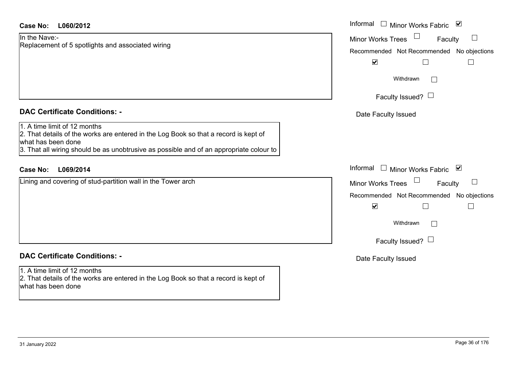| Case No:<br>L060/2012                                                                                                                                                                                                                 | Informal $\square$<br>$\blacktriangledown$<br>Minor Works Fabric                           |
|---------------------------------------------------------------------------------------------------------------------------------------------------------------------------------------------------------------------------------------|--------------------------------------------------------------------------------------------|
| In the Nave:-<br>Replacement of 5 spotlights and associated wiring                                                                                                                                                                    | $\Box$<br><b>Minor Works Trees</b><br>Faculty<br>Recommended Not Recommended No objections |
|                                                                                                                                                                                                                                       | $\blacktriangledown$<br>$\Box$<br>$\Box$                                                   |
|                                                                                                                                                                                                                                       | Withdrawn<br>$\Box$                                                                        |
|                                                                                                                                                                                                                                       | Faculty Issued? $\Box$                                                                     |
| <b>DAC Certificate Conditions: -</b>                                                                                                                                                                                                  | Date Faculty Issued                                                                        |
| 1. A time limit of 12 months<br>2. That details of the works are entered in the Log Book so that a record is kept of<br>what has been done<br>3. That all wiring should be as unobtrusive as possible and of an appropriate colour to |                                                                                            |
| <b>Case No:</b><br>L069/2014                                                                                                                                                                                                          | Informal<br>Minor Works Fabric ⊠<br>$\Box$                                                 |
| Lining and covering of stud-partition wall in the Tower arch                                                                                                                                                                          | <b>Minor Works Trees</b><br>$\Box$<br>Faculty                                              |
|                                                                                                                                                                                                                                       | Recommended Not Recommended No objections<br>$\blacktriangledown$<br>$\Box$<br>$\Box$      |
|                                                                                                                                                                                                                                       | Withdrawn<br>$\vert$ $\vert$                                                               |
|                                                                                                                                                                                                                                       | Faculty Issued? $\Box$                                                                     |
| <b>DAC Certificate Conditions: -</b>                                                                                                                                                                                                  | Date Faculty Issued                                                                        |
| 1. A time limit of 12 months<br>2. That details of the works are entered in the Log Book so that a record is kept of<br>what has been done                                                                                            |                                                                                            |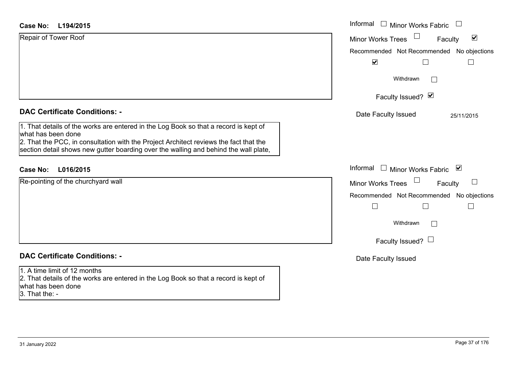| <b>Case No:</b><br>L194/2015                                                                                                                                                  | Informal $\square$<br><b>Minor Works Fabric</b><br>$\overline{\phantom{a}}$ |
|-------------------------------------------------------------------------------------------------------------------------------------------------------------------------------|-----------------------------------------------------------------------------|
| Repair of Tower Roof                                                                                                                                                          | $\blacktriangledown$<br><b>Minor Works Trees</b><br>Faculty                 |
|                                                                                                                                                                               | Recommended Not Recommended No objections                                   |
|                                                                                                                                                                               | $\blacktriangledown$                                                        |
|                                                                                                                                                                               | Withdrawn<br>$\perp$                                                        |
|                                                                                                                                                                               | Faculty Issued? Ø                                                           |
| <b>DAC Certificate Conditions: -</b>                                                                                                                                          | Date Faculty Issued<br>25/11/2015                                           |
| 1. That details of the works are entered in the Log Book so that a record is kept of<br>what has been done                                                                    |                                                                             |
| 2. That the PCC, in consultation with the Project Architect reviews the fact that the<br>section detail shows new gutter boarding over the walling and behind the wall plate, |                                                                             |
| L016/2015<br><b>Case No:</b>                                                                                                                                                  | Informal $\Box$ Minor Works Fabric<br>⊻                                     |
| Re-pointing of the churchyard wall                                                                                                                                            | <b>Minor Works Trees</b><br>Faculty                                         |
|                                                                                                                                                                               | Recommended Not Recommended No objections                                   |
|                                                                                                                                                                               | $\Box$                                                                      |
|                                                                                                                                                                               | Withdrawn<br>$\Box$                                                         |
|                                                                                                                                                                               | Faculty Issued? $\Box$                                                      |
| <b>DAC Certificate Conditions: -</b>                                                                                                                                          | Date Faculty Issued                                                         |
| 1. A time limit of 12 months<br>2. That details of the works are entered in the Log Book so that a record is kept of                                                          |                                                                             |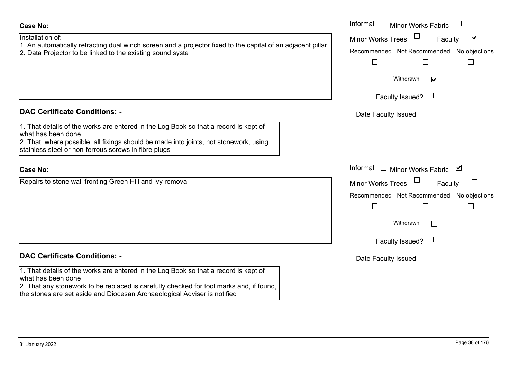# Recommended Informal Minor Works Tr

### **DAC Certificate Conditions: -**

1. That details of the works are entered in the Log Book so that a record is kept of what has been done2. That, where possible, all fixings should be made into joints, not stonework, using

stainless steel or non-ferrous screws in fibre plugs

#### **Case No:**

Repairs to stone wall fronting Green Hill and ivy removal

## **DAC Certificate Conditions: -**

1. That details of the works are entered in the Log Book so that a record is kept of what has been done

2. That any stonework to be replaced is carefully checked for tool marks and, if found, the stones are set aside and Diocesan Archaeological Adviser is notified

| Faculty Issued?                          |   |
|------------------------------------------|---|
| Date Faculty Issued                      |   |
|                                          |   |
|                                          |   |
| formal □ Minor Works Fabric              | ⊻ |
| inor Works Trees<br>Faculty              |   |
| ecommended Not Recommended No objections |   |
|                                          |   |
| Withdrawn                                |   |
| Faculty Issued?                          |   |

Date Faculty Issued

 Informal Informal  $\Box$  Minor Works Fabric  $\Box$ Minor Works Trees<sup>1</sup>

Withdrawn

 $\Box$ 

Recommended Not Recommended No objections

 $\Box$ 

 $\overline{\cdot}$ 

Faculty

 $\blacktriangledown$ 

 $\Box$ 

#### Installation of: -**Case No:**

1. An automatically retracting dual winch screen and a projector fixed to the capital of an adjacent pillar 2. Data Projector to be linked to the existing sound syste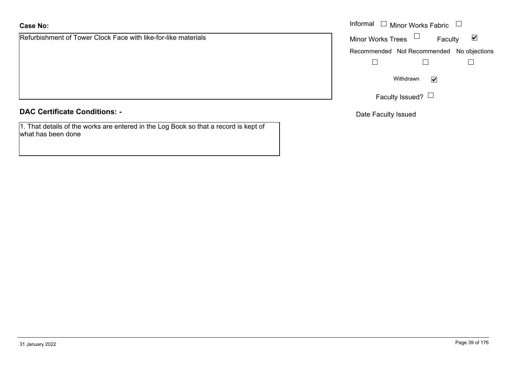Refurbishment of Tower Clock Face with like-for-like materials

**DAC Certificate Conditions: -**

1. That details of the works are entered in the Log Book so that a record is kept of what has been done

|                                                        | Informal $\Box$ Minor Works Fabric $\Box$                   |
|--------------------------------------------------------|-------------------------------------------------------------|
| iment of Tower Clock Face with like-for-like materials | Minor Works Trees $\Box$<br>Faculty<br>$\blacktriangledown$ |
|                                                        | Recommended Not Recommended No objections                   |
|                                                        |                                                             |
|                                                        | Withdrawn<br>$\blacktriangledown$                           |
|                                                        | Faculty Issued? L                                           |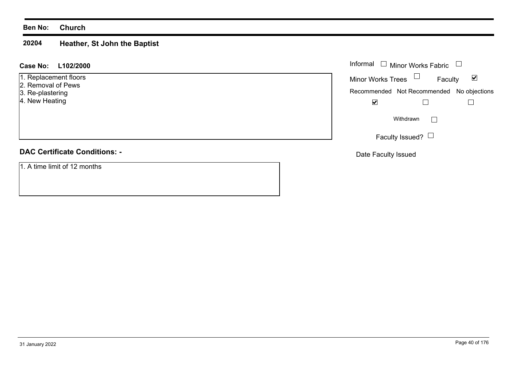#### **20204Heather, St John the Baptist**

#### **L102/2000 Case No:** Informal

- 1. Replacement floors
- 2. Removal of Pews
- 3. Re-plastering
- 4. New Heating

## **DAC Certificate Conditions: -**

1. A time limit of 12 months

| Informal $\Box$ Minor Works Fabric |                                           |   |
|------------------------------------|-------------------------------------------|---|
| <b>Minor Works Trees</b>           | Faculty                                   | M |
|                                    | Recommended Not Recommended No objections |   |
|                                    |                                           |   |
|                                    | Withdrawn                                 |   |
|                                    | Faculty Issued?                           |   |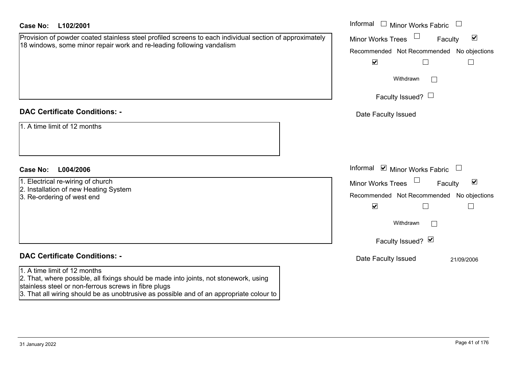| <b>Case No:</b><br>L102/2001                                                                                                                                                                                                                                             | Informal $\square$<br><b>Minor Works Fabric</b><br>$\begin{array}{c} \hline \end{array}$                                                                                                   |
|--------------------------------------------------------------------------------------------------------------------------------------------------------------------------------------------------------------------------------------------------------------------------|--------------------------------------------------------------------------------------------------------------------------------------------------------------------------------------------|
| Provision of powder coated stainless steel profiled screens to each individual section of approximately<br>18 windows, some minor repair work and re-leading following vandalism                                                                                         | $\blacktriangledown$<br><b>Minor Works Trees</b><br>Faculty<br>Recommended Not Recommended No objections<br>$\blacktriangledown$<br>$\Box$<br>Withdrawn<br>$\mathbb{R}^n$                  |
|                                                                                                                                                                                                                                                                          | Faculty Issued? $\Box$                                                                                                                                                                     |
| <b>DAC Certificate Conditions: -</b><br>1. A time limit of 12 months                                                                                                                                                                                                     | Date Faculty Issued                                                                                                                                                                        |
| <b>Case No:</b><br>L004/2006                                                                                                                                                                                                                                             | Informal $\blacksquare$ Minor Works Fabric<br>$\overline{\phantom{a}}$                                                                                                                     |
| 1. Electrical re-wiring of church<br>2. Installation of new Heating System<br>3. Re-ordering of west end                                                                                                                                                                 | $\blacktriangledown$<br>Minor Works Trees<br>Faculty<br>Recommended Not Recommended No objections<br>$\blacktriangledown$<br>П<br>$\Box$<br>Withdrawn<br>$\mathbf{I}$<br>Faculty Issued? Ø |
| <b>DAC Certificate Conditions: -</b>                                                                                                                                                                                                                                     | Date Faculty Issued<br>21/09/2006                                                                                                                                                          |
| 1. A time limit of 12 months<br>2. That, where possible, all fixings should be made into joints, not stonework, using<br>stainless steel or non-ferrous screws in fibre plugs<br>3. That all wiring should be as unobtrusive as possible and of an appropriate colour to |                                                                                                                                                                                            |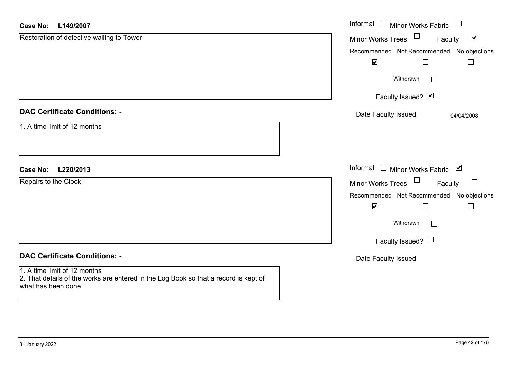| <b>Case No:</b><br>L149/2007                                                                                                               | Informal □ Minor Works Fabric                        |
|--------------------------------------------------------------------------------------------------------------------------------------------|------------------------------------------------------|
| Restoration of defective walling to Tower                                                                                                  | Minor Works Trees<br>$\blacktriangledown$<br>Faculty |
|                                                                                                                                            | Recommended Not Recommended No objections            |
|                                                                                                                                            | $\blacktriangledown$<br>$\Box$<br>$\Box$             |
|                                                                                                                                            | Withdrawn<br>$\Box$                                  |
|                                                                                                                                            | Faculty Issued? Ø                                    |
| <b>DAC Certificate Conditions: -</b>                                                                                                       | Date Faculty Issued<br>04/04/2008                    |
| 1. A time limit of 12 months                                                                                                               |                                                      |
| <b>Case No:</b><br>L220/2013                                                                                                               | Informal □ Minor Works Fabric ⊠                      |
| Repairs to the Clock                                                                                                                       | Minor Works Trees <sup>1</sup><br>$\Box$<br>Faculty  |
|                                                                                                                                            | Recommended Not Recommended No objections            |
|                                                                                                                                            | $\blacktriangledown$<br>$\Box$                       |
|                                                                                                                                            | Withdrawn<br>$\vert \ \ \vert$                       |
|                                                                                                                                            | Faculty Issued? $\Box$                               |
| <b>DAC Certificate Conditions: -</b>                                                                                                       | Date Faculty Issued                                  |
| 1. A time limit of 12 months<br>2. That details of the works are entered in the Log Book so that a record is kept of<br>what has been done |                                                      |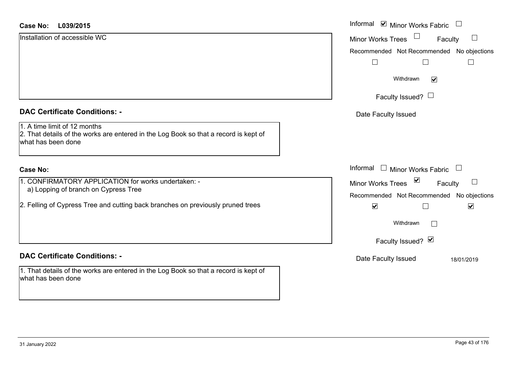#### **L039/2015Case No:** Informal

Installation of accessible WC

|  | <b>DAC Certificate Conditions: -</b> |  |
|--|--------------------------------------|--|
|  |                                      |  |

1. A time limit of 12 months

2. That details of the works are entered in the Log Book so that a record is kept of what has been done

#### **Case No:**

1. CONFIRMATORY APPLICATION for works undertaken: a) Lopping of branch on Cypress Tree

2. Felling of Cypress Tree and cutting back branches on previously pruned trees

#### **DAC Certificate Conditions: -**

1. That details of the works are entered in the Log Book so that a record is kept of what has been done

| L039/2015                                                                                                                                                     | Informal ☑ Minor Works Fabric                                                                                                                                               |
|---------------------------------------------------------------------------------------------------------------------------------------------------------------|-----------------------------------------------------------------------------------------------------------------------------------------------------------------------------|
| on of accessible WC                                                                                                                                           | Minor Works Trees<br>$\Box$<br>Faculty<br>Recommended Not Recommended No objections                                                                                         |
|                                                                                                                                                               | Withdrawn<br>$\blacktriangledown$<br>Faculty Issued? $\Box$                                                                                                                 |
| rtificate Conditions: -                                                                                                                                       | Date Faculty Issued                                                                                                                                                         |
| limit of 12 months<br>etails of the works are entered in the Log Book so that a record is kept of<br>been done                                                |                                                                                                                                                                             |
|                                                                                                                                                               | Informal<br>$\begin{array}{c} \hline \end{array}$<br><b>Minor Works Fabric</b>                                                                                              |
| <b>IRMATORY APPLICATION for works undertaken: -</b><br>ping of branch on Cypress Tree<br>of Cypress Tree and cutting back branches on previously pruned trees | $\blacktriangledown$<br>Minor Works Trees<br>$\Box$<br>Faculty<br>Recommended Not Recommended No objections<br>$\blacktriangledown$<br>$\blacktriangledown$<br>$\mathbb{L}$ |
|                                                                                                                                                               | Withdrawn                                                                                                                                                                   |
|                                                                                                                                                               | Faculty Issued? Ø                                                                                                                                                           |
| rtificate Conditions: -                                                                                                                                       | Date Faculty Issued<br>18/01/2019                                                                                                                                           |
| etails of the works are entered in the Log Book so that a record is kent of                                                                                   |                                                                                                                                                                             |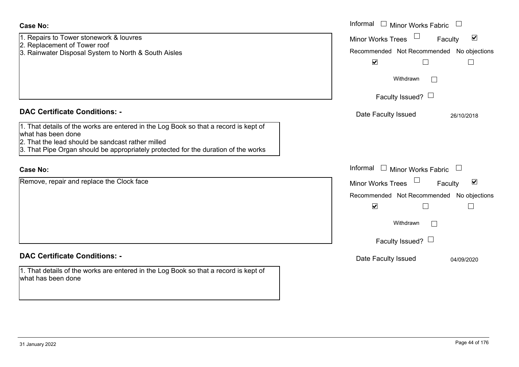| Case No:                                                                                                                                                                                                                                                                                      | Informal $\Box$ Minor Works Fabric $\Box$                                                                                                                                                                     |
|-----------------------------------------------------------------------------------------------------------------------------------------------------------------------------------------------------------------------------------------------------------------------------------------------|---------------------------------------------------------------------------------------------------------------------------------------------------------------------------------------------------------------|
| 1. Repairs to Tower stonework & louvres<br>2. Replacement of Tower roof<br>3. Rainwater Disposal System to North & South Aisles                                                                                                                                                               | $\Box$<br>$\blacktriangledown$<br><b>Minor Works Trees</b><br>Faculty<br>Recommended Not Recommended No objections                                                                                            |
|                                                                                                                                                                                                                                                                                               | $\blacktriangledown$<br>$\Box$<br>Withdrawn                                                                                                                                                                   |
|                                                                                                                                                                                                                                                                                               | Faculty Issued? $\Box$                                                                                                                                                                                        |
| <b>DAC Certificate Conditions: -</b><br>1. That details of the works are entered in the Log Book so that a record is kept of<br>what has been done<br>2. That the lead should be sandcast rather milled<br>3. That Pipe Organ should be appropriately protected for the duration of the works | Date Faculty Issued<br>26/10/2018                                                                                                                                                                             |
| <b>Case No:</b>                                                                                                                                                                                                                                                                               | Informal<br><b>Minor Works Fabric</b><br>$\mathbb{R}^n$<br>$\mathcal{L}_{\mathcal{A}}$                                                                                                                        |
| Remove, repair and replace the Clock face                                                                                                                                                                                                                                                     | $\blacktriangledown$<br><b>Minor Works Trees</b><br>Faculty<br>Recommended Not Recommended No objections<br>$\blacktriangledown$<br>$\overline{\phantom{a}}$<br>$\Box$<br>Withdrawn<br>Faculty Issued? $\Box$ |
| <b>DAC Certificate Conditions: -</b>                                                                                                                                                                                                                                                          | Date Faculty Issued<br>04/09/2020                                                                                                                                                                             |
| 1. That details of the works are entered in the Log Book so that a record is kept of<br>what has been done                                                                                                                                                                                    |                                                                                                                                                                                                               |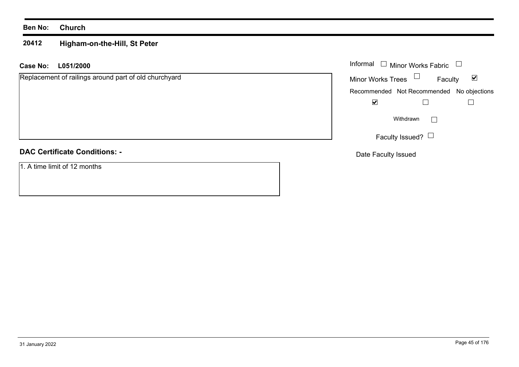#### **20412Higham-on-the-Hill, St Peter**

#### **L051/2000 Case No:** Informal

Replacement of railings around part of old churchyard

## **DAC Certificate Conditions: -**

1. A time limit of 12 months

| Informal<br>$\Box$ Minor Works Fabric |                                           |   |
|---------------------------------------|-------------------------------------------|---|
| <b>Minor Works Trees</b>              | Faculty                                   | M |
|                                       | Recommended Not Recommended No objections |   |
|                                       |                                           |   |
|                                       | Withdrawn                                 |   |
|                                       | Faculty Issued?                           |   |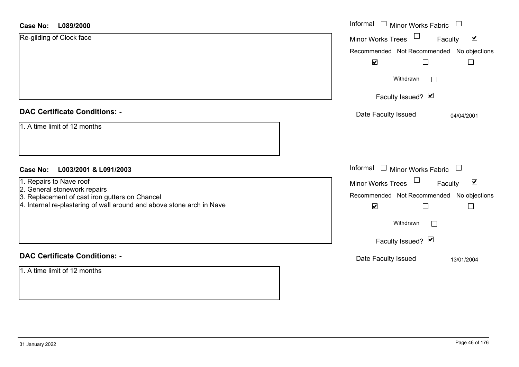| L089/2000<br><b>Case No:</b>                                                                                                                                                       | Informal<br>$\Box$ Minor Works Fabric                                                                                     |
|------------------------------------------------------------------------------------------------------------------------------------------------------------------------------------|---------------------------------------------------------------------------------------------------------------------------|
| Re-gilding of Clock face                                                                                                                                                           | $\blacktriangledown$<br>Faculty<br><b>Minor Works Trees</b>                                                               |
|                                                                                                                                                                                    | Recommended Not Recommended No objections                                                                                 |
|                                                                                                                                                                                    | $\blacktriangledown$                                                                                                      |
|                                                                                                                                                                                    | Withdrawn<br>$\mathbf{I}$                                                                                                 |
|                                                                                                                                                                                    | Faculty Issued? Ø                                                                                                         |
| <b>DAC Certificate Conditions: -</b>                                                                                                                                               | Date Faculty Issued<br>04/04/2001                                                                                         |
| 1. A time limit of 12 months                                                                                                                                                       |                                                                                                                           |
| <b>Case No:</b><br>L003/2001 & L091/2003                                                                                                                                           | Informal<br>Minor Works Fabric $\quad \Box$<br>$\Box$                                                                     |
| 1. Repairs to Nave roof<br>2. General stonework repairs<br>3. Replacement of cast iron gutters on Chancel<br>4. Internal re-plastering of wall around and above stone arch in Nave | $\blacktriangledown$<br>Minor Works Trees<br>Faculty<br>Recommended Not Recommended No objections<br>$\blacktriangledown$ |
|                                                                                                                                                                                    | Withdrawn<br>$\Box$                                                                                                       |
|                                                                                                                                                                                    | Faculty Issued? Ø                                                                                                         |
| <b>DAC Certificate Conditions: -</b>                                                                                                                                               | Date Faculty Issued<br>13/01/2004                                                                                         |
| 1. A time limit of 12 months                                                                                                                                                       |                                                                                                                           |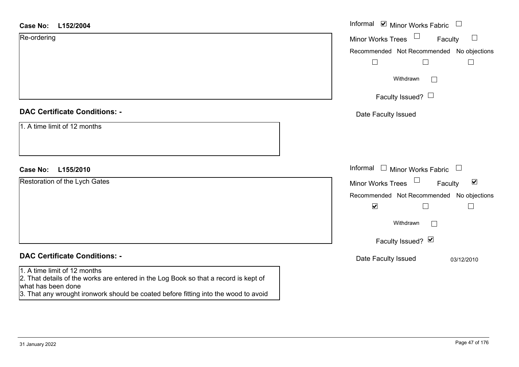| <b>Case No:</b><br>L152/2004                                                                                                               | Informal $\blacksquare$ Minor Works Fabric $\blacksquare$ |
|--------------------------------------------------------------------------------------------------------------------------------------------|-----------------------------------------------------------|
| Re-ordering                                                                                                                                | Minor Works Trees<br>Faculty<br>$\Box$                    |
|                                                                                                                                            | Recommended Not Recommended No objections                 |
|                                                                                                                                            | $\Box$<br>$\Box$<br>$\Box$                                |
|                                                                                                                                            | Withdrawn<br>$\mathbf{L}$                                 |
|                                                                                                                                            | Faculty Issued? $\Box$                                    |
| <b>DAC Certificate Conditions: -</b>                                                                                                       | Date Faculty Issued                                       |
| 1. A time limit of 12 months                                                                                                               |                                                           |
| <b>Case No:</b><br>L155/2010                                                                                                               | Informal $\Box$ Minor Works Fabric $\Box$                 |
| Restoration of the Lych Gates                                                                                                              | Minor Works Trees<br>$\blacktriangledown$<br>Faculty      |
|                                                                                                                                            | Recommended Not Recommended No objections                 |
|                                                                                                                                            | $\blacktriangledown$<br>$\perp$<br>$\Box$                 |
|                                                                                                                                            | Withdrawn                                                 |
|                                                                                                                                            | Faculty Issued? Ø                                         |
| <b>DAC Certificate Conditions: -</b>                                                                                                       | Date Faculty Issued<br>03/12/2010                         |
| 1. A time limit of 12 months<br>2. That details of the works are entered in the Log Book so that a record is kept of<br>what has been done |                                                           |

what has been done 3. That any wrought ironwork should be coated before fitting into the wood to avoid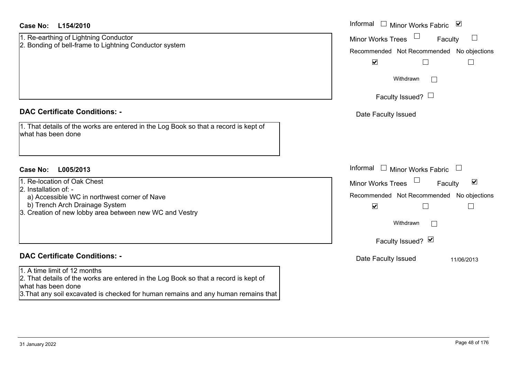| <b>Case No:</b><br>L154/2010                                                                                                                                                                                                     | Informal $\Box$ Minor Works Fabric $\Box$                  |  |  |  |
|----------------------------------------------------------------------------------------------------------------------------------------------------------------------------------------------------------------------------------|------------------------------------------------------------|--|--|--|
| 1. Re-earthing of Lightning Conductor                                                                                                                                                                                            | <b>Minor Works Trees</b><br>$\Box$<br>Faculty              |  |  |  |
| 2. Bonding of bell-frame to Lightning Conductor system                                                                                                                                                                           | Recommended Not Recommended No objections                  |  |  |  |
|                                                                                                                                                                                                                                  | $\blacktriangledown$<br>$\Box$<br>$\overline{\phantom{a}}$ |  |  |  |
|                                                                                                                                                                                                                                  | Withdrawn                                                  |  |  |  |
|                                                                                                                                                                                                                                  | Faculty Issued? $\Box$                                     |  |  |  |
| <b>DAC Certificate Conditions: -</b>                                                                                                                                                                                             | Date Faculty Issued                                        |  |  |  |
| 1. That details of the works are entered in the Log Book so that a record is kept of<br>what has been done                                                                                                                       |                                                            |  |  |  |
|                                                                                                                                                                                                                                  |                                                            |  |  |  |
| Case No:<br>L005/2013                                                                                                                                                                                                            | Informal<br>$\Box$<br>Minor Works Fabric                   |  |  |  |
| 1. Re-location of Oak Chest                                                                                                                                                                                                      | Minor Works Trees<br>$\blacktriangledown$<br>Faculty       |  |  |  |
| 2. Installation of: -<br>a) Accessible WC in northwest corner of Nave                                                                                                                                                            | Recommended Not Recommended No objections                  |  |  |  |
| b) Trench Arch Drainage System                                                                                                                                                                                                   | $\blacktriangledown$<br>Г                                  |  |  |  |
| 3. Creation of new lobby area between new WC and Vestry                                                                                                                                                                          |                                                            |  |  |  |
|                                                                                                                                                                                                                                  | Withdrawn                                                  |  |  |  |
|                                                                                                                                                                                                                                  | Faculty Issued? Ø                                          |  |  |  |
| <b>DAC Certificate Conditions: -</b>                                                                                                                                                                                             | Date Faculty Issued<br>11/06/2013                          |  |  |  |
| 1. A time limit of 12 months<br>2. That details of the works are entered in the Log Book so that a record is kept of<br>what has been done<br>3. That any soil excavated is checked for human remains and any human remains that |                                                            |  |  |  |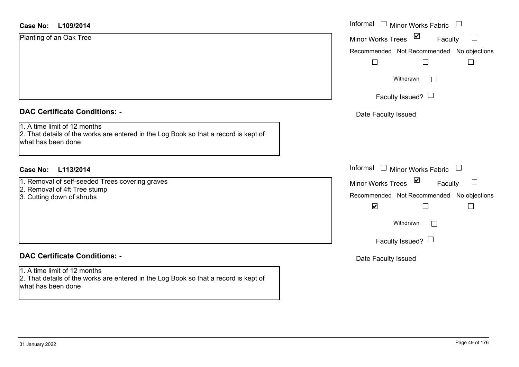#### **L109/2014Case No:**

| <b>Case No:</b><br>L109/2014         | Informal |
|--------------------------------------|----------|
| Planting of an Oak Tree              | Minor W  |
|                                      | Recomm   |
|                                      |          |
|                                      |          |
|                                      |          |
|                                      |          |
| <b>DAC Certificate Conditions: -</b> | Date I   |
| 1. A time limit of 12 months         |          |

2. That details of the works are entered in the Log Book so that a record is kept of what has been done

#### **L113/2014Case No:** Informal

1. Removal of self-seeded Trees covering graves

- 2. Removal of 4ft Tree stump
- 3. Cutting down of shrubs

## **DAC Certificate Conditions: -**

1. A time limit of 12 months

2. That details of the works are entered in the Log Book so that a record is kept of what has been done

| Informal<br><b>Minor Works Fabric</b>     |
|-------------------------------------------|
| ⊻<br><b>Minor Works Trees</b><br>Faculty  |
| Recommended Not Recommended No objections |
|                                           |
| Withdrawn                                 |
| Faculty Issued? $\Box$                    |
| Date Faculty Issued                       |
|                                           |
|                                           |
|                                           |
| Informal<br><b>Minor Works Fabric</b>     |
| ⊻<br><b>Minor Works Trees</b><br>Faculty  |
| Recommended Not Recommended No objections |
| ⊻                                         |
| Withdrawn                                 |
| Faculty Issued? L                         |
| Date Faculty Issued                       |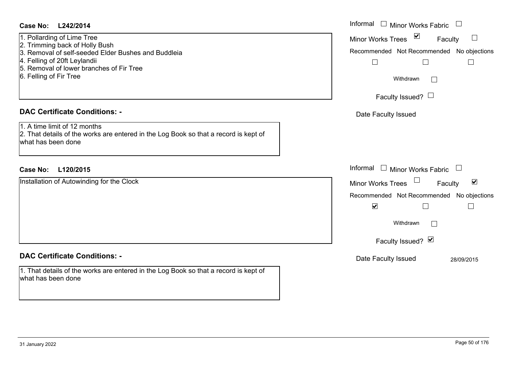| <b>Case No:</b><br>L242/2014<br>1. Pollarding of Lime Tree<br>2. Trimming back of Holly Bush<br>3. Removal of self-seeded Elder Bushes and Buddleia<br>4. Felling of 20ft Leylandii<br>5. Removal of lower branches of Fir Tree<br>6. Felling of Fir Tree | Informal<br>$\Box$<br><b>Minor Works Fabric</b><br>$\blacktriangledown$<br>$\Box$<br><b>Minor Works Trees</b><br>Faculty<br>Recommended Not Recommended No objections<br>$\Box$<br>$\Box$<br>$\Box$<br>Withdrawn<br>$\Box$<br>Faculty Issued? $\Box$                                                  |
|-----------------------------------------------------------------------------------------------------------------------------------------------------------------------------------------------------------------------------------------------------------|-------------------------------------------------------------------------------------------------------------------------------------------------------------------------------------------------------------------------------------------------------------------------------------------------------|
| <b>DAC Certificate Conditions: -</b><br>1. A time limit of 12 months<br>2. That details of the works are entered in the Log Book so that a record is kept of<br>what has been done                                                                        | Date Faculty Issued                                                                                                                                                                                                                                                                                   |
| <b>Case No:</b><br>L120/2015<br>Installation of Autowinding for the Clock                                                                                                                                                                                 | Informal<br>$\begin{array}{c} \boxed{1} \end{array}$<br>Minor Works Fabric<br>$\begin{array}{c} \square \end{array}$<br>Minor Works Trees<br>$\blacktriangledown$<br>Faculty<br>Recommended Not Recommended No objections<br>$\blacktriangledown$<br>Withdrawn<br>$\mathbb{R}^n$<br>Faculty Issued? Ø |
| <b>DAC Certificate Conditions: -</b><br>1. That details of the works are entered in the Log Book so that a record is kept of<br>what has been done                                                                                                        | Date Faculty Issued<br>28/09/2015                                                                                                                                                                                                                                                                     |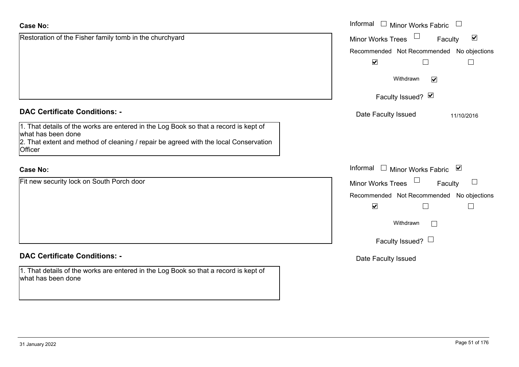| <b>Case No:</b>                                                                                            | Informal<br>Minor Works Fabric $\Box$                       |
|------------------------------------------------------------------------------------------------------------|-------------------------------------------------------------|
| Restoration of the Fisher family tomb in the churchyard                                                    | $\blacktriangledown$<br><b>Minor Works Trees</b><br>Faculty |
|                                                                                                            | Recommended Not Recommended No objections                   |
|                                                                                                            | $\blacktriangledown$<br>$\sqcup$<br>$\mathbf{L}$            |
|                                                                                                            | Withdrawn<br>$\blacktriangledown$                           |
|                                                                                                            | Faculty Issued? Ø                                           |
| <b>DAC Certificate Conditions: -</b>                                                                       | Date Faculty Issued<br>11/10/2016                           |
| 1. That details of the works are entered in the Log Book so that a record is kept of<br>what has been done |                                                             |
| 2. That extent and method of cleaning / repair be agreed with the local Conservation<br>Officer            |                                                             |
| <b>Case No:</b>                                                                                            | Informal □ Minor Works Fabric ⊠                             |
| Fit new security lock on South Porch door                                                                  | Minor Works Trees<br>$\Box$<br>Faculty                      |
|                                                                                                            | Recommended Not Recommended No objections                   |
|                                                                                                            | $\blacktriangledown$                                        |
|                                                                                                            | Withdrawn<br>$\mathbb{R}^n$                                 |
|                                                                                                            | Faculty Issued? $\Box$                                      |
| <b>DAC Certificate Conditions: -</b>                                                                       | Date Faculty Issued                                         |
| 1. That details of the works are entered in the Log Book so that a record is kept of<br>what has been done |                                                             |
|                                                                                                            |                                                             |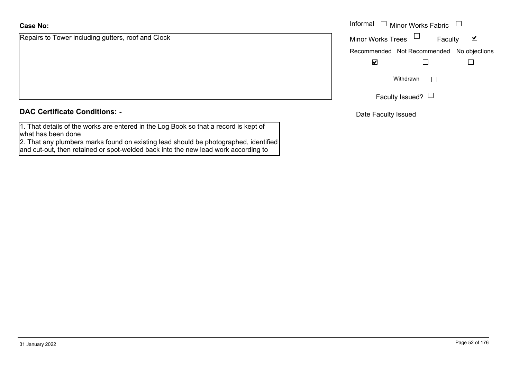Repairs to Tower including gutters, roof and Clock

| <b>DAC Certificate Conditions: -</b> |  |
|--------------------------------------|--|
|--------------------------------------|--|

1. That details of the works are entered in the Log Book so that a record is kept of what has been done

 2. That any plumbers marks found on existing lead should be photographed, identified and cut-out, then retained or spot-welded back into the new lead work according to

|                                           | Informal $\square$                        |           | Minor Works Fabric $\Box$ |                      |  |
|-------------------------------------------|-------------------------------------------|-----------|---------------------------|----------------------|--|
| o Tower including gutters, roof and Clock | <b>Minor Works Trees</b>                  |           | Faculty                   | $\blacktriangledown$ |  |
|                                           | Recommended Not Recommended No objections |           |                           |                      |  |
|                                           | $\blacktriangledown$                      |           |                           |                      |  |
|                                           |                                           | Withdrawn |                           |                      |  |
|                                           |                                           |           | Faculty Issued? $\Box$    |                      |  |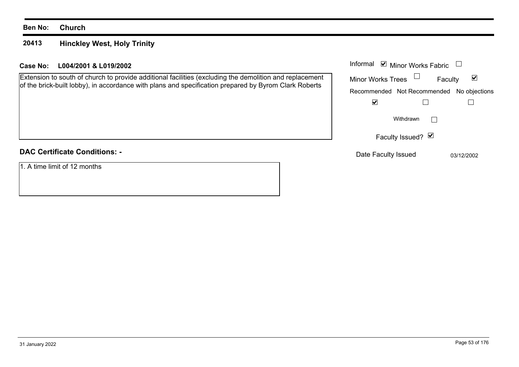#### **20413Hinckley West, Holy Trinity**

#### **L004/2001 & L019/2002Case No:** Informal

Extension to south of church to provide additional facilities (excluding the demolition and replacement of the brick-built lobby), in accordance with plans and specification prepared by Byrom Clark Roberts

| <b>DAC Certificate Conditions: -</b> |
|--------------------------------------|
|                                      |

1. A time limit of 12 months

|                          | Informal Ø Minor Works Fabric |                                           |
|--------------------------|-------------------------------|-------------------------------------------|
| <b>Minor Works Trees</b> |                               | $\vert\bm{\mathsf{v}}\vert$<br>Faculty    |
|                          |                               | Recommended Not Recommended No objections |
|                          |                               |                                           |
|                          | Withdrawn                     |                                           |
|                          | Faculty Issued? Ø             |                                           |
| Date Faculty Issued      |                               | 03/12/2002                                |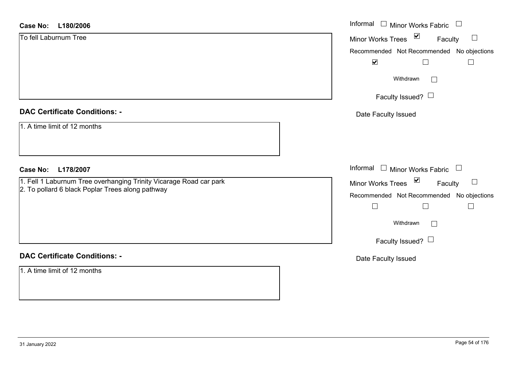| L180/2006<br><b>Case No:</b>                                       | Informal □ Minor Works Fabric                                  |
|--------------------------------------------------------------------|----------------------------------------------------------------|
| To fell Laburnum Tree                                              | $\blacktriangledown$<br>$\Box$<br>Minor Works Trees<br>Faculty |
|                                                                    | Recommended Not Recommended No objections                      |
|                                                                    | $\blacktriangledown$<br>$\Box$                                 |
|                                                                    | Withdrawn<br>$\Box$                                            |
|                                                                    | Faculty Issued? $\Box$                                         |
| <b>DAC Certificate Conditions: -</b>                               | Date Faculty Issued                                            |
| 1. A time limit of 12 months                                       |                                                                |
| <b>Case No:</b><br>L178/2007                                       | Informal $\Box$ Minor Works Fabric $\Box$                      |
| 1. Fell 1 Laburnum Tree overhanging Trinity Vicarage Road car park | Minor Works Trees ⊠<br>$\Box$<br>Faculty                       |
| 2. To pollard 6 black Poplar Trees along pathway                   | Recommended Not Recommended No objections                      |
|                                                                    | $\Box$<br>$\Box$                                               |
|                                                                    | Withdrawn<br>$\Box$                                            |
|                                                                    | Faculty Issued? $\Box$                                         |
| <b>DAC Certificate Conditions: -</b>                               | Date Faculty Issued                                            |
| 1. A time limit of 12 months                                       |                                                                |
|                                                                    |                                                                |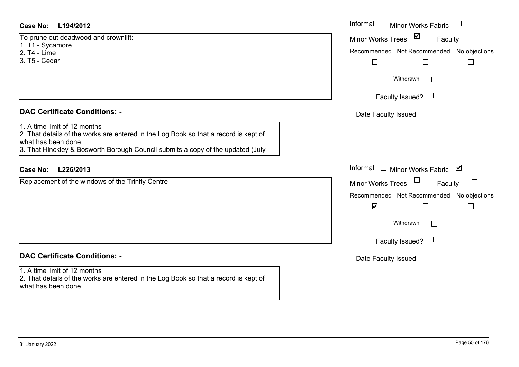#### **L194/2012Case No:** Informal

To prune out deadwood and crownlift: -  $1.$  T1 - Sycamore 2. T4 - Lime 3. T5 - Cedar

#### **DAC Certificate Conditions: -**

1. A time limit of 12 months

2. That details of the works are entered in the Log Book so that a record is kept of what has been done

3. That Hinckley & Bosworth Borough Council submits a copy of the updated (July

### **L226/2013Case No:** Informal

Replacement of the windows of the Trinity Centre

## **DAC Certificate Conditions: -**

1. A time limit of 12 months

2. That details of the works are entered in the Log Book so that a record is kept of what has been done

| Informal<br><b>Minor Works Fabric</b>     |
|-------------------------------------------|
| ⊻<br><b>Minor Works Trees</b><br>Faculty  |
| Recommended Not Recommended No objections |
| Withdrawn                                 |
| Faculty Issued?                           |
| Date Faculty Issued                       |
|                                           |
| Informal<br>⊻                             |
| <b>Minor Works Fabric</b>                 |
| <b>Minor Works Trees</b><br>Faculty       |
| Recommended Not Recommended No objections |
| $\blacktriangledown$                      |
| Withdrawn                                 |
| Faculty Issued? $\Box$                    |
| Date Faculty Issued                       |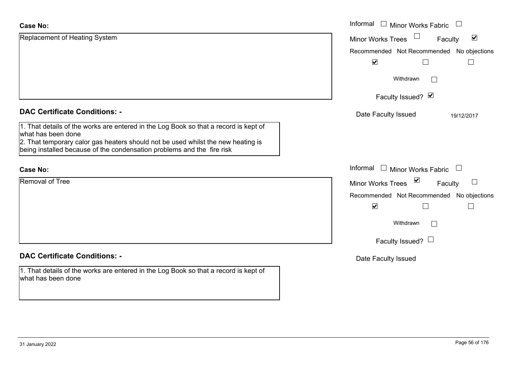| <b>Case No:</b>                                                                                                                                            | Informal<br><b>Minor Works Fabric</b>                       |
|------------------------------------------------------------------------------------------------------------------------------------------------------------|-------------------------------------------------------------|
| Replacement of Heating System                                                                                                                              | $\blacktriangledown$<br><b>Minor Works Trees</b><br>Faculty |
|                                                                                                                                                            | Recommended Not Recommended<br>No objections                |
|                                                                                                                                                            | $\blacktriangledown$                                        |
|                                                                                                                                                            | Withdrawn                                                   |
|                                                                                                                                                            | Faculty Issued? Ø                                           |
| <b>DAC Certificate Conditions: -</b>                                                                                                                       | Date Faculty Issued<br>19/12/2017                           |
| 1. That details of the works are entered in the Log Book so that a record is kept of<br>what has been done                                                 |                                                             |
| 2. That temporary calor gas heaters should not be used whilst the new heating is<br>being installed because of the condensation problems and the fire risk |                                                             |
| <b>Case No:</b>                                                                                                                                            | Informal<br><b>Minor Works Fabric</b><br>$\Box$             |
| <b>Removal of Tree</b>                                                                                                                                     | ⊻<br><b>Minor Works Trees</b><br>Faculty                    |
|                                                                                                                                                            | Recommended Not Recommended<br>No objections                |
|                                                                                                                                                            | $\blacktriangledown$<br>L<br>$\mathbf{I}$                   |
|                                                                                                                                                            | Withdrawn                                                   |
|                                                                                                                                                            | Faculty Issued? $\Box$                                      |
| <b>DAC Certificate Conditions: -</b>                                                                                                                       | Date Faculty Issued                                         |
| 1. That details of the works are entered in the Log Book so that a record is kept of<br>what has been done                                                 |                                                             |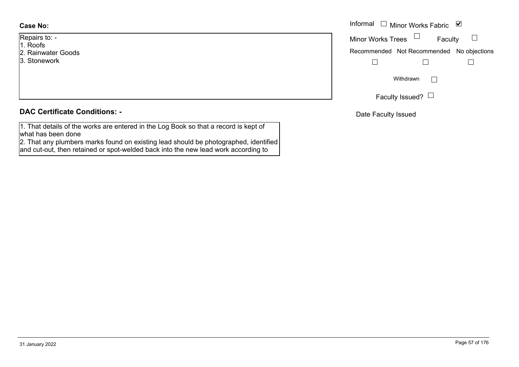#### **Case No:**

- Repairs to: -
- 1. Roofs
- 2. Rainwater Goods
- 3. Stonework

#### **DAC Certificate Conditions: -**

1. That details of the works are entered in the Log Book so that a record is kept of what has been done

 2. That any plumbers marks found on existing lead should be photographed, identified and cut-out, then retained or spot-welded back into the new lead work according to

|            | Informal $\Box$ Minor Works Fabric $\Box$ |
|------------|-------------------------------------------|
| $O: -$     | Faculty<br>Minor Works Trees $\Box$       |
| ater Goods | Recommended Not Recommended No objections |
| vork       |                                           |
|            | Withdrawn                                 |
|            | Faculty Issued? $\Box$                    |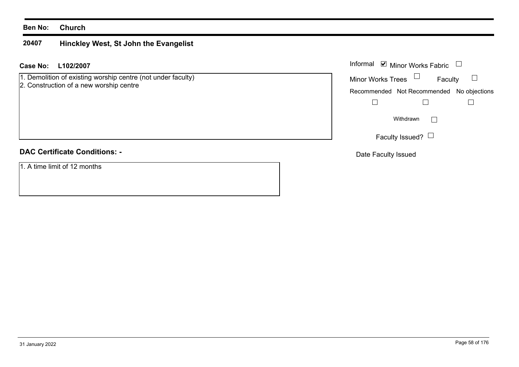#### **20407Hinckley West, St John the Evangelist**

#### **L102/2007 Case No:** Informal

1. Demolition of existing worship centre (not under faculty)

2. Construction of a new worship centre

### **DAC Certificate Conditions: -**

1. A time limit of 12 months

| Informal Ø Minor Works Fabric |                                           |  |
|-------------------------------|-------------------------------------------|--|
| <b>Minor Works Trees</b>      | Faculty                                   |  |
|                               | Recommended Not Recommended No objections |  |
|                               |                                           |  |
|                               | Withdrawn                                 |  |
|                               | Faculty Issued?                           |  |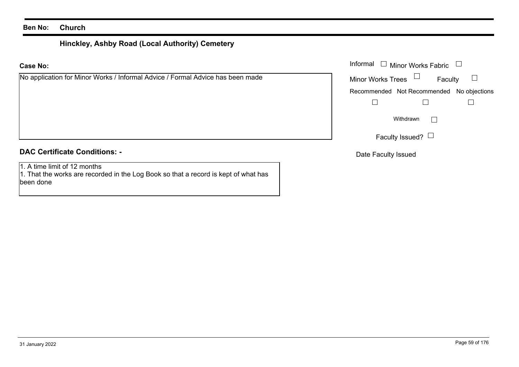# **Hinckley, Ashby Road (Local Authority) Cemetery**

#### **Case No:**

### **DAC Certificate Conditions: -**

1. A time limit of 12 months

1. That the works are recorded in the Log Book so that a record is kept of what has been done

|                                                                        | Informal $\Box$ Minor Works Fabric $\Box$  |
|------------------------------------------------------------------------|--------------------------------------------|
| cation for Minor Works / Informal Advice / Formal Advice has been made | Faculty $\Box$<br>Minor Works Trees $\Box$ |
|                                                                        | Recommended Not Recommended No objections  |
|                                                                        |                                            |
|                                                                        | Withdrawn                                  |
|                                                                        | Faculty Issued? $\Box$                     |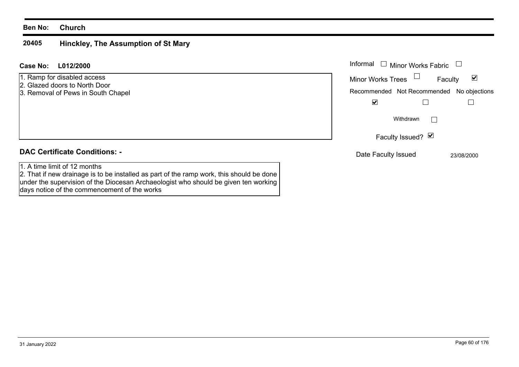#### **20405 Hinckley, The Assumption of St Mary**

| <b>Case No:</b><br>L012/2000                                                                                                                                                                                                                                    | Informal<br><b>Minor Works Fabric</b>        |
|-----------------------------------------------------------------------------------------------------------------------------------------------------------------------------------------------------------------------------------------------------------------|----------------------------------------------|
| 1. Ramp for disabled access<br>2. Glazed doors to North Door                                                                                                                                                                                                    | ⊻<br><b>Minor Works Trees</b><br>Faculty     |
| 3. Removal of Pews in South Chapel                                                                                                                                                                                                                              | Recommended Not Recommended<br>No objections |
|                                                                                                                                                                                                                                                                 | $\blacktriangledown$                         |
|                                                                                                                                                                                                                                                                 | Withdrawn                                    |
|                                                                                                                                                                                                                                                                 | Faculty Issued? Ø                            |
| <b>DAC Certificate Conditions: -</b>                                                                                                                                                                                                                            | Date Faculty Issued<br>23/08/2000            |
| 1. A time limit of 12 months<br>2. That if new drainage is to be installed as part of the ramp work, this should be done<br>under the supervision of the Diocesan Archaeologist who should be given ten working<br>days notice of the commencement of the works |                                              |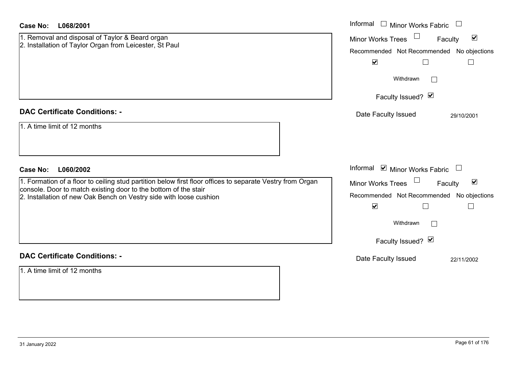| <b>Case No:</b><br>L068/2001                                                                                                                                                 | Informal □ Minor Works Fabric                                  |
|------------------------------------------------------------------------------------------------------------------------------------------------------------------------------|----------------------------------------------------------------|
| 1. Removal and disposal of Taylor & Beard organ<br>2. Installation of Taylor Organ from Leicester, St Paul                                                                   | $\blacktriangledown$<br><b>Minor Works Trees</b><br>Faculty    |
|                                                                                                                                                                              | Recommended Not Recommended No objections                      |
|                                                                                                                                                                              | $\blacktriangledown$<br>$\Box$<br>$\Box$                       |
|                                                                                                                                                                              | Withdrawn<br>$\perp$                                           |
|                                                                                                                                                                              | Faculty Issued? Ø                                              |
| <b>DAC Certificate Conditions: -</b>                                                                                                                                         | Date Faculty Issued<br>29/10/2001                              |
| 1. A time limit of 12 months                                                                                                                                                 |                                                                |
| <b>Case No:</b><br>L060/2002                                                                                                                                                 | Informal ⊠ Minor Works Fabric □                                |
| 1. Formation of a floor to ceiling stud partition below first floor offices to separate Vestry from Organ<br>console. Door to match existing door to the bottom of the stair | $\Box$<br>$\blacktriangledown$<br>Minor Works Trees<br>Faculty |
|                                                                                                                                                                              |                                                                |
|                                                                                                                                                                              | Recommended Not Recommended No objections                      |
| 2. Installation of new Oak Bench on Vestry side with loose cushion                                                                                                           | $\blacktriangledown$                                           |
|                                                                                                                                                                              | Withdrawn<br>$\Box$                                            |
|                                                                                                                                                                              | Faculty Issued? $\blacksquare$                                 |
| <b>DAC Certificate Conditions: -</b>                                                                                                                                         | Date Faculty Issued<br>22/11/2002                              |
| 1. A time limit of 12 months                                                                                                                                                 |                                                                |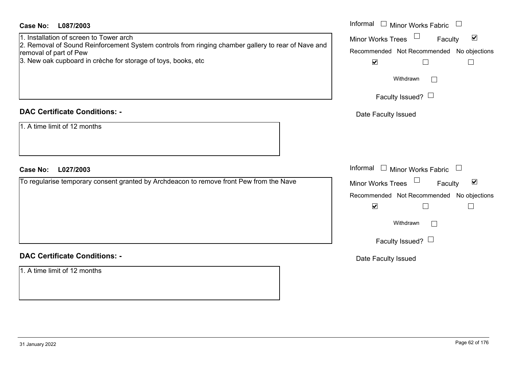| <b>Case No:</b><br>L087/2003<br>1. Installation of screen to Tower arch<br>2. Removal of Sound Reinforcement System controls from ringing chamber gallery to rear of Nave and<br>removal of part of Pew<br>3. New oak cupboard in crèche for storage of toys, books, etc | Informal $\Box$ Minor Works Fabric<br>Minor Works Trees <sup>1</sup><br>$\blacktriangledown$<br>Faculty<br>Recommended Not Recommended No objections<br>$\blacktriangledown$<br>$\Box$<br>$\mathbf{L}$ |
|--------------------------------------------------------------------------------------------------------------------------------------------------------------------------------------------------------------------------------------------------------------------------|--------------------------------------------------------------------------------------------------------------------------------------------------------------------------------------------------------|
|                                                                                                                                                                                                                                                                          | Withdrawn<br>$\Box$<br>Faculty Issued? $\Box$                                                                                                                                                          |
| <b>DAC Certificate Conditions: -</b>                                                                                                                                                                                                                                     | Date Faculty Issued                                                                                                                                                                                    |
| 1. A time limit of 12 months                                                                                                                                                                                                                                             |                                                                                                                                                                                                        |
| Case No: L027/2003                                                                                                                                                                                                                                                       | Informal $\Box$ Minor Works Fabric                                                                                                                                                                     |
| To regularise temporary consent granted by Archdeacon to remove front Pew from the Nave                                                                                                                                                                                  | Minor Works Trees $\Box$<br>$\blacktriangledown$<br>Faculty<br>Recommended Not Recommended No objections<br>$\blacktriangledown$<br>$\Box$<br>$\Box$<br>Withdrawn<br>$\Box$<br>Faculty Issued? $\Box$  |
| <b>DAC Certificate Conditions: -</b>                                                                                                                                                                                                                                     | Date Faculty Issued                                                                                                                                                                                    |
| 1. A time limit of 12 months                                                                                                                                                                                                                                             |                                                                                                                                                                                                        |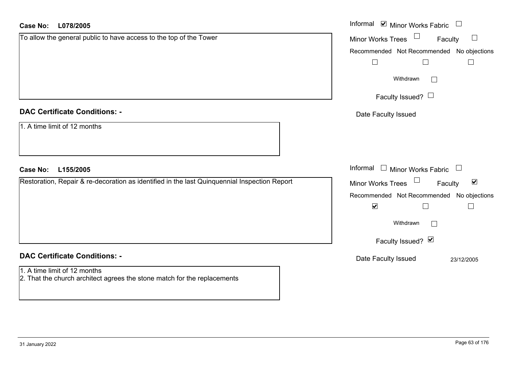| <b>Case No:</b><br>L078/2005                                                                             | Informal ⊠ Minor Works Fabric □                      |
|----------------------------------------------------------------------------------------------------------|------------------------------------------------------|
| To allow the general public to have access to the top of the Tower                                       | $\Box$<br>Faculty<br>Minor Works Trees               |
|                                                                                                          | Recommended Not Recommended No objections            |
|                                                                                                          | $\Box$<br>П                                          |
|                                                                                                          | Withdrawn                                            |
|                                                                                                          | Faculty Issued? $\Box$                               |
| <b>DAC Certificate Conditions: -</b>                                                                     | Date Faculty Issued                                  |
| 1. A time limit of 12 months                                                                             |                                                      |
| <b>Case No:</b><br>L155/2005                                                                             | Informal $\Box$ Minor Works Fabric $\Box$            |
| Restoration, Repair & re-decoration as identified in the last Quinquennial Inspection Report             | Minor Works Trees<br>$\blacktriangledown$<br>Faculty |
|                                                                                                          | Recommended Not Recommended No objections            |
|                                                                                                          | $\blacktriangledown$                                 |
|                                                                                                          | Withdrawn                                            |
|                                                                                                          | Faculty Issued? Ø                                    |
| <b>DAC Certificate Conditions: -</b>                                                                     | Date Faculty Issued<br>23/12/2005                    |
| 1. A time limit of 12 months<br>2. That the church architect agrees the stone match for the replacements |                                                      |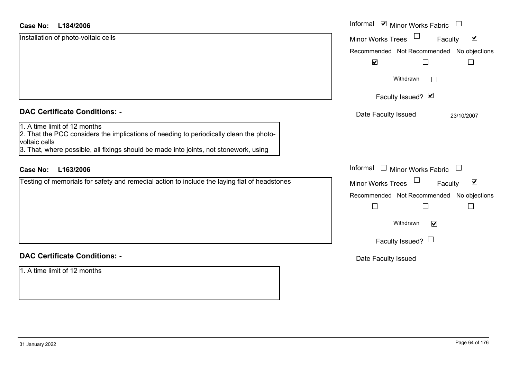#### **L184/2006Case No:**

| L184/2006<br>Case No:                                                                                                                                                                                                            | Informal <b>V</b> Minor Works Fabric<br>$\Box$                        |
|----------------------------------------------------------------------------------------------------------------------------------------------------------------------------------------------------------------------------------|-----------------------------------------------------------------------|
| Installation of photo-voltaic cells                                                                                                                                                                                              | $\Box$<br>$\blacktriangledown$<br><b>Minor Works Trees</b><br>Faculty |
|                                                                                                                                                                                                                                  | Recommended Not Recommended No objections                             |
|                                                                                                                                                                                                                                  | $\blacktriangledown$                                                  |
|                                                                                                                                                                                                                                  | Withdrawn                                                             |
|                                                                                                                                                                                                                                  | Faculty Issued? Ø                                                     |
| <b>DAC Certificate Conditions: -</b>                                                                                                                                                                                             | Date Faculty Issued<br>23/10/2007                                     |
| 1. A time limit of 12 months<br>2. That the PCC considers the implications of needing to periodically clean the photo-<br>voltaic cells<br>3. That, where possible, all fixings should be made into joints, not stonework, using |                                                                       |
| L163/2006<br><b>Case No:</b>                                                                                                                                                                                                     | Informal<br>$\Box$ Minor Works Fabric $\Box$                          |
| Testing of memorials for safety and remedial action to include the laying flat of headstones                                                                                                                                     | $\blacktriangledown$<br><b>Minor Works Trees</b><br>Faculty           |
|                                                                                                                                                                                                                                  | Recommended Not Recommended No objections                             |
|                                                                                                                                                                                                                                  | $\vert \ \ \vert$                                                     |
|                                                                                                                                                                                                                                  | Withdrawn<br>$\blacktriangledown$                                     |
|                                                                                                                                                                                                                                  | Faculty Issued? $\Box$                                                |
| <b>DAC Certificate Conditions: -</b>                                                                                                                                                                                             | Date Faculty Issued                                                   |
| 1. A time limit of 12 months                                                                                                                                                                                                     |                                                                       |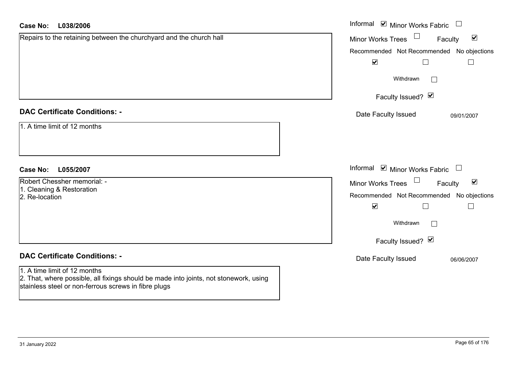| <b>Case No:</b><br>L038/2006                                                                                                                  | Informal $\blacksquare$ Minor Works Fabric $\blacksquare$   |
|-----------------------------------------------------------------------------------------------------------------------------------------------|-------------------------------------------------------------|
| Repairs to the retaining between the churchyard and the church hall                                                                           | $\blacktriangledown$<br><b>Minor Works Trees</b><br>Faculty |
|                                                                                                                                               | Recommended Not Recommended No objections                   |
|                                                                                                                                               | $\blacktriangledown$<br>$\Box$<br>$\Box$                    |
|                                                                                                                                               | Withdrawn<br>$\sim$                                         |
|                                                                                                                                               | Faculty Issued? Ø                                           |
| <b>DAC Certificate Conditions: -</b>                                                                                                          | Date Faculty Issued<br>09/01/2007                           |
| 1. A time limit of 12 months                                                                                                                  |                                                             |
|                                                                                                                                               |                                                             |
|                                                                                                                                               |                                                             |
| <b>Case No:</b><br>L055/2007                                                                                                                  | Informal $\blacksquare$ Minor Works Fabric $\Box$           |
| Robert Chessher memorial: -                                                                                                                   | Minor Works Trees<br>$\blacktriangledown$<br>Faculty        |
| 1. Cleaning & Restoration<br>2. Re-location                                                                                                   | Recommended Not Recommended No objections                   |
|                                                                                                                                               | $\blacktriangledown$<br>$\Box$                              |
|                                                                                                                                               | Withdrawn<br>$\Box$                                         |
|                                                                                                                                               | Faculty Issued? V                                           |
| <b>DAC Certificate Conditions: -</b>                                                                                                          | Date Faculty Issued<br>06/06/2007                           |
| 1. A time limit of 12 months                                                                                                                  |                                                             |
| 2. That, where possible, all fixings should be made into joints, not stonework, using<br>stainless steel or non-ferrous screws in fibre plugs |                                                             |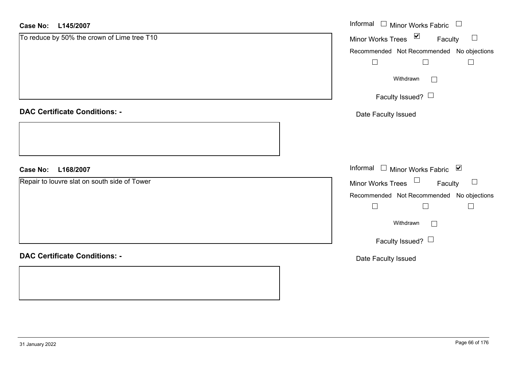| <b>Case No:</b><br>L145/2007                 | Informal □ Minor Works Fabric □                            |
|----------------------------------------------|------------------------------------------------------------|
| To reduce by 50% the crown of Lime tree T10  | Minor Works Trees ⊠<br>Faculty<br>$\overline{\phantom{a}}$ |
|                                              | Recommended Not Recommended No objections                  |
|                                              | $\Box$<br>$\Box$<br>$\Box$                                 |
|                                              | Withdrawn<br>$\Box$                                        |
|                                              | Faculty Issued? $\Box$                                     |
| <b>DAC Certificate Conditions: -</b>         | Date Faculty Issued                                        |
|                                              |                                                            |
| L168/2007<br><b>Case No:</b>                 | Informal □ Minor Works Fabric ☑                            |
| Repair to louvre slat on south side of Tower | Minor Works Trees $\Box$ Faculty<br>$\Box$                 |
|                                              | Recommended Not Recommended No objections                  |
|                                              | $\Box$<br>$\Box$<br>$\Box$                                 |
|                                              | Withdrawn<br>$\Box$                                        |
|                                              | Faculty Issued?                                            |
| <b>DAC Certificate Conditions: -</b>         | Date Faculty Issued                                        |
|                                              |                                                            |
|                                              |                                                            |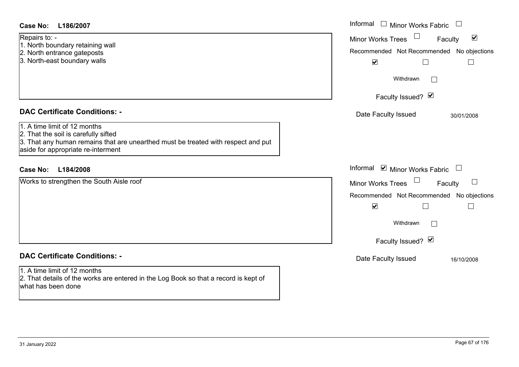| <b>Case No:</b><br>L186/2007                                                                                                                                                                    | Informal $\square$<br>Minor Works Fabric                                                                                                      |
|-------------------------------------------------------------------------------------------------------------------------------------------------------------------------------------------------|-----------------------------------------------------------------------------------------------------------------------------------------------|
| Repairs to: -<br>1. North boundary retaining wall<br>2. North entrance gateposts<br>3. North-east boundary walls                                                                                | $\blacktriangledown$<br><b>Minor Works Trees</b><br>Faculty<br>Recommended Not Recommended No objections<br>$\blacktriangledown$<br>$\Box$    |
|                                                                                                                                                                                                 | Withdrawn<br>$\vert$ $\vert$                                                                                                                  |
|                                                                                                                                                                                                 | Faculty Issued? Ø                                                                                                                             |
| <b>DAC Certificate Conditions: -</b>                                                                                                                                                            | Date Faculty Issued<br>30/01/2008                                                                                                             |
| 1. A time limit of 12 months<br>2. That the soil is carefully sifted<br>3. That any human remains that are unearthed must be treated with respect and put<br>aside for appropriate re-interment |                                                                                                                                               |
| <b>Case No:</b><br>L184/2008                                                                                                                                                                    | Informal ⊠ Minor Works Fabric                                                                                                                 |
| Works to strengthen the South Aisle roof                                                                                                                                                        | Minor Works Trees<br>$\perp$<br>Faculty<br>Recommended Not Recommended No objections<br>$\blacktriangledown$<br>$\Box$<br>Withdrawn<br>$\Box$ |
| <b>DAC Certificate Conditions: -</b>                                                                                                                                                            | Faculty Issued? Ø                                                                                                                             |
| 1. A time limit of 12 months<br>2. That details of the works are entered in the Log Book so that a record is kept of<br>what has been done                                                      | Date Faculty Issued<br>16/10/2008                                                                                                             |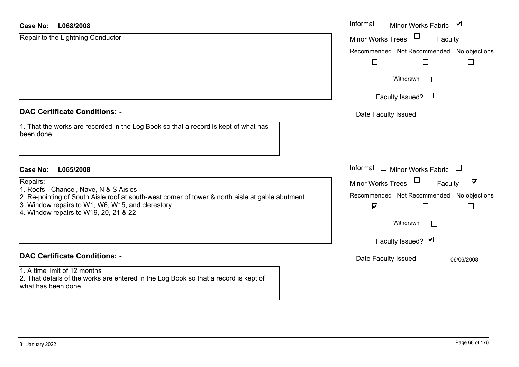#### **L068/2008Case No:**

| Case No:<br>L068/2008                                                                                                                      | Informal $\Box$ Minor Works Fabric<br>$\blacktriangledown$        |  |
|--------------------------------------------------------------------------------------------------------------------------------------------|-------------------------------------------------------------------|--|
| Repair to the Lightning Conductor                                                                                                          | <b>Minor Works Trees</b><br>$\Box$<br>Faculty                     |  |
|                                                                                                                                            | Recommended Not Recommended No object                             |  |
|                                                                                                                                            | $\mathbb{R}^n$                                                    |  |
|                                                                                                                                            | Withdrawn<br>$\Box$                                               |  |
|                                                                                                                                            | Faculty Issued? $\Box$                                            |  |
| <b>DAC Certificate Conditions: -</b>                                                                                                       | Date Faculty Issued                                               |  |
| 1. That the works are recorded in the Log Book so that a record is kept of what has<br>been done                                           |                                                                   |  |
| <b>Case No:</b><br>L065/2008                                                                                                               | Informal<br>$\Box$ Minor Works Fabric<br>$\overline{\phantom{a}}$ |  |
| Repairs: -                                                                                                                                 | $\blacktriangledown$<br><b>Minor Works Trees</b><br>Faculty       |  |
| 1. Roofs - Chancel, Nave, N & S Aisles<br>2. Re-pointing of South Aisle roof at south-west corner of tower & north aisle at gable abutment | Recommended Not Recommended No object                             |  |
| 3. Window repairs to W1, W6, W15, and clerestory<br>4. Window repairs to W19, 20, 21 & 22                                                  | $\blacktriangledown$                                              |  |
|                                                                                                                                            | Withdrawn<br>$\Box$                                               |  |
|                                                                                                                                            | Faculty Issued? Ø                                                 |  |
| <b>DAC Certificate Conditions: -</b>                                                                                                       | Date Faculty Issued<br>06/06/2008                                 |  |
| 1. A time limit of 12 months                                                                                                               |                                                                   |  |
| 2. That details of the works are entered in the Log Book so that a record is kept of                                                       |                                                                   |  |

what has been done

No objections

No objections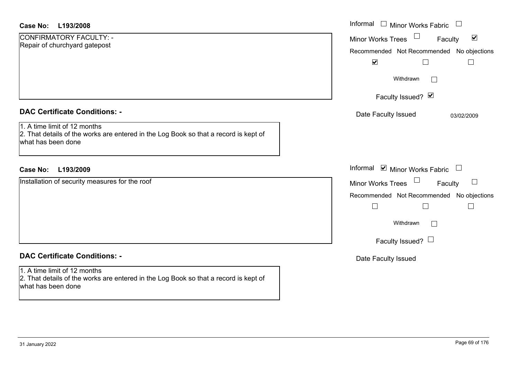| <b>Case No:</b><br>L193/2008                                                                                                                                                       | Informal<br>$\Box$<br>Minor Works Fabric                                                                                                                                  |
|------------------------------------------------------------------------------------------------------------------------------------------------------------------------------------|---------------------------------------------------------------------------------------------------------------------------------------------------------------------------|
| CONFIRMATORY FACULTY: -<br>Repair of churchyard gatepost                                                                                                                           | $\blacktriangledown$<br>Minor Works Trees<br>Faculty<br>Recommended Not Recommended No objections<br>$\blacktriangledown$                                                 |
|                                                                                                                                                                                    | Withdrawn<br>$\mathcal{L}_{\mathcal{A}}$                                                                                                                                  |
|                                                                                                                                                                                    | Faculty Issued? Ø                                                                                                                                                         |
| <b>DAC Certificate Conditions: -</b><br>1. A time limit of 12 months<br>2. That details of the works are entered in the Log Book so that a record is kept of<br>what has been done | Date Faculty Issued<br>03/02/2009                                                                                                                                         |
| L193/2009<br><b>Case No:</b>                                                                                                                                                       | Informal <b>☑</b> Minor Works Fabric                                                                                                                                      |
| Installation of security measures for the roof                                                                                                                                     | $\Box$<br><b>Minor Works Trees</b><br>$\Box$<br>Faculty<br>Recommended Not Recommended No objections<br>$\Box$<br>$\Box$<br>Withdrawn<br>$\Box$<br>Faculty Issued? $\Box$ |
| <b>DAC Certificate Conditions: -</b>                                                                                                                                               | Date Faculty Issued                                                                                                                                                       |
| 1. A time limit of 12 months<br>2. That details of the works are entered in the Log Book so that a record is kept of<br>what has been done                                         |                                                                                                                                                                           |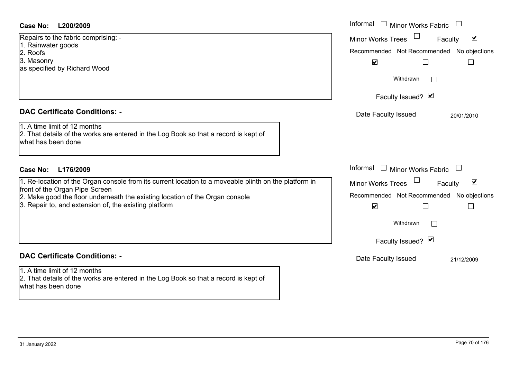#### **DAC Certificate Conditions: -**

## **DAC Certificate Conditions: -**

1. A time limit of 12 months2. That details of the works are entered in the Log Book so that a record is kept of what has been done

| Case No:<br>L200/2009                                                                                                                      | Informal □ Minor Works Fabric                        |
|--------------------------------------------------------------------------------------------------------------------------------------------|------------------------------------------------------|
| Repairs to the fabric comprising: -                                                                                                        | $\blacktriangledown$<br>Minor Works Trees<br>Faculty |
| 1. Rainwater goods                                                                                                                         | Recommended Not Recommended<br>No objections         |
| 2. Roofs                                                                                                                                   |                                                      |
| 3. Masonry<br>as specified by Richard Wood                                                                                                 | $\blacktriangledown$                                 |
|                                                                                                                                            |                                                      |
|                                                                                                                                            | Withdrawn                                            |
|                                                                                                                                            | Faculty Issued? Ø                                    |
|                                                                                                                                            |                                                      |
| <b>DAC Certificate Conditions: -</b>                                                                                                       | Date Faculty Issued<br>20/01/2010                    |
| 1. A time limit of 12 months<br>2. That details of the works are entered in the Log Book so that a record is kept of<br>what has been done |                                                      |
| <b>Case No:</b><br>L176/2009                                                                                                               | Informal □ Minor Works Fabric                        |
| 1. Re-location of the Organ console from its current location to a moveable plinth on the platform in                                      | $\blacktriangledown$<br>Minor Works Trees<br>Faculty |
| front of the Organ Pipe Screen                                                                                                             |                                                      |
| 2. Make good the floor underneath the existing location of the Organ console                                                               | Recommended Not Recommended No objections            |
| 3. Repair to, and extension of, the existing platform                                                                                      | $\blacktriangledown$                                 |
|                                                                                                                                            | Withdrawn                                            |
|                                                                                                                                            |                                                      |
|                                                                                                                                            | Faculty Issued? Ø                                    |
| <b>DAC Certificate Conditions: -</b>                                                                                                       | Date Faculty Issued<br>21/12/2009                    |
| 1. A time limit of 12 months                                                                                                               |                                                      |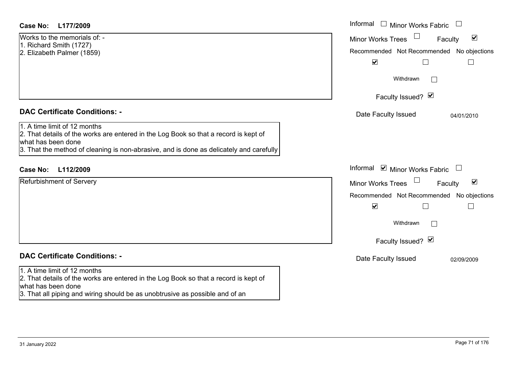| Case No:<br>L177/2009                                                                                                                                                                                                                 | Informal<br>$\Box$ Minor Works Fabric                                                                                                                                             |  |  |
|---------------------------------------------------------------------------------------------------------------------------------------------------------------------------------------------------------------------------------------|-----------------------------------------------------------------------------------------------------------------------------------------------------------------------------------|--|--|
| Works to the memorials of: -<br>1. Richard Smith (1727)<br>2. Elizabeth Palmer (1859)                                                                                                                                                 | $\blacktriangledown$<br><b>Minor Works Trees</b><br>Faculty<br>Recommended Not Recommended No objections<br>$\blacktriangledown$<br>$\Box$<br>$\Box$                              |  |  |
|                                                                                                                                                                                                                                       | Withdrawn<br>Faculty Issued? Ø                                                                                                                                                    |  |  |
| <b>DAC Certificate Conditions: -</b>                                                                                                                                                                                                  | Date Faculty Issued<br>04/01/2010                                                                                                                                                 |  |  |
| 1. A time limit of 12 months<br>2. That details of the works are entered in the Log Book so that a record is kept of<br>what has been done<br>3. That the method of cleaning is non-abrasive, and is done as delicately and carefully |                                                                                                                                                                                   |  |  |
| L112/2009<br><b>Case No:</b>                                                                                                                                                                                                          | Informal ☑ Minor Works Fabric                                                                                                                                                     |  |  |
| <b>Refurbishment of Servery</b>                                                                                                                                                                                                       | $\blacktriangledown$<br><b>Minor Works Trees</b><br>Faculty<br>Recommended Not Recommended No objections<br>$\blacktriangledown$<br>П<br>$\Box$<br>Withdrawn<br>Faculty Issued? Ø |  |  |
| <b>DAC Certificate Conditions: -</b>                                                                                                                                                                                                  | Date Faculty Issued<br>02/09/2009                                                                                                                                                 |  |  |
| 1. A time limit of 12 months<br>2. That details of the works are entered in the Log Book so that a record is kept of<br>what has been done                                                                                            |                                                                                                                                                                                   |  |  |

3. That all piping and wiring should be as unobtrusive as possible and of an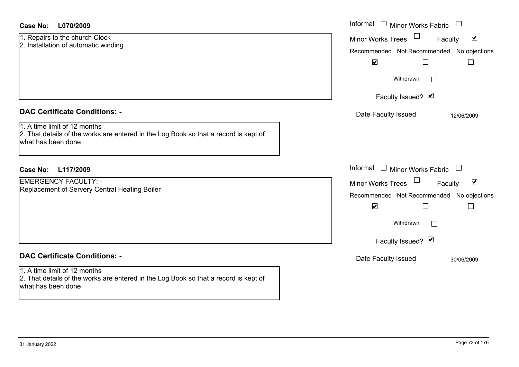| 1. Repairs to the church Clock       |  |  |
|--------------------------------------|--|--|
| 2. Installation of automatic winding |  |  |

#### **DAC Certificate Conditions: -**

1. A time limit of 12 months2. That details of the works are entered in the Log Book so that a record is kept of what has been done

#### **L117/2009Case No:** Informal

EMERGENCY FACULTY: -Replacement of Servery Central Heating Boiler

## **DAC Certificate Conditions: -**

1. A time limit of 12 months 2. That details of the works are entered in the Log Book so that a record is kept of what has been done

| L070/2009                                                                                                      | Informal $\Box$ Minor Works Fabric $\Box$                                                                                                     |
|----------------------------------------------------------------------------------------------------------------|-----------------------------------------------------------------------------------------------------------------------------------------------|
| s to the church Clock<br>ation of automatic winding                                                            | $\blacktriangledown$<br><b>Minor Works Trees</b><br>Faculty<br>Recommended Not Recommended No objections<br>$\blacktriangledown$<br>Г         |
|                                                                                                                | Withdrawn<br>Faculty Issued? Ø                                                                                                                |
| rtificate Conditions: -                                                                                        | Date Faculty Issued<br>12/06/2009                                                                                                             |
| limit of 12 months<br>etails of the works are entered in the Log Book so that a record is kept of<br>been done |                                                                                                                                               |
| L117/2009                                                                                                      | Informal $\Box$ Minor Works Fabric $\Box$                                                                                                     |
| <b>ENCY FACULTY: -</b><br>nent of Servery Central Heating Boiler                                               | Minor Works Trees<br>$\blacktriangledown$<br>Faculty<br>Recommended Not Recommended No objections<br>$\blacktriangledown$<br>$\Box$<br>$\Box$ |
|                                                                                                                | Withdrawn                                                                                                                                     |
|                                                                                                                | Faculty Issued? Ø                                                                                                                             |
| rtificate Conditions: -                                                                                        | Date Faculty Issued<br>30/06/2009                                                                                                             |
| limit of 12 months<br>etails of the works are entered in the Log Book so that a record is kept of              |                                                                                                                                               |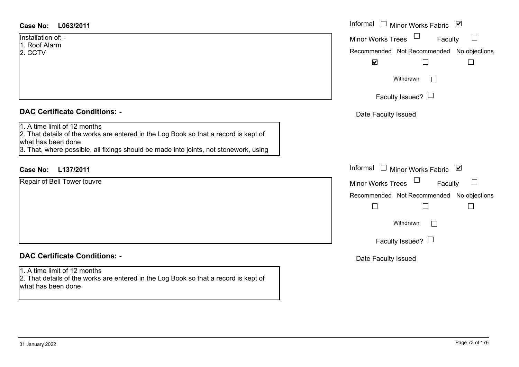| <b>Case No:</b> | L063/2011 |
|-----------------|-----------|
|-----------------|-----------|

Installation of: -1. Roof Alarm2. CCTV

#### **DAC Certificate Conditions: -**

1. A time limit of 12 months

2. That details of the works are entered in the Log Book so that a record is kept of what has been done

3. That, where possible, all fixings should be made into joints, not stonework, using

# **L137/2011Case No:** Informal

Repair of Bell Tower louvre

# **DAC Certificate Conditions: -**

1. A time limit of 12 months 2. That details of the works are entered in the Log Book so that a record is kept of what has been done

| L063/2011                                                                                                                                                                                      | Informal □ Minor Works Fabric ☑                                                                             |
|------------------------------------------------------------------------------------------------------------------------------------------------------------------------------------------------|-------------------------------------------------------------------------------------------------------------|
| n of: -<br><b>larm</b>                                                                                                                                                                         | Minor Works Trees<br>$\Box$<br>Faculty<br>Recommended Not Recommended No objections<br>$\blacktriangledown$ |
|                                                                                                                                                                                                | Withdrawn<br>Faculty Issued? $\Box$                                                                         |
| rtificate Conditions: -                                                                                                                                                                        | Date Faculty Issued                                                                                         |
| limit of 12 months<br>etails of the works are entered in the Log Book so that a record is kept of<br>been done<br>vhere possible, all fixings should be made into joints, not stonework, using |                                                                                                             |
| L137/2011                                                                                                                                                                                      | Informal □ Minor Works Fabric 凶                                                                             |
| <b>Bell Tower louvre</b>                                                                                                                                                                       | Minor Works Trees<br>$\Box$<br>Faculty<br>Recommended Not Recommended No objections<br>Г                    |
|                                                                                                                                                                                                | Withdrawn                                                                                                   |
|                                                                                                                                                                                                | Faculty Issued? $\Box$                                                                                      |
| rtificate Conditions: -                                                                                                                                                                        | Date Faculty Issued                                                                                         |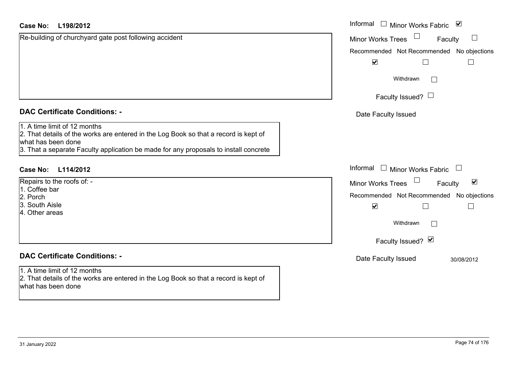#### **L198/2012Case No:**

| <b>Case No:</b><br>L198/2012                                                                                                                                                                                                       | Informal<br>$\blacktriangledown$<br>$\Box$ Minor Works Fabric |
|------------------------------------------------------------------------------------------------------------------------------------------------------------------------------------------------------------------------------------|---------------------------------------------------------------|
| Re-building of churchyard gate post following accident                                                                                                                                                                             | <b>Minor Works Trees</b><br>$\Box$<br>Faculty                 |
|                                                                                                                                                                                                                                    | Recommended Not Recommended No object                         |
|                                                                                                                                                                                                                                    | $\blacktriangledown$                                          |
|                                                                                                                                                                                                                                    | Withdrawn<br>$\mathbf{L}$                                     |
|                                                                                                                                                                                                                                    | Faculty Issued? $\Box$                                        |
| <b>DAC Certificate Conditions: -</b>                                                                                                                                                                                               | Date Faculty Issued                                           |
| 1. A time limit of 12 months<br>2. That details of the works are entered in the Log Book so that a record is kept of<br>what has been done<br>3. That a separate Faculty application be made for any proposals to install concrete |                                                               |
| <b>Case No:</b><br>L114/2012                                                                                                                                                                                                       | Informal<br>$\Box$ Minor Works Fabric<br>$\Box$               |
| Repairs to the roofs of: -                                                                                                                                                                                                         | $\blacktriangledown$<br><b>Minor Works Trees</b><br>Faculty   |
| 1. Coffee bar                                                                                                                                                                                                                      | Recommended Not Recommended No object                         |
| 2. Porch<br>3. South Aisle<br>4. Other areas                                                                                                                                                                                       | $\blacktriangledown$                                          |
|                                                                                                                                                                                                                                    | Withdrawn                                                     |
|                                                                                                                                                                                                                                    | Faculty Issued? Ø                                             |
| <b>DAC Certificate Conditions: -</b>                                                                                                                                                                                               | Date Faculty Issued<br>30/08/2012                             |
| 1. A time limit of 12 months<br>2. That details of the works are entered in the Log Book so that a record is kept of<br>what has been done                                                                                         |                                                               |

No objections

No objections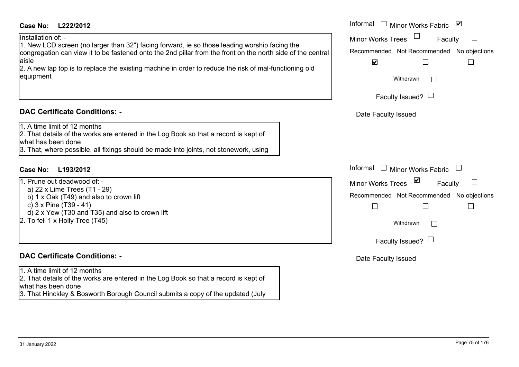#### **L222/2012Case No:** Informal

Installation of: -

1. New LCD screen (no larger than 32") facing forward, ie so those leading worship facing the congregation can view it to be fastened onto the 2nd pillar from the front on the north side of the central aisle

2. A new lap top is to replace the existing machine in order to reduce the risk of mal-functioning old equipment

#### **DAC Certificate Conditions: -**

1. A time limit of 12 months

2. That details of the works are entered in the Log Book so that a record is kept of what has been done

3. That, where possible, all fixings should be made into joints, not stonework, using

# **L193/2012Case No:** Informal

1. Prune out deadwood of: a) 22 x Lime Trees (T1 - 29) b) 1 x Oak (T49) and also to crown lift c) 3 x Pine (T39 - 41)  $\overrightarrow{d}$ ) 2 x Yew (T30 and T35) and also to crown lift 2. To fell 1 x Holly Tree (T45)

### **DAC Certificate Conditions: -**

1. A time limit of 12 months

2. That details of the works are entered in the Log Book so that a record is kept of what has been done

3. That Hinckley & Bosworth Borough Council submits a copy of the updated (July

| Informal<br><b>D</b><br>Minor Works Fabric            |
|-------------------------------------------------------|
| <b>Minor Works Trees</b><br>Faculty                   |
| Recommended Not Recommended No objections             |
| V                                                     |
| Withdrawn                                             |
| Faculty Issued? $\Box$                                |
| Date Faculty Issued                                   |
|                                                       |
|                                                       |
| Informal<br>$\mathbf{L}$<br>$\Box$ Minor Works Fabric |
| ⊻<br><b>Minor Works Trees</b><br>Faculty              |
| Recommended Not Recommended No objections             |
|                                                       |
| Withdrawn                                             |
| Faculty Issued?                                       |
| Date Faculty Issued                                   |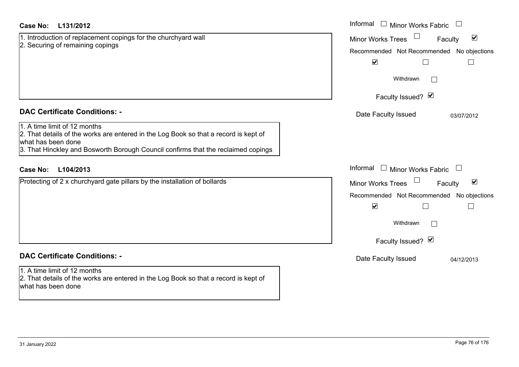| Case No:<br>L131/2012                                                                                                                                                                                                                                                   | Informal $\Box$ Minor Works Fabric<br>$\Box$                                                                                                                                      |
|-------------------------------------------------------------------------------------------------------------------------------------------------------------------------------------------------------------------------------------------------------------------------|-----------------------------------------------------------------------------------------------------------------------------------------------------------------------------------|
| 1. Introduction of replacement copings for the churchyard wall<br>2. Securing of remaining copings                                                                                                                                                                      | Minor Works Trees<br>$\blacktriangledown$<br>Faculty<br>Recommended Not Recommended No objections<br>$\blacktriangledown$<br>$\Box$<br>$\Box$                                     |
|                                                                                                                                                                                                                                                                         | Withdrawn<br>Faculty Issued? Ø                                                                                                                                                    |
| <b>DAC Certificate Conditions: -</b><br>1. A time limit of 12 months<br>2. That details of the works are entered in the Log Book so that a record is kept of<br>what has been done<br>3. That Hinckley and Bosworth Borough Council confirms that the reclaimed copings | Date Faculty Issued<br>03/07/2012                                                                                                                                                 |
| L104/2013<br><b>Case No:</b>                                                                                                                                                                                                                                            | Informal<br>$\Box$ Minor Works Fabric<br>$\Box$                                                                                                                                   |
| Protecting of 2 x churchyard gate pillars by the installation of bollards                                                                                                                                                                                               | $\blacktriangledown$<br><b>Minor Works Trees</b><br>Faculty<br>Recommended Not Recommended No objections<br>$\blacktriangledown$<br>П<br>$\Box$<br>Withdrawn<br>Faculty Issued? Ø |
| <b>DAC Certificate Conditions: -</b>                                                                                                                                                                                                                                    | Date Faculty Issued<br>04/12/2013                                                                                                                                                 |
| 1. A time limit of 12 months<br>2. That details of the works are entered in the Log Book so that a record is kept of<br>what has been done                                                                                                                              |                                                                                                                                                                                   |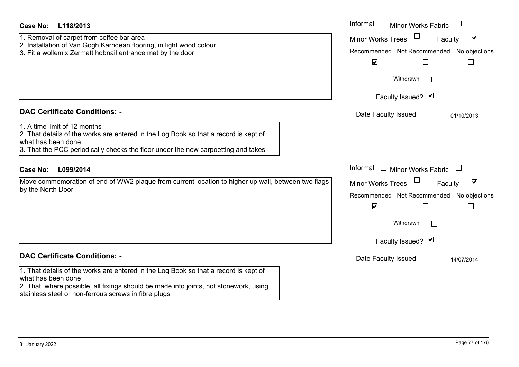| Case No:<br>L118/2013                                                                                                                                                                                                                                       | Informal $\Box$ Minor Works Fabric $\Box$                                                                                                                                                     |
|-------------------------------------------------------------------------------------------------------------------------------------------------------------------------------------------------------------------------------------------------------------|-----------------------------------------------------------------------------------------------------------------------------------------------------------------------------------------------|
| 1. Removal of carpet from coffee bar area<br>2. Installation of Van Gogh Karndean flooring, in light wood colour<br>3. Fit a wollemix Zermatt hobnail entrance mat by the door                                                                              | $\overline{\mathbf{v}}$<br><b>Minor Works Trees</b><br>Faculty<br>Recommended Not Recommended No objections<br>$\blacktriangledown$<br>$\Box$<br>$\mathsf{L}$                                 |
|                                                                                                                                                                                                                                                             | Withdrawn                                                                                                                                                                                     |
|                                                                                                                                                                                                                                                             | Faculty Issued? Ø                                                                                                                                                                             |
| <b>DAC Certificate Conditions: -</b>                                                                                                                                                                                                                        | Date Faculty Issued<br>01/10/2013                                                                                                                                                             |
| 1. A time limit of 12 months<br>2. That details of the works are entered in the Log Book so that a record is kept of<br>what has been done<br>3. That the PCC periodically checks the floor under the new carpoetting and takes                             |                                                                                                                                                                                               |
| <b>Case No:</b><br>L099/2014                                                                                                                                                                                                                                | Informal<br>$\Box$ Minor Works Fabric $\Box$                                                                                                                                                  |
| Move commemoration of end of WW2 plaque from current location to higher up wall, between two flags<br>by the North Door                                                                                                                                     | $\blacktriangledown$<br><b>Minor Works Trees</b><br>Faculty<br>Recommended Not Recommended No objections<br>$\blacktriangledown$<br>$\Box$<br>$\mathcal{A}$<br>Withdrawn<br>Faculty Issued? Ø |
| <b>DAC Certificate Conditions: -</b>                                                                                                                                                                                                                        | Date Faculty Issued<br>14/07/2014                                                                                                                                                             |
| 1. That details of the works are entered in the Log Book so that a record is kept of<br>what has been done<br>2. That, where possible, all fixings should be made into joints, not stonework, using<br>stainless steel or non-ferrous screws in fibre plugs |                                                                                                                                                                                               |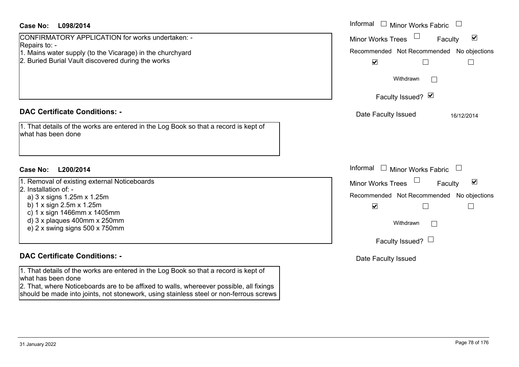| Case No:<br>L098/2014                                                                                                                                                                                | Informal $\Box$ Minor Works Fabric $\Box$                   |
|------------------------------------------------------------------------------------------------------------------------------------------------------------------------------------------------------|-------------------------------------------------------------|
| CONFIRMATORY APPLICATION for works undertaken: -                                                                                                                                                     | $\blacktriangledown$<br><b>Minor Works Trees</b><br>Faculty |
| Repairs to: -<br>1. Mains water supply (to the Vicarage) in the churchyard                                                                                                                           | Recommended Not Recommended No objections                   |
| 2. Buried Burial Vault discovered during the works                                                                                                                                                   | $\blacktriangledown$<br>$\Box$<br>$\Box$                    |
|                                                                                                                                                                                                      |                                                             |
|                                                                                                                                                                                                      | Withdrawn                                                   |
|                                                                                                                                                                                                      | Faculty Issued? Ø                                           |
| <b>DAC Certificate Conditions: -</b>                                                                                                                                                                 | Date Faculty Issued<br>16/12/2014                           |
| 1. That details of the works are entered in the Log Book so that a record is kept of<br>what has been done                                                                                           |                                                             |
| <b>Case No:</b><br>L200/2014                                                                                                                                                                         | Informal<br>$\Box$ Minor Works Fabric $\Box$                |
| 1. Removal of existing external Noticeboards                                                                                                                                                         | $\blacktriangledown$<br><b>Minor Works Trees</b><br>Faculty |
| 2. Installation of: -<br>a) 3 x signs 1.25m x 1.25m                                                                                                                                                  | Recommended Not Recommended No objections                   |
| b) $1 \times$ sign $2.5$ m $\times$ $1.25$ m                                                                                                                                                         | $\blacktriangledown$<br>П<br>$\mathbf{L}$                   |
| c) $1 \times$ sign 1466mm $\times$ 1405mm<br>d) 3 x plaques 400mm x 250mm<br>e) 2 x swing signs 500 x 750mm                                                                                          | Withdrawn                                                   |
|                                                                                                                                                                                                      | Faculty Issued? $\Box$                                      |
| <b>DAC Certificate Conditions: -</b>                                                                                                                                                                 | Date Faculty Issued                                         |
| 1. That details of the works are entered in the Log Book so that a record is kept of<br>what has been done<br>2. That where Neticeheards are to be effixed to walle, whereover pessible, all fixings |                                                             |

2. That, where Noticeboards are to be affixed to walls, whereever possible, all fixings should be made into joints, not stonework, using stainless steel or non-ferrous screws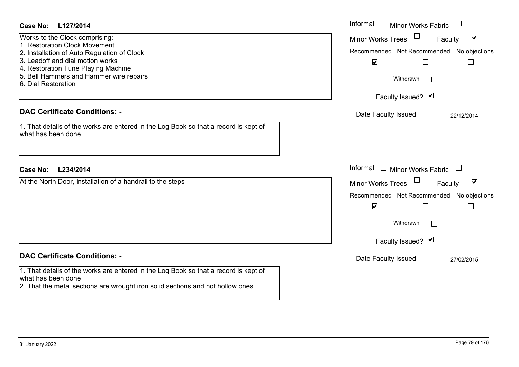| Case No:<br>L127/2014                                                                                      | Informal $\Box$ Minor Works Fabric $\Box$            |
|------------------------------------------------------------------------------------------------------------|------------------------------------------------------|
| Works to the Clock comprising: -                                                                           | Minor Works Trees<br>$\blacktriangledown$<br>Faculty |
| 1. Restoration Clock Movement<br>2. Installation of Auto Regulation of Clock                               | Recommended Not Recommended No objections            |
| 3. Leadoff and dial motion works                                                                           | $\blacktriangledown$<br>$\Box$<br>$\mathbf{I}$       |
| 4. Restoration Tune Playing Machine<br>5. Bell Hammers and Hammer wire repairs                             |                                                      |
| 6. Dial Restoration                                                                                        | Withdrawn                                            |
|                                                                                                            | Faculty Issued? Ø                                    |
| <b>DAC Certificate Conditions: -</b>                                                                       | Date Faculty Issued<br>22/12/2014                    |
| 1. That details of the works are entered in the Log Book so that a record is kept of<br>what has been done |                                                      |
|                                                                                                            |                                                      |
| <b>Case No:</b><br>L234/2014                                                                               | Informal $\Box$ Minor Works Fabric $\Box$            |
| At the North Door, installation of a handrail to the steps                                                 | Minor Works Trees<br>$\blacktriangledown$<br>Faculty |
|                                                                                                            | Recommended Not Recommended No objections            |
|                                                                                                            | $\blacktriangledown$<br>$\Box$                       |
|                                                                                                            | Withdrawn<br>$\perp$                                 |
|                                                                                                            | Faculty Issued? Ø                                    |
| <b>DAC Certificate Conditions: -</b>                                                                       | Date Faculty Issued<br>27/02/2015                    |
| 1. That details of the works are entered in the Log Book so that a record is kept of                       |                                                      |
| what has been done<br>2. That the metal sections are wrought iron solid sections and not hollow ones       |                                                      |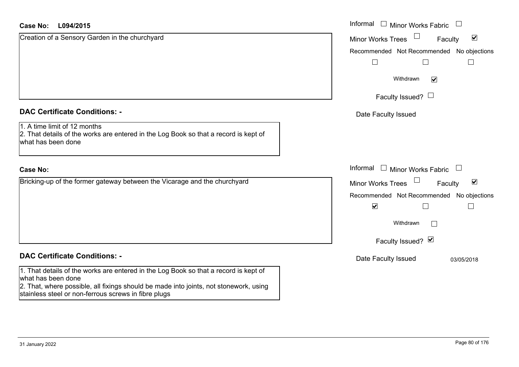#### **L094/2015Case No:**

| <b>Case No:</b><br>L094/2015                                                                                                               | Informal<br>$\Box$ Minor Works Fabric                |
|--------------------------------------------------------------------------------------------------------------------------------------------|------------------------------------------------------|
| Creation of a Sensory Garden in the churchyard                                                                                             | $\blacktriangledown$<br>Minor Works Trees<br>Faculty |
|                                                                                                                                            | Recommended Not Recommended No objections            |
|                                                                                                                                            |                                                      |
|                                                                                                                                            | Withdrawn<br>$\blacktriangledown$                    |
|                                                                                                                                            | Faculty Issued? $\Box$                               |
| <b>DAC Certificate Conditions: -</b>                                                                                                       | Date Faculty Issued                                  |
| 1. A time limit of 12 months<br>2. That details of the works are entered in the Log Book so that a record is kept of<br>what has been done |                                                      |
| <b>Case No:</b>                                                                                                                            | Informal<br>$\Box$ Minor Works Fabric                |
| Bricking-up of the former gateway between the Vicarage and the churchyard                                                                  | $\blacktriangledown$<br>Minor Works Trees<br>Faculty |
|                                                                                                                                            | Recommended Not Recommended No objections            |
|                                                                                                                                            | $\blacktriangledown$                                 |
|                                                                                                                                            | Withdrawn                                            |
|                                                                                                                                            | Faculty Issued? Ø                                    |
| <b>DAC Certificate Conditions: -</b>                                                                                                       | Date Faculty Issued<br>03/05/2018                    |
| 1. That details of the works are entered in the Log Book so that a record is kept of<br>what has been done                                 |                                                      |
| 2. That, where possible, all fixings should be made into joints, not stonework, using                                                      |                                                      |

stainless steel or non-ferrous screws in fibre plugs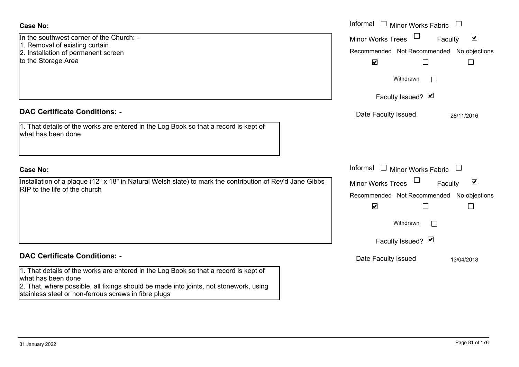| <b>Case No:</b>                                                                                                                                                                                                                                             | Informal □ Minor Works Fabric                                                                                                       |
|-------------------------------------------------------------------------------------------------------------------------------------------------------------------------------------------------------------------------------------------------------------|-------------------------------------------------------------------------------------------------------------------------------------|
| In the southwest corner of the Church: -<br>1. Removal of existing curtain<br>2. Installation of permanent screen<br>to the Storage Area                                                                                                                    | $\blacktriangledown$<br>Minor Works Trees<br>Faculty<br>Recommended Not Recommended No objections<br>$\blacktriangledown$           |
|                                                                                                                                                                                                                                                             | Withdrawn                                                                                                                           |
|                                                                                                                                                                                                                                                             | Faculty Issued? Ø                                                                                                                   |
| <b>DAC Certificate Conditions: -</b>                                                                                                                                                                                                                        | Date Faculty Issued<br>28/11/2016                                                                                                   |
| 1. That details of the works are entered in the Log Book so that a record is kept of<br>what has been done                                                                                                                                                  |                                                                                                                                     |
| <b>Case No:</b>                                                                                                                                                                                                                                             | Informal<br>$\Box$<br><b>Minor Works Fabric</b>                                                                                     |
| Installation of a plaque (12" x 18" in Natural Welsh slate) to mark the contribution of Rev'd Jane Gibbs<br>RIP to the life of the church                                                                                                                   | $\blacktriangledown$<br>Minor Works Trees<br>Faculty<br>Recommended Not Recommended No objections<br>$\blacktriangledown$<br>$\sim$ |
|                                                                                                                                                                                                                                                             | Withdrawn                                                                                                                           |
|                                                                                                                                                                                                                                                             | Faculty Issued? Ø                                                                                                                   |
| <b>DAC Certificate Conditions: -</b>                                                                                                                                                                                                                        | Date Faculty Issued<br>13/04/2018                                                                                                   |
| 1. That details of the works are entered in the Log Book so that a record is kept of<br>what has been done<br>2. That, where possible, all fixings should be made into joints, not stonework, using<br>stainless steel or non-ferrous screws in fibre plugs |                                                                                                                                     |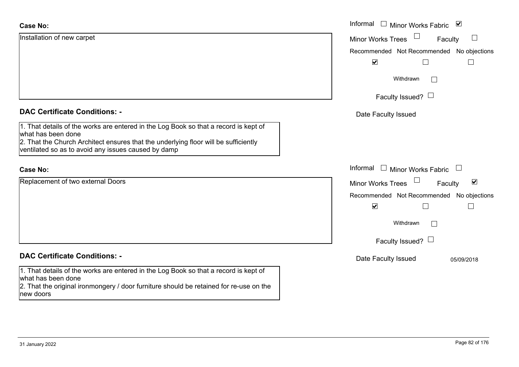| <b>Case No:</b>                                                                                                                                                                                      | Informal □ Minor Works Fabric ⊠                             |
|------------------------------------------------------------------------------------------------------------------------------------------------------------------------------------------------------|-------------------------------------------------------------|
| Installation of new carpet                                                                                                                                                                           | $\Box$<br><b>Minor Works Trees</b><br>Faculty               |
|                                                                                                                                                                                                      | Recommended Not Recommended No objections                   |
|                                                                                                                                                                                                      | $\blacktriangledown$                                        |
|                                                                                                                                                                                                      | Withdrawn<br>$\mathbb{R}^n$                                 |
|                                                                                                                                                                                                      | Faculty Issued? $\Box$                                      |
| <b>DAC Certificate Conditions: -</b>                                                                                                                                                                 | Date Faculty Issued                                         |
| 1. That details of the works are entered in the Log Book so that a record is kept of<br>what has been done                                                                                           |                                                             |
| 2. That the Church Architect ensures that the underlying floor will be sufficiently<br>ventilated so as to avoid any issues caused by damp                                                           |                                                             |
| <b>Case No:</b>                                                                                                                                                                                      | Informal<br>$\Box$<br>Minor Works Fabric                    |
| Replacement of two external Doors                                                                                                                                                                    | $\blacktriangledown$<br><b>Minor Works Trees</b><br>Faculty |
|                                                                                                                                                                                                      | Recommended Not Recommended No objections                   |
|                                                                                                                                                                                                      | $\blacktriangledown$<br>H                                   |
|                                                                                                                                                                                                      | Withdrawn                                                   |
|                                                                                                                                                                                                      | Faculty Issued? $\Box$                                      |
| <b>DAC Certificate Conditions: -</b>                                                                                                                                                                 | Date Faculty Issued<br>05/09/2018                           |
| 1. That details of the works are entered in the Log Book so that a record is kept of<br>what has been done<br>2. That the original ironmongery / door furniture should be retained for re-use on the |                                                             |
| new doors                                                                                                                                                                                            |                                                             |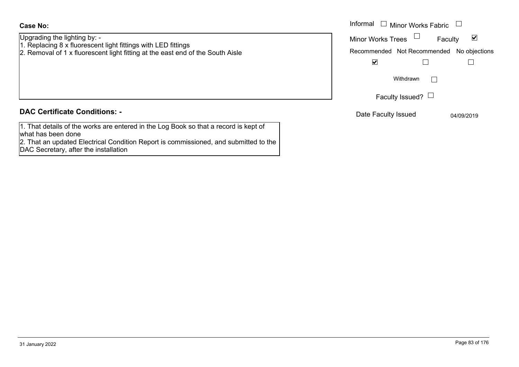#### **Case No:**

Upgrading the lighting by: - 1. Replacing 8 x fluorescent light fittings with LED fittings

2. Removal of 1 x fluorescent light fitting at the east end of the South Aisle

#### **DAC Certificate Conditions: -**

1. That details of the works are entered in the Log Book so that a record is kept of what has been done

2. That an updated Electrical Condition Report is commissioned, and submitted to the DAC Secretary, after the installation

|                                                                                                                                                                                        | Informal $\Box$<br>Minor Works Fabric                                                 |
|----------------------------------------------------------------------------------------------------------------------------------------------------------------------------------------|---------------------------------------------------------------------------------------|
| g the lighting by: -<br>$\mathop{\mathsf{sing}}\nolimits 8$ x fluorescent light fittings with LED fittings.<br>val of 1 x fluorescent light fitting at the east end of the South Aisle | <b>Minor Works Trees</b><br>⊻<br>Faculty<br>Recommended Not Recommended No objections |
|                                                                                                                                                                                        | ⊻                                                                                     |
|                                                                                                                                                                                        | Withdrawn                                                                             |
|                                                                                                                                                                                        | Faculty Issued? $\Box$                                                                |
| rtificate Conditions: -                                                                                                                                                                | Date Faculty Issued<br>04/09/2019                                                     |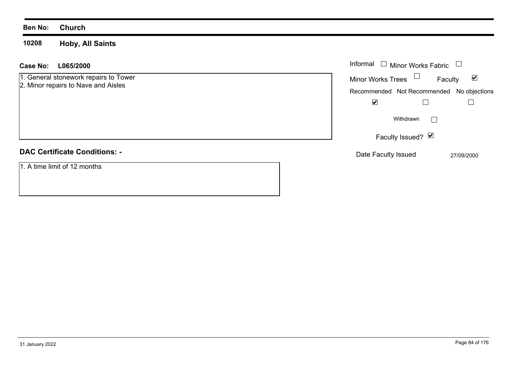**10208 Hoby, All Saints**

| L065/2000<br>Case No:                 | Informal $\Box$ Minor Works Fabric $\Box$                   |
|---------------------------------------|-------------------------------------------------------------|
| 1. General stonework repairs to Tower | <b>Minor Works Trees</b><br>$\blacktriangledown$<br>Faculty |
| 2. Minor repairs to Nave and Aisles   | Recommended Not Recommended No objections                   |
|                                       | $\blacktriangledown$                                        |
|                                       | Withdrawn                                                   |
|                                       | Faculty Issued? Ø                                           |
| <b>DAC Certificate Conditions: -</b>  | Date Faculty Issued<br>27/09/2000                           |
| 1. A time limit of 12 months          |                                                             |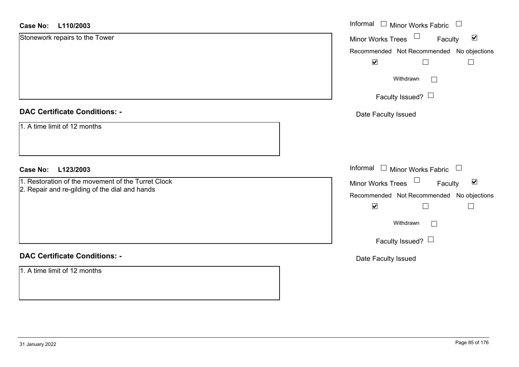#### **L110/2003Case No:**

| L110/2003<br><b>Case No:</b>                       | Informal $\Box$ Minor Works Fabric $\Box$                   |
|----------------------------------------------------|-------------------------------------------------------------|
| Stonework repairs to the Tower                     | Minor Works Trees<br>$\blacktriangledown$<br>Faculty        |
|                                                    | Recommended Not Recommended No objections                   |
|                                                    | $\blacktriangledown$<br>$\Box$<br>$\Box$                    |
|                                                    | Withdrawn<br>$\Box$                                         |
|                                                    | Faculty Issued? $\Box$                                      |
| <b>DAC Certificate Conditions: -</b>               | Date Faculty Issued                                         |
| 1. A time limit of 12 months                       |                                                             |
| L123/2003<br><b>Case No:</b>                       | Informal $\Box$ Minor Works Fabric $\Box$                   |
| 1. Restoration of the movement of the Turret Clock | Minor Works Trees $\Box$<br>$\blacktriangledown$<br>Faculty |
| 2. Repair and re-gilding of the dial and hands     | Recommended Not Recommended No objections                   |
|                                                    | $\blacktriangledown$                                        |
|                                                    | Withdrawn<br>$\Box$                                         |
|                                                    | Faculty Issued? $\Box$                                      |
| <b>DAC Certificate Conditions: -</b>               | Date Faculty Issued                                         |
| 1. A time limit of 12 months                       |                                                             |
|                                                    |                                                             |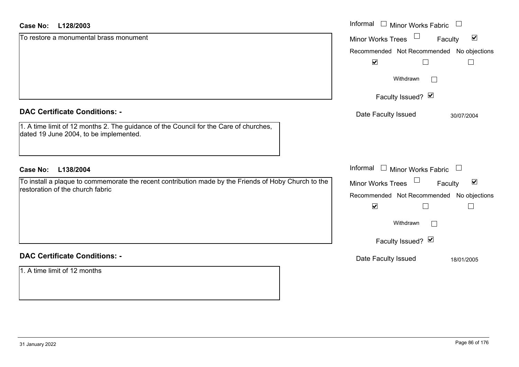#### **L128/2003Case No:**

| <b>Case No:</b><br>L128/2003                                                                                                             | Informal $\Box$ Minor Works Fabric $\Box$                             |
|------------------------------------------------------------------------------------------------------------------------------------------|-----------------------------------------------------------------------|
| To restore a monumental brass monument                                                                                                   | $\Box$<br>$\blacktriangledown$<br><b>Minor Works Trees</b><br>Faculty |
|                                                                                                                                          | Recommended Not Recommended No objections                             |
|                                                                                                                                          | $\blacktriangledown$                                                  |
|                                                                                                                                          | Withdrawn<br>$\vert \ \ \vert$                                        |
|                                                                                                                                          | Faculty Issued? Ø                                                     |
| <b>DAC Certificate Conditions: -</b>                                                                                                     | Date Faculty Issued<br>30/07/2004                                     |
| 1. A time limit of 12 months 2. The guidance of the Council for the Care of churches,<br>dated 19 June 2004, to be implemented.          |                                                                       |
|                                                                                                                                          |                                                                       |
| L138/2004<br><b>Case No:</b>                                                                                                             | Informal $\Box$ Minor Works Fabric $\Box$                             |
| To install a plaque to commemorate the recent contribution made by the Friends of Hoby Church to the<br>restoration of the church fabric | Minor Works Trees<br>$\blacktriangledown$<br>Faculty                  |
|                                                                                                                                          | Recommended Not Recommended No objections                             |
|                                                                                                                                          | $\blacktriangledown$                                                  |
|                                                                                                                                          | Withdrawn                                                             |
|                                                                                                                                          | Faculty Issued? Ø                                                     |
| <b>DAC Certificate Conditions: -</b>                                                                                                     | Date Faculty Issued<br>18/01/2005                                     |
| 1. A time limit of 12 months                                                                                                             |                                                                       |
|                                                                                                                                          |                                                                       |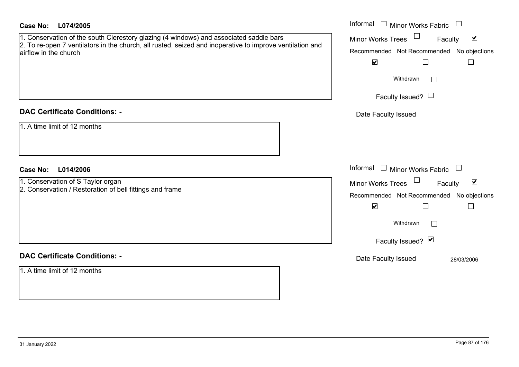| <b>Case No:</b><br>L074/2005                                                                                                      | Informal<br>$\Box$ Minor Works Fabric $\Box$                |
|-----------------------------------------------------------------------------------------------------------------------------------|-------------------------------------------------------------|
| 1. Conservation of the south Clerestory glazing (4 windows) and associated saddle bars                                            | $\blacktriangledown$<br>Minor Works Trees<br>Faculty        |
| 2. To re-open 7 ventilators in the church, all rusted, seized and inoperative to improve ventilation and<br>airflow in the church | Recommended Not Recommended No objections                   |
|                                                                                                                                   | $\blacktriangledown$<br>$\Box$<br>$\Box$                    |
|                                                                                                                                   | Withdrawn<br>$\vert \ \ \vert$                              |
|                                                                                                                                   | Faculty Issued? $\Box$                                      |
| <b>DAC Certificate Conditions: -</b>                                                                                              | Date Faculty Issued                                         |
| 1. A time limit of 12 months                                                                                                      |                                                             |
| <b>Case No:</b><br>L014/2006                                                                                                      | Informal<br>$\Box$ Minor Works Fabric $\Box$                |
| 1. Conservation of S Taylor organ                                                                                                 | $\blacktriangledown$<br><b>Minor Works Trees</b><br>Faculty |
| 2. Conservation / Restoration of bell fittings and frame                                                                          | Recommended Not Recommended No objections                   |
|                                                                                                                                   | $\blacktriangledown$<br>Г<br>$\Box$                         |
|                                                                                                                                   | Withdrawn                                                   |
|                                                                                                                                   | Faculty Issued? Ø                                           |
| <b>DAC Certificate Conditions: -</b>                                                                                              | Date Faculty Issued<br>28/03/2006                           |
| 1. A time limit of 12 months                                                                                                      |                                                             |
|                                                                                                                                   |                                                             |
|                                                                                                                                   |                                                             |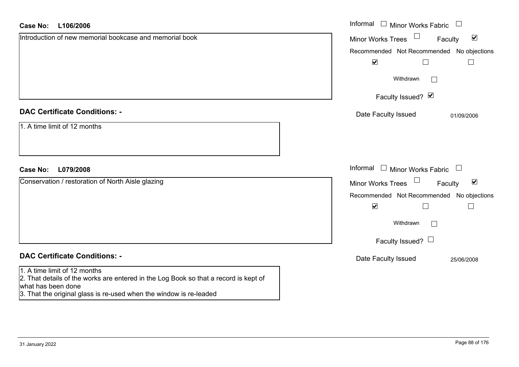| <b>Case No:</b><br>L106/2006                                                                                                                                                                                     | Informal $\Box$ Minor Works Fabric $\Box$                         |
|------------------------------------------------------------------------------------------------------------------------------------------------------------------------------------------------------------------|-------------------------------------------------------------------|
| Introduction of new memorial bookcase and memorial book                                                                                                                                                          | Minor Works Trees <sup>1</sup><br>$\blacktriangledown$<br>Faculty |
|                                                                                                                                                                                                                  | Recommended Not Recommended No objections                         |
|                                                                                                                                                                                                                  | $\blacktriangledown$<br>$\Box$<br>$\Box$                          |
|                                                                                                                                                                                                                  | Withdrawn<br>$\Box$                                               |
|                                                                                                                                                                                                                  | Faculty Issued? Ø                                                 |
| <b>DAC Certificate Conditions: -</b>                                                                                                                                                                             | Date Faculty Issued<br>01/09/2006                                 |
| 1. A time limit of 12 months                                                                                                                                                                                     |                                                                   |
|                                                                                                                                                                                                                  |                                                                   |
|                                                                                                                                                                                                                  |                                                                   |
| L079/2008<br><b>Case No:</b>                                                                                                                                                                                     | Informal $\Box$ Minor Works Fabric $\Box$                         |
| Conservation / restoration of North Aisle glazing                                                                                                                                                                | Minor Works Trees<br>$\blacktriangledown$<br>Faculty              |
|                                                                                                                                                                                                                  | Recommended Not Recommended No objections                         |
|                                                                                                                                                                                                                  | $\blacktriangledown$<br>$\Box$<br>$\Box$                          |
|                                                                                                                                                                                                                  | Withdrawn                                                         |
|                                                                                                                                                                                                                  | Faculty Issued? $\Box$                                            |
| <b>DAC Certificate Conditions: -</b>                                                                                                                                                                             | Date Faculty Issued<br>25/06/2008                                 |
| 1. A time limit of 12 months<br>2. That details of the works are entered in the Log Book so that a record is kept of<br>what has been done<br>3. That the original glass is re-used when the window is re-leaded |                                                                   |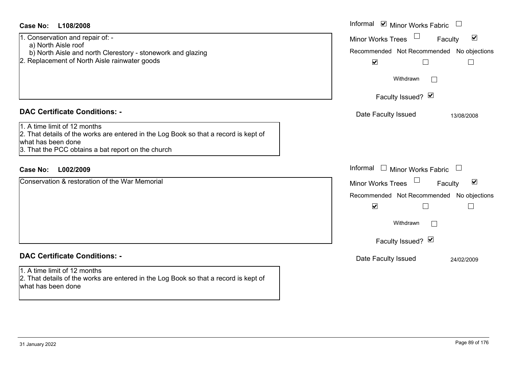| Case No:<br>L108/2008                                                                                                                                                                            | Informal $\blacksquare$ Minor Works Fabric $\blacksquare$                                                                                                                                      |
|--------------------------------------------------------------------------------------------------------------------------------------------------------------------------------------------------|------------------------------------------------------------------------------------------------------------------------------------------------------------------------------------------------|
| 1. Conservation and repair of: -<br>a) North Aisle roof<br>b) North Aisle and north Clerestory - stonework and glazing<br>2. Replacement of North Aisle rainwater goods                          | $\blacktriangledown$<br><b>Minor Works Trees</b><br>Faculty<br>Recommended Not Recommended No objections<br>$\blacktriangledown$<br>$\Box$<br>$\Box$                                           |
|                                                                                                                                                                                                  | Withdrawn<br>$\Box$<br>Faculty Issued? Ø                                                                                                                                                       |
| <b>DAC Certificate Conditions: -</b>                                                                                                                                                             | Date Faculty Issued<br>13/08/2008                                                                                                                                                              |
| 1. A time limit of 12 months<br>2. That details of the works are entered in the Log Book so that a record is kept of<br>what has been done<br>3. That the PCC obtains a bat report on the church |                                                                                                                                                                                                |
| <b>Case No:</b><br>L002/2009                                                                                                                                                                     | Informal $\Box$ Minor Works Fabric $\Box$                                                                                                                                                      |
| Conservation & restoration of the War Memorial                                                                                                                                                   | $\blacktriangledown$<br>Minor Works Trees<br>Faculty<br>Recommended Not Recommended No objections<br>$\blacktriangledown$<br>$\Box$<br>$\overline{\phantom{a}}$<br>Withdrawn<br>$\mathbb{R}^n$ |
|                                                                                                                                                                                                  | Faculty Issued? $\vee$                                                                                                                                                                         |
| <b>DAC Certificate Conditions: -</b>                                                                                                                                                             | Date Faculty Issued<br>24/02/2009                                                                                                                                                              |
| 1. A time limit of 12 months<br>2. That details of the works are entered in the Log Book so that a record is kept of                                                                             |                                                                                                                                                                                                |

what has been done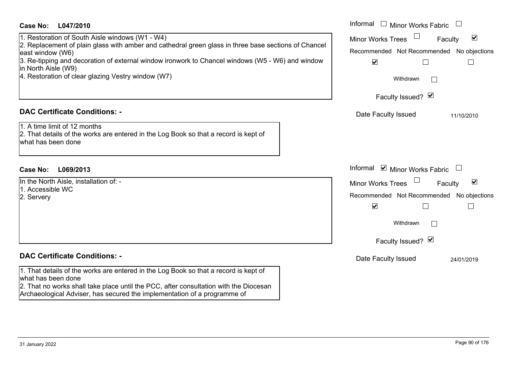| <b>Case No:</b><br>L047/2010                                                                                                                                                                                                                                                                                                                                 | Informal<br>$\Box$<br><b>Minor Works Fabric</b>                                                                                                                                                    |
|--------------------------------------------------------------------------------------------------------------------------------------------------------------------------------------------------------------------------------------------------------------------------------------------------------------------------------------------------------------|----------------------------------------------------------------------------------------------------------------------------------------------------------------------------------------------------|
| 1. Restoration of South Aisle windows (W1 - W4)<br>2. Replacement of plain glass with amber and cathedral green glass in three base sections of Chancel<br>east window (W6)<br>3. Re-tipping and decoration of external window ironwork to Chancel windows (W5 - W6) and window<br>in North Aisle (W9)<br>4. Restoration of clear glazing Vestry window (W7) | $\blacktriangledown$<br><b>Minor Works Trees</b><br>Faculty<br>Recommended Not Recommended No objections<br>$\blacktriangledown$<br>$\Box$<br>$\Box$<br>Withdrawn                                  |
|                                                                                                                                                                                                                                                                                                                                                              | Faculty Issued? Ø                                                                                                                                                                                  |
| <b>DAC Certificate Conditions: -</b><br>1. A time limit of 12 months<br>2. That details of the works are entered in the Log Book so that a record is kept of<br>what has been done                                                                                                                                                                           | Date Faculty Issued<br>11/10/2010                                                                                                                                                                  |
| <b>Case No:</b><br>L069/2013                                                                                                                                                                                                                                                                                                                                 | Informal ☑ Minor Works Fabric<br>$\Box$                                                                                                                                                            |
| In the North Aisle, installation of: -<br>1. Accessible WC<br>2. Servery                                                                                                                                                                                                                                                                                     | $\blacktriangledown$<br><b>Minor Works Trees</b><br>Faculty<br>Recommended Not Recommended No objections<br>$\blacktriangledown$<br>$\mathsf{L}$<br>$\mathbf{I}$<br>Withdrawn<br>Faculty Issued? Ø |
| <b>DAC Certificate Conditions: -</b>                                                                                                                                                                                                                                                                                                                         | Date Faculty Issued<br>24/01/2019                                                                                                                                                                  |
| 1. That details of the works are entered in the Log Book so that a record is kept of<br>what has been done<br>2. That no works shall take place until the PCC, after consultation with the Diocesan<br>Archaeological Adviser, has secured the implementation of a programme of                                                                              |                                                                                                                                                                                                    |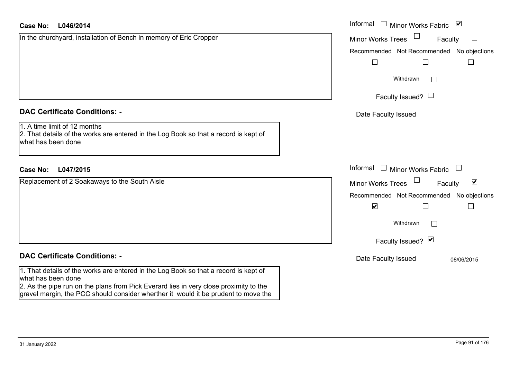| <b>Case No:</b><br>L046/2014                                                                                                                                                                                                                                                              | Informal $\Box$ Minor Works Fabric $\Box$                   |
|-------------------------------------------------------------------------------------------------------------------------------------------------------------------------------------------------------------------------------------------------------------------------------------------|-------------------------------------------------------------|
| In the churchyard, installation of Bench in memory of Eric Cropper                                                                                                                                                                                                                        | $\mathbb{R}^n$<br><b>Minor Works Trees</b><br>Faculty       |
|                                                                                                                                                                                                                                                                                           | Recommended Not Recommended No objections                   |
|                                                                                                                                                                                                                                                                                           | $\overline{\phantom{a}}$<br>$\Box$                          |
|                                                                                                                                                                                                                                                                                           | Withdrawn                                                   |
|                                                                                                                                                                                                                                                                                           | Faculty Issued? $\Box$                                      |
| <b>DAC Certificate Conditions: -</b>                                                                                                                                                                                                                                                      | Date Faculty Issued                                         |
| 1. A time limit of 12 months<br>2. That details of the works are entered in the Log Book so that a record is kept of<br>what has been done                                                                                                                                                |                                                             |
| <b>Case No:</b><br>L047/2015                                                                                                                                                                                                                                                              | Informal<br>$\Box$ Minor Works Fabric                       |
| Replacement of 2 Soakaways to the South Aisle                                                                                                                                                                                                                                             | $\blacktriangledown$<br><b>Minor Works Trees</b><br>Faculty |
|                                                                                                                                                                                                                                                                                           | Recommended Not Recommended No objections                   |
|                                                                                                                                                                                                                                                                                           | $\blacktriangledown$<br>$\vert \ \ \vert$<br>$\mathbf{I}$   |
|                                                                                                                                                                                                                                                                                           | Withdrawn                                                   |
|                                                                                                                                                                                                                                                                                           | Faculty Issued? Ø                                           |
| <b>DAC Certificate Conditions: -</b>                                                                                                                                                                                                                                                      | Date Faculty Issued<br>08/06/2015                           |
| 1. That details of the works are entered in the Log Book so that a record is kept of<br>what has been done<br>2. As the pipe run on the plans from Pick Everard lies in very close proximity to the<br>gravel margin, the PCC should consider wherther it would it be prudent to move the |                                                             |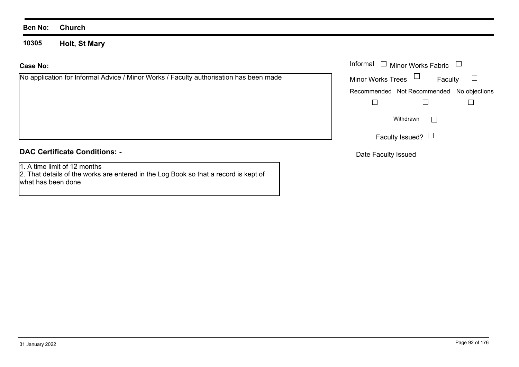**10305Holt, St Mary**

#### **Case No:**

No application for Informal Advice / Minor Works / Faculty authorisation has been made

## **DAC Certificate Conditions: -**

1. A time limit of 12 months

2. That details of the works are entered in the Log Book so that a record is kept of what has been done

|                                                                                | Informal $\Box$ Minor Works Fabric $\Box$ |
|--------------------------------------------------------------------------------|-------------------------------------------|
| cation for Informal Advice / Minor Works / Faculty authorisation has been made | Minor Works Trees<br>Faculty              |
|                                                                                | Recommended Not Recommended No objections |
|                                                                                |                                           |
|                                                                                | Withdrawn                                 |
|                                                                                | Faculty Issued? $\Box$                    |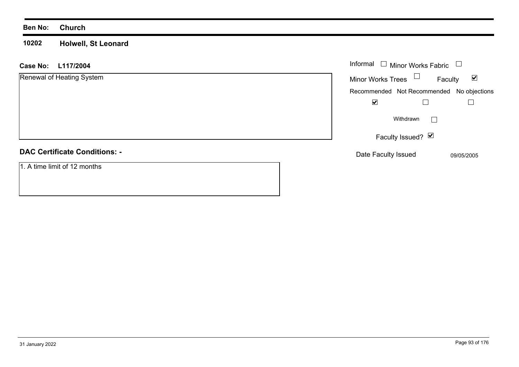#### **10202 Holwell, St Leonard**

| <b>Case No:</b><br>L117/2004         | Informal $\Box$ Minor Works Fabric                          |
|--------------------------------------|-------------------------------------------------------------|
| Renewal of Heating System            | Minor Works Trees $\Box$<br>$\blacktriangledown$<br>Faculty |
|                                      | Recommended Not Recommended No objections                   |
|                                      | ☑                                                           |
|                                      | Withdrawn                                                   |
|                                      | Faculty Issued? $\boxed{\triangleright}$                    |
| <b>DAC Certificate Conditions: -</b> | Date Faculty Issued<br>09/05/2005                           |
| 1. A time limit of 12 months         |                                                             |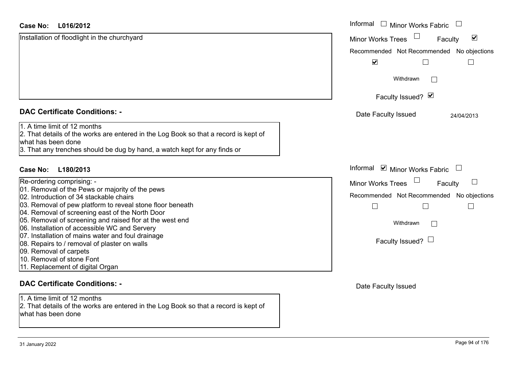| <b>Case No:</b><br>L016/2012                                                                                                                                                                                            | Informal $\Box$ Minor Works Fabric                          |
|-------------------------------------------------------------------------------------------------------------------------------------------------------------------------------------------------------------------------|-------------------------------------------------------------|
| Installation of floodlight in the churchyard                                                                                                                                                                            | $\blacktriangledown$<br><b>Minor Works Trees</b><br>Faculty |
|                                                                                                                                                                                                                         | Recommended Not Recommended No objections                   |
|                                                                                                                                                                                                                         | $\blacktriangledown$                                        |
|                                                                                                                                                                                                                         | Withdrawn                                                   |
|                                                                                                                                                                                                                         | Faculty Issued? Ø                                           |
| <b>DAC Certificate Conditions: -</b>                                                                                                                                                                                    | Date Faculty Issued<br>24/04/2013                           |
| 1. A time limit of 12 months<br>2. That details of the works are entered in the Log Book so that a record is kept of<br>what has been done<br>3. That any trenches should be dug by hand, a watch kept for any finds or |                                                             |
| L180/2013<br>Case No:                                                                                                                                                                                                   | Informal <b>☑</b> Minor Works Fabric                        |
| Re-ordering comprising: -                                                                                                                                                                                               | $\Box$<br>$\Box$<br><b>Minor Works Trees</b><br>Faculty     |
| 01. Removal of the Pews or majority of the pews                                                                                                                                                                         | Recommended Not Recommended No objections                   |
| 02. Introduction of 34 stackable chairs<br>03. Removal of pew platform to reveal stone floor beneath                                                                                                                    |                                                             |
| 04. Removal of screening east of the North Door                                                                                                                                                                         |                                                             |
| 05. Removal of screening and raised flor at the west end<br>06. Installation of accessible WC and Servery                                                                                                               | Withdrawn                                                   |
| 07. Installation of mains water and foul drainage<br>08. Repairs to / removal of plaster on walls<br>09. Removal of carpets                                                                                             | Faculty Issued? $\Box$                                      |
| 10. Removal of stone Font                                                                                                                                                                                               |                                                             |
| 11. Replacement of digital Organ                                                                                                                                                                                        |                                                             |
| <b>DAC Certificate Conditions: -</b>                                                                                                                                                                                    | Date Faculty Issued                                         |
| 1. A time limit of 12 months                                                                                                                                                                                            |                                                             |
| 2. That details of the works are entered in the Log Book so that a record is kept of<br>what has been done                                                                                                              |                                                             |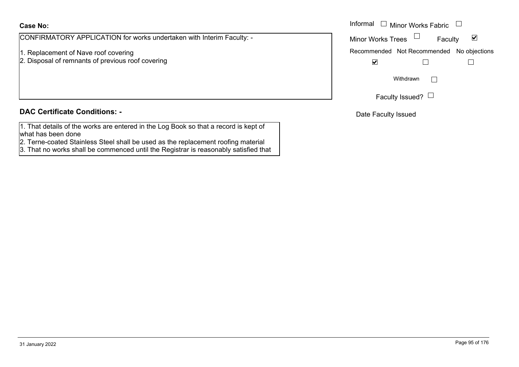#### **Case No:**

CONFIRMATORY APPLICATION for works undertaken with Interim Faculty: -

- 1. Replacement of Nave roof covering
- 2. Disposal of remnants of previous roof covering

#### **DAC Certificate Conditions: -**

- 1. That details of the works are entered in the Log Book so that a record is kept of what has been done
- 2. Terne-coated Stainless Steel shall be used as the replacement roofing material
- 3. That no works shall be commenced until the Registrar is reasonably satisfied that

|                                                                 | Informal<br>$\sqcup$ Minor Works Fabric $\;\sqcup\;$ |
|-----------------------------------------------------------------|------------------------------------------------------|
| MATORY APPLICATION for works undertaken with Interim Faculty: - | Minor Works Trees $\Box$<br>Faculty                  |
| cement of Nave roof covering                                    | Recommended Not Recommended No objections            |
| al of remnants of previous roof covering                        | ⊻                                                    |
|                                                                 | Withdrawn                                            |
|                                                                 | Faculty Issued?                                      |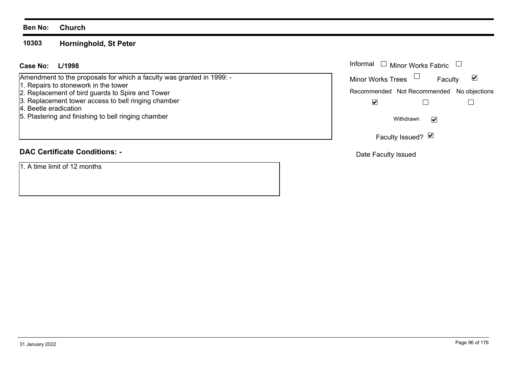**10303Horninghold, St Peter**

#### **L/1998Case No:**Informal

Amendment to the proposals for which a faculty was granted in 1999: -

- 1. Repairs to stonework in the tower
- 2. Replacement of bird guards to Spire and Tower
- 3. Replacement tower access to bell ringing chamber
- 4. Beetle eradication
- 5. Plastering and finishing to bell ringing chamber

# **DAC Certificate Conditions: -**

1. A time limit of 12 months

| Informal $\Box$ Minor Works Fabric        |         |   |
|-------------------------------------------|---------|---|
| <b>Minor Works Trees</b>                  | Faculty | M |
| Recommended Not Recommended No objections |         |   |
|                                           |         |   |
| Withdrawn                                 |         |   |
| Faculty Issued? Ø                         |         |   |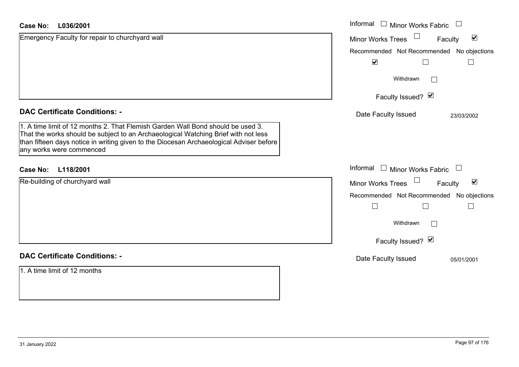| L036/2001<br>Case No:                                                                                                                                                                                                                                                                        | Informal □ Minor Works Fabric                        |
|----------------------------------------------------------------------------------------------------------------------------------------------------------------------------------------------------------------------------------------------------------------------------------------------|------------------------------------------------------|
| Emergency Faculty for repair to churchyard wall                                                                                                                                                                                                                                              | $\blacktriangledown$<br>Minor Works Trees<br>Faculty |
|                                                                                                                                                                                                                                                                                              | Recommended Not Recommended No objections            |
|                                                                                                                                                                                                                                                                                              | $\blacktriangledown$                                 |
|                                                                                                                                                                                                                                                                                              | Withdrawn<br>$\Box$                                  |
|                                                                                                                                                                                                                                                                                              | Faculty Issued? Ø                                    |
| <b>DAC Certificate Conditions: -</b>                                                                                                                                                                                                                                                         | Date Faculty Issued<br>23/03/2002                    |
| 1. A time limit of 12 months 2. That Flemish Garden Wall Bond should be used 3.<br>That the works should be subject to an Archaeological Watching Brief with not less<br>than fifteen days notice in writing given to the Diocesan Archaeological Adviser before<br>any works were commenced |                                                      |
| <b>Case No:</b><br>L118/2001                                                                                                                                                                                                                                                                 | Informal<br>$\Box$ Minor Works Fabric                |
| Re-building of churchyard wall                                                                                                                                                                                                                                                               | Minor Works Trees<br>$\blacktriangledown$<br>Faculty |
|                                                                                                                                                                                                                                                                                              | Recommended Not Recommended No objections            |
|                                                                                                                                                                                                                                                                                              | $\Box$                                               |
|                                                                                                                                                                                                                                                                                              | Withdrawn                                            |
|                                                                                                                                                                                                                                                                                              | Faculty Issued? Ø                                    |
| <b>DAC Certificate Conditions: -</b>                                                                                                                                                                                                                                                         | Date Faculty Issued<br>05/01/2001                    |
| 1. A time limit of 12 months                                                                                                                                                                                                                                                                 |                                                      |
|                                                                                                                                                                                                                                                                                              |                                                      |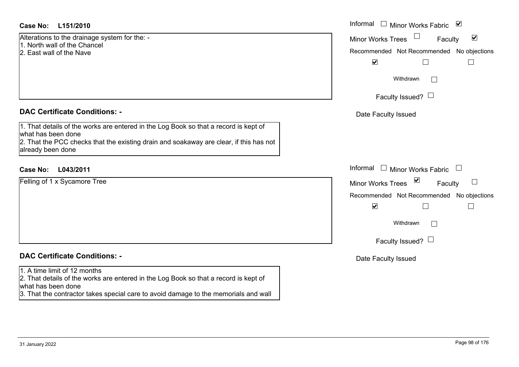#### **L151/2010Case No:** Informal

Alterations to the drainage system for the: - 1. North wall of the Chancel

- 2. East wall of the Nave
- 

#### **DAC Certificate Conditions: -**

1. That details of the works are entered in the Log Book so that a record is kept of what has been done 2. That the PCC checks that the existing drain and soakaway are clear, if this has not already been done

## **L043/2011Case No:** Informal

Felling of 1 x Sycamore Tree

# **DAC Certificate Conditions: -**

#### 1. A time limit of 12 months

2. That details of the works are entered in the Log Book so that a record is kept of what has been done

3. That the contractor takes special care to avoid damage to the memorials and wall

| Informal<br>$\blacktriangledown$<br><b>Minor Works Fabric</b>                                                 |
|---------------------------------------------------------------------------------------------------------------|
| $\blacktriangledown$<br><b>Minor Works Trees</b><br>Faculty<br>Recommended Not Recommended No objections<br>V |
| Withdrawn                                                                                                     |
| Faculty Issued? $\Box$                                                                                        |
| Date Faculty Issued                                                                                           |
| Informal<br>Minor Works Fabric $\Box$                                                                         |
| ⊻<br><b>Minor Works Trees</b><br>Faculty                                                                      |
| Recommended Not Recommended No objections<br>$\blacktriangledown$                                             |
| Withdrawn                                                                                                     |
| Faculty Issued?                                                                                               |
| Date Faculty Issued                                                                                           |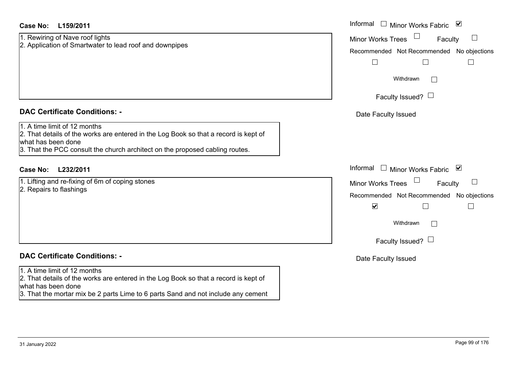### **L159/2011Case No:** Informal

1. Rewiring of Nave roof lights 2. Application of Smartwater to lead roof and downpipes

#### **DAC Certificate Conditions: -**

1. A time limit of 12 months

2. That details of the works are entered in the Log Book so that a record is kept of what has been done

3. That the PCC consult the church architect on the proposed cabling routes.

### **L232/2011Case No:** Informal

1. Lifting and re-fixing of 6m of coping stones

2. Repairs to flashings

# **DAC Certificate Conditions: -**

#### 1. A time limit of 12 months

2. That details of the works are entered in the Log Book so that a record is kept of what has been done

3. That the mortar mix be 2 parts Lime to 6 parts Sand and not include any cement

| Informal<br>⊻<br><b>Minor Works Fabric</b> |
|--------------------------------------------|
| <b>Minor Works Trees</b><br>Faculty        |
| Recommended Not Recommended No objections  |
| Withdrawn                                  |
| Faculty Issued? $\Box$                     |
| Date Faculty Issued                        |
|                                            |
|                                            |
| Informal<br>び<br>Minor Works Fabric        |
| <b>Minor Works Trees</b><br>Faculty        |
| Recommended Not Recommended No objections  |
| $\blacktriangledown$                       |
| Withdrawn                                  |
| Faculty Issued? I                          |
| Date Faculty Issued                        |
|                                            |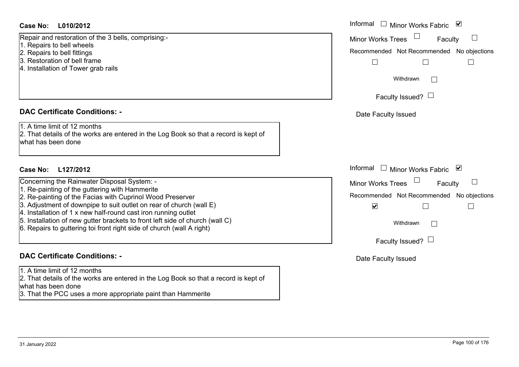#### **L010/2012Case No:** Informal

Repair and restoration of the 3 bells, comprising:-

- 1. Repairs to bell wheels
- 2. Repairs to bell fittings
- 3. Restoration of bell frame
- 4. Installation of Tower grab rails

#### **DAC Certificate Conditions: -**

1. A time limit of 12 months

2. That details of the works are entered in the Log Book so that a record is kept of what has been done

### **L127/2012Case No:** Informal

Concerning the Rainwater Disposal System: -

- 1. Re-painting of the guttering with Hammerite
- 2. Re-painting of the Facias with Cuprinol Wood Preserver
- 3. Adjustment of downpipe to suit outlet on rear of church (wall E)
- 4. Installation of 1 x new half-round cast iron running outlet
- 5. Installation of new gutter brackets to front left side of church (wall C)
- 6. Repairs to guttering toi front right side of church (wall A right)

### **DAC Certificate Conditions: -**

1. A time limit of 12 months

2. That details of the works are entered in the Log Book so that a record is kept of what has been done

3. That the PCC uses a more appropriate paint than Hammerite

| Informal<br>⊻<br>Minor Works Fabric                                                                                                                                                     |  |
|-----------------------------------------------------------------------------------------------------------------------------------------------------------------------------------------|--|
| <b>Minor Works Trees</b><br>Faculty<br>Recommended Not Recommended No objections<br>Withdrawn<br>Faculty Issued?  <br>Date Faculty Issued                                               |  |
| Informal<br>Minor Works Fabric V<br><b>Minor Works Trees</b><br>Faculty<br>Recommended Not Recommended No objections<br>⊽<br>Withdrawn<br>Faculty Issued? $\Box$<br>Date Faculty Issued |  |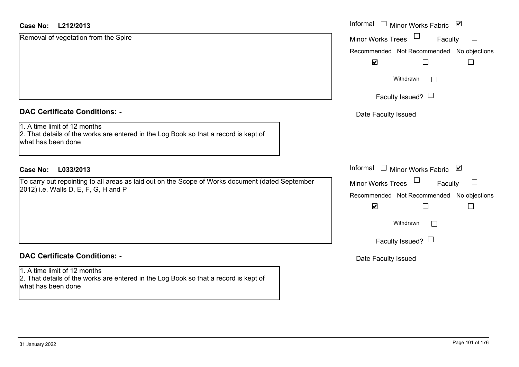#### **L212/2013Case No:** Informal

| <b>DAC Certificate Conditions: -</b> |  |
|--------------------------------------|--|
|                                      |  |

Removal of vegetation from the Spire

1. A time limit of 12 months

2. That details of the works are entered in the Log Book so that a record is kept of what has been done

### **L033/2013Case No:** Informal

To carry out repointing to all areas as laid out on the Scope of Works document (dated September 2012) i.e. Walls D, E, F, G, H and P

# **DAC Certificate Conditions: -**

1. A time limit of 12 months 2. That details of the works are entered in the Log Book so that a record is kept of what has been done

| Informal<br>⊻<br><b>Minor Works Fabric</b>                           |
|----------------------------------------------------------------------|
| <b>Minor Works Trees</b><br>Faculty                                  |
| Recommended Not Recommended No objections<br>$\overline{\mathbf{v}}$ |
| Withdrawn                                                            |
| Faculty Issued? $\Box$                                               |
| Date Faculty Issued                                                  |
|                                                                      |
| Informal<br>⊻<br>Minor Works Fabric                                  |
| <b>Minor Works Trees</b><br>Faculty                                  |
| Recommended Not Recommended No objections<br>V                       |
| Withdrawn                                                            |
| Faculty Issued?                                                      |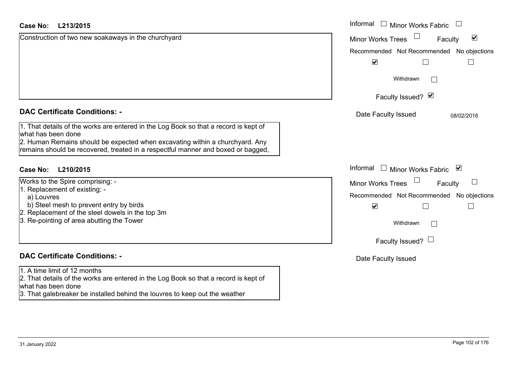| L213/2015<br><b>Case No:</b>                                                                                                                                     | Informal<br>□ Minor Works Fabric                     |
|------------------------------------------------------------------------------------------------------------------------------------------------------------------|------------------------------------------------------|
| Construction of two new soakaways in the churchyard                                                                                                              | $\blacktriangledown$<br>Minor Works Trees<br>Faculty |
|                                                                                                                                                                  | Recommended Not Recommended No objections            |
|                                                                                                                                                                  | $\blacktriangledown$                                 |
|                                                                                                                                                                  | Withdrawn<br>$\mathbb{R}^n$                          |
|                                                                                                                                                                  | Faculty Issued? Ø                                    |
| <b>DAC Certificate Conditions: -</b>                                                                                                                             | Date Faculty Issued<br>08/02/2016                    |
| 1. That details of the works are entered in the Log Book so that a record is kept of<br>what has been done                                                       |                                                      |
| 2. Human Remains should be expected when excavating within a churchyard. Any<br>remains should be recovered, treated in a respectful manner and boxed or bagged, |                                                      |
| Case No:<br>L210/2015                                                                                                                                            | Informal<br>$\Box$ Minor Works Fabric $\boxtimes$    |
| Works to the Spire comprising: -                                                                                                                                 | <b>Minor Works Trees</b><br>Faculty                  |
| 1. Replacement of existing: -<br>a) Louvres                                                                                                                      | Recommended Not Recommended No objections            |
| b) Steel mesh to prevent entry by birds<br>2. Replacement of the steel dowels in the top 3m                                                                      | $\blacktriangledown$<br>$\overline{\phantom{a}}$     |
| 3. Re-pointing of area abutting the Tower                                                                                                                        | Withdrawn<br>$\sim$                                  |
|                                                                                                                                                                  | Faculty Issued? $\Box$                               |
| <b>DAC Certificate Conditions: -</b>                                                                                                                             | Date Faculty Issued                                  |
| 1. A time limit of 12 months<br>2. That details of the works are entered in the Log Book so that a record is kept of<br>what has been done                       |                                                      |

3. That galebreaker be installed behind the louvres to keep out the weather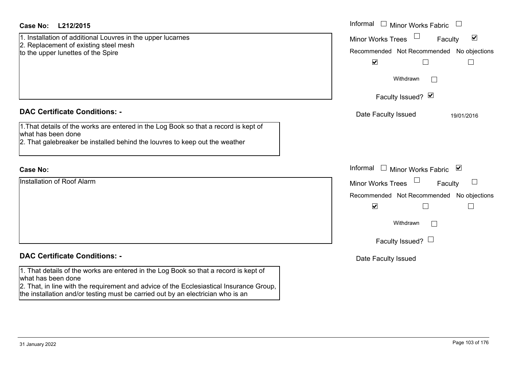| Case No:<br>L212/2015                                                                                                                                                                                                                                                                    | Informal<br>$\Box$ Minor Works Fabric                                                                                                                                                                             |
|------------------------------------------------------------------------------------------------------------------------------------------------------------------------------------------------------------------------------------------------------------------------------------------|-------------------------------------------------------------------------------------------------------------------------------------------------------------------------------------------------------------------|
| 1. Installation of additional Louvres in the upper lucarnes<br>2. Replacement of existing steel mesh<br>to the upper lunettes of the Spire                                                                                                                                               | $\blacktriangledown$<br><b>Minor Works Trees</b><br>Faculty<br>Recommended Not Recommended No objections<br>$\blacktriangledown$<br>$\mathbf{L}$<br>└                                                             |
|                                                                                                                                                                                                                                                                                          | Withdrawn<br>Faculty Issued? Ø                                                                                                                                                                                    |
| <b>DAC Certificate Conditions: -</b><br>1. That details of the works are entered in the Log Book so that a record is kept of<br>what has been done<br>2. That galebreaker be installed behind the louvres to keep out the weather                                                        | Date Faculty Issued<br>19/01/2016                                                                                                                                                                                 |
| <b>Case No:</b>                                                                                                                                                                                                                                                                          | Informal<br>$\Box$ Minor Works Fabric $\boxdot$                                                                                                                                                                   |
| Installation of Roof Alarm                                                                                                                                                                                                                                                               | $\Box$<br><b>Minor Works Trees</b><br>Faculty<br>Recommended Not Recommended No objections<br>$\blacktriangledown$<br>$\Box$<br>$\overline{\phantom{a}}$<br>Withdrawn<br>$\mathbb{R}^n$<br>Faculty Issued? $\Box$ |
| <b>DAC Certificate Conditions: -</b>                                                                                                                                                                                                                                                     | Date Faculty Issued                                                                                                                                                                                               |
| 1. That details of the works are entered in the Log Book so that a record is kept of<br>what has been done<br>2. That, in line with the requirement and advice of the Ecclesiastical Insurance Group,<br>the installation and/or testing must be carried out by an electrician who is an |                                                                                                                                                                                                                   |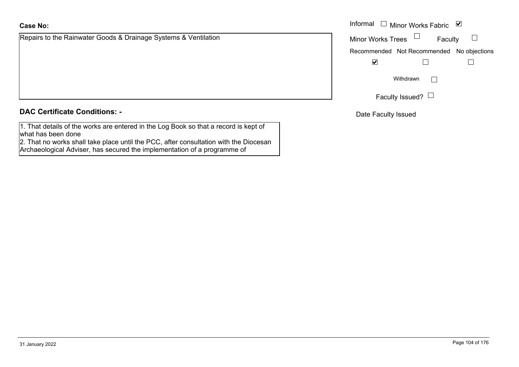# **Case No:**

Repairs to the Rainwater Goods & Drainage Systems & Ventilation

**DAC Certificate Conditions: -**

1. That details of the works are entered in the Log Book so that a record is kept of what has been done

2. That no works shall take place until the PCC, after consultation with the Diocesan Archaeological Adviser, has secured the implementation of a programme of

|                                                        | Informal $\Box$ Minor Works Fabric $\Box$ |
|--------------------------------------------------------|-------------------------------------------|
| o the Rainwater Goods & Drainage Systems & Ventilation | <b>Minor Works Trees</b><br>Faculty       |
|                                                        | Recommended Not Recommended No objections |
|                                                        | ⊻                                         |
|                                                        | Withdrawn                                 |
|                                                        | Faculty Issued? $\Box$                    |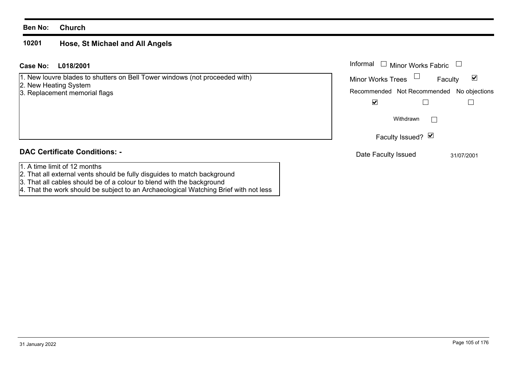#### **10201 Hose, St Michael and All Angels**

| L018/2001<br>Case No:                                                                                 | Informal<br><b>Minor Works Fabric</b>        |
|-------------------------------------------------------------------------------------------------------|----------------------------------------------|
| [1. New louvre blades to shutters on Bell Tower windows (not proceeded with)<br>2. New Heating System | ⊻<br><b>Minor Works Trees</b><br>Faculty     |
| 3. Replacement memorial flags                                                                         | Recommended Not Recommended<br>No objections |
|                                                                                                       | ⊻                                            |
|                                                                                                       | Withdrawn                                    |
|                                                                                                       | Faculty Issued? Ø                            |
| <b>DAC Certificate Conditions: -</b>                                                                  | Date Faculty Issued<br>31/07/2001            |
| 1. A time limit of 12 months                                                                          |                                              |
| 2. That all external vents should be fully disguides to match background                              |                                              |
| 3. That all cables should be of a colour to blend with the background                                 |                                              |

4. That the work should be subject to an Archaeological Watching Brief with not less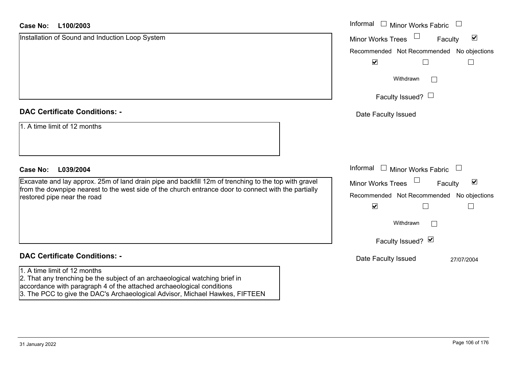| L100/2003<br>Case No:                                                                                                                                                                                                                                                | Informal □ Minor Works Fabric □                             |
|----------------------------------------------------------------------------------------------------------------------------------------------------------------------------------------------------------------------------------------------------------------------|-------------------------------------------------------------|
| Installation of Sound and Induction Loop System                                                                                                                                                                                                                      | $\blacktriangledown$<br><b>Minor Works Trees</b><br>Faculty |
|                                                                                                                                                                                                                                                                      | Recommended Not Recommended No objections                   |
|                                                                                                                                                                                                                                                                      | $\blacktriangledown$                                        |
|                                                                                                                                                                                                                                                                      | Withdrawn                                                   |
|                                                                                                                                                                                                                                                                      | Faculty Issued? $\Box$                                      |
| <b>DAC Certificate Conditions: -</b>                                                                                                                                                                                                                                 | Date Faculty Issued                                         |
| 1. A time limit of 12 months                                                                                                                                                                                                                                         |                                                             |
| L039/2004<br><b>Case No:</b>                                                                                                                                                                                                                                         | Informal<br>$\Box$ Minor Works Fabric $\Box$                |
| Excavate and lay approx. 25m of land drain pipe and backfill 12m of trenching to the top with gravel<br>from the downpipe nearest to the west side of the church entrance door to connect with the partially<br>restored pipe near the road                          | $\blacktriangledown$<br><b>Minor Works Trees</b><br>Faculty |
|                                                                                                                                                                                                                                                                      | Recommended Not Recommended No objections                   |
|                                                                                                                                                                                                                                                                      | $\blacktriangledown$                                        |
|                                                                                                                                                                                                                                                                      | Withdrawn                                                   |
|                                                                                                                                                                                                                                                                      | Faculty Issued? Ø                                           |
| <b>DAC Certificate Conditions: -</b>                                                                                                                                                                                                                                 | Date Faculty Issued<br>27/07/2004                           |
| 1. A time limit of 12 months<br>2. That any trenching be the subject of an archaeological watching brief in<br>accordance with paragraph 4 of the attached archaeological conditions<br>3. The PCC to give the DAC's Archaeological Advisor, Michael Hawkes, FIFTEEN |                                                             |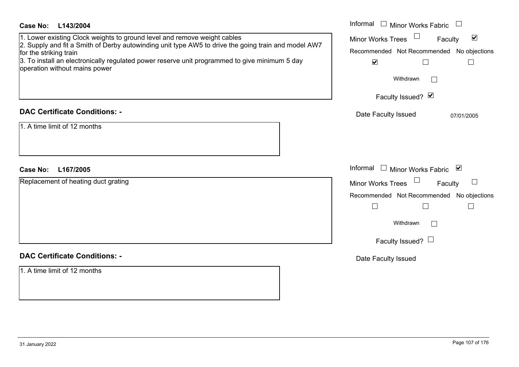| <b>Case No:</b><br>L143/2004<br>1. Lower existing Clock weights to ground level and remove weight cables<br>2. Supply and fit a Smith of Derby autowinding unit type AW5 to drive the going train and model AW7<br>for the striking train<br>3. To install an electronically regulated power reserve unit programmed to give minimum 5 day<br>operation without mains power | Informal $\Box$ Minor Works Fabric $\Box$<br>$\Box$<br>$\blacktriangledown$<br><b>Minor Works Trees</b><br>Faculty<br>Recommended Not Recommended No objections<br>$\blacktriangledown$<br>$\Box$<br>$\Box$<br>Withdrawn<br>$\sim$<br>Faculty Issued? Ø |
|-----------------------------------------------------------------------------------------------------------------------------------------------------------------------------------------------------------------------------------------------------------------------------------------------------------------------------------------------------------------------------|---------------------------------------------------------------------------------------------------------------------------------------------------------------------------------------------------------------------------------------------------------|
| <b>DAC Certificate Conditions: -</b>                                                                                                                                                                                                                                                                                                                                        | Date Faculty Issued<br>07/01/2005                                                                                                                                                                                                                       |
| 1. A time limit of 12 months                                                                                                                                                                                                                                                                                                                                                |                                                                                                                                                                                                                                                         |
| L167/2005<br><b>Case No:</b>                                                                                                                                                                                                                                                                                                                                                | Informal $\Box$ Minor Works Fabric $\Box$                                                                                                                                                                                                               |
| Replacement of heating duct grating                                                                                                                                                                                                                                                                                                                                         | Minor Works Trees<br>Faculty<br>$\Box$                                                                                                                                                                                                                  |
|                                                                                                                                                                                                                                                                                                                                                                             | Recommended Not Recommended No objections<br>$\Box$<br>$\Box$<br>$\overline{\phantom{a}}$<br>Withdrawn<br>$\Box$<br>Faculty Issued? L                                                                                                                   |
| <b>DAC Certificate Conditions: -</b>                                                                                                                                                                                                                                                                                                                                        | Date Faculty Issued                                                                                                                                                                                                                                     |
| 1. A time limit of 12 months                                                                                                                                                                                                                                                                                                                                                |                                                                                                                                                                                                                                                         |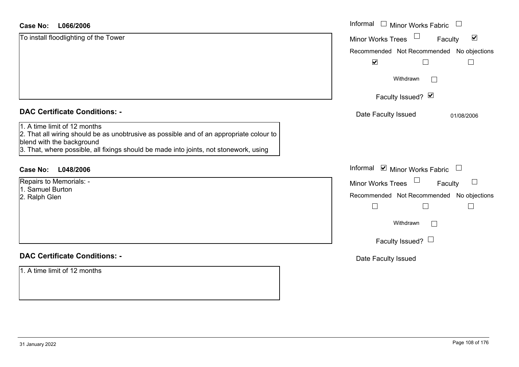| <b>Case No:</b><br>L066/2006                                                                                                                                                                                                                  | Informal $\Box$ Minor Works Fabric                          |
|-----------------------------------------------------------------------------------------------------------------------------------------------------------------------------------------------------------------------------------------------|-------------------------------------------------------------|
| To install floodlighting of the Tower                                                                                                                                                                                                         | $\blacktriangledown$<br><b>Minor Works Trees</b><br>Faculty |
|                                                                                                                                                                                                                                               | Recommended Not Recommended No objections                   |
|                                                                                                                                                                                                                                               | $\blacktriangledown$<br>$\Box$                              |
|                                                                                                                                                                                                                                               | Withdrawn<br>$\mathbf{L}$                                   |
|                                                                                                                                                                                                                                               | Faculty Issued? Ø                                           |
| <b>DAC Certificate Conditions: -</b>                                                                                                                                                                                                          | Date Faculty Issued<br>01/08/2006                           |
| 1. A time limit of 12 months<br>2. That all wiring should be as unobtrusive as possible and of an appropriate colour to<br>blend with the background<br>3. That, where possible, all fixings should be made into joints, not stonework, using |                                                             |
| L048/2006<br><b>Case No:</b>                                                                                                                                                                                                                  | Informal ☑ Minor Works Fabric                               |
| Repairs to Memorials: -                                                                                                                                                                                                                       | Minor Works Trees<br>$\overline{\phantom{0}}$<br>Faculty    |
| 1. Samuel Burton<br>2. Ralph Glen                                                                                                                                                                                                             | Recommended Not Recommended No objections                   |
|                                                                                                                                                                                                                                               | $\mathbf{L}$<br>$\mathcal{L}_{\mathcal{A}}$                 |
|                                                                                                                                                                                                                                               | Withdrawn<br>$\Box$                                         |
|                                                                                                                                                                                                                                               | Faculty Issued? $\Box$                                      |
| <b>DAC Certificate Conditions: -</b>                                                                                                                                                                                                          | Date Faculty Issued                                         |
| 1. A time limit of 12 months                                                                                                                                                                                                                  |                                                             |
|                                                                                                                                                                                                                                               |                                                             |
|                                                                                                                                                                                                                                               |                                                             |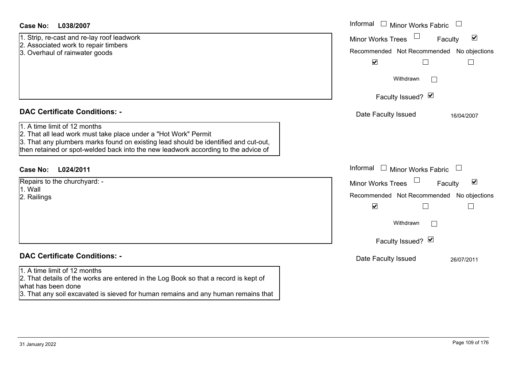| Case No: | L038/2007 |
|----------|-----------|
|----------|-----------|

1. Strip, re-cast and re-lay roof leadwork

- 2. Associated work to repair timbers
- 3. Overhaul of rainwater goods

# **DAC Certificate Conditions: -**

# 1. A time limit of 12 months

2. That all lead work must take place under a "Hot Work" Permit

3. That any plumbers marks found on existing lead should be identified and cut-out, then retained or spot-welded back into the new leadwork according to the advice of

# **L024/2011Case No:** Informal

| Repairs to the churchyard: - |  |
|------------------------------|--|
| l1. Wall                     |  |
| 2. Railings                  |  |

# **DAC Certificate Conditions: -**

# 1. A time limit of 12 months

2. That details of the works are entered in the Log Book so that a record is kept of what has been done

3. That any soil excavated is sieved for human remains and any human remains that

| L038/2007                                                                                                                                                                                                                               | Informal $\Box$ Minor Works Fabric                                                                                                                  |
|-----------------------------------------------------------------------------------------------------------------------------------------------------------------------------------------------------------------------------------------|-----------------------------------------------------------------------------------------------------------------------------------------------------|
| e-cast and re-lay roof leadwork<br>ated work to repair timbers<br>aul of rainwater goods                                                                                                                                                | $\blacktriangledown$<br>Minor Works Trees<br>Faculty<br>Recommended Not Recommended No objections<br>$\blacktriangledown$<br>$\Box$<br>$\mathbf{L}$ |
|                                                                                                                                                                                                                                         | Withdrawn<br>$\mathbb{R}$                                                                                                                           |
|                                                                                                                                                                                                                                         | Faculty Issued? Ø                                                                                                                                   |
| rtificate Conditions: -                                                                                                                                                                                                                 | Date Faculty Issued<br>16/04/2007                                                                                                                   |
| limit of 12 months<br>Il lead work must take place under a "Hot Work" Permit<br>ny plumbers marks found on existing lead should be identified and cut-out,<br>ined or spot-welded back into the new leadwork according to the advice of |                                                                                                                                                     |
| L024/2011                                                                                                                                                                                                                               | Informal $\Box$ Minor Works Fabric $\Box$                                                                                                           |
| o the churchyard: -                                                                                                                                                                                                                     | $\blacktriangledown$<br>Minor Works Trees<br>Faculty                                                                                                |
| 1S                                                                                                                                                                                                                                      | Recommended Not Recommended No objections<br>$\blacktriangledown$<br>$\Box$                                                                         |
|                                                                                                                                                                                                                                         | Withdrawn                                                                                                                                           |
|                                                                                                                                                                                                                                         | Faculty Issued? Ø                                                                                                                                   |
| rtificate Conditions: -                                                                                                                                                                                                                 | Date Faculty Issued<br>26/07/2011                                                                                                                   |
| limit of 12 months<br>ataile of the worke are entered in the Log Book eo that a record is kent of                                                                                                                                       |                                                                                                                                                     |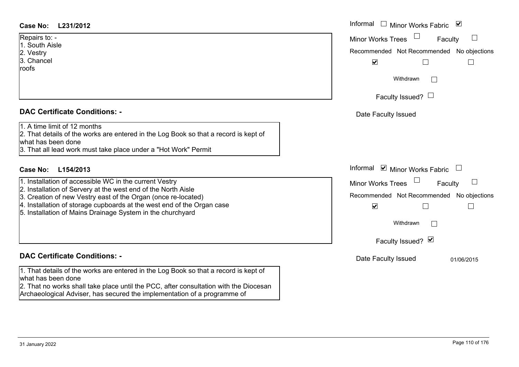# **L231/2012Case No:** Informal

Repairs to: - 1. South Aisle2. Vestry 3. Chancel roofs

# **DAC Certificate Conditions: -**

| 1. A time limit of 12 months |  |
|------------------------------|--|
|------------------------------|--|

2. That details of the works are entered in the Log Book so that a record is kept of what has been done

3. That all lead work must take place under a "Hot Work" Permit

# **L154/2013Case No:** Informal

- 1. Installation of accessible WC in the current Vestry
- 2. Installation of Servery at the west end of the North Aisle
- 3. Creation of new Vestry east of the Organ (once re-located)
- 4. Installation of storage cupboards at the west end of the Organ case
- 5. Installation of Mains Drainage System in the churchyard

# **DAC Certificate Conditions: -**

1. That details of the works are entered in the Log Book so that a record is kept of what has been done

2. That no works shall take place until the PCC, after consultation with the Diocesan Archaeological Adviser, has secured the implementation of a programme of

| Informal<br>Minor Works Fabric ⊠                                     |
|----------------------------------------------------------------------|
| <b>Minor Works Trees</b><br>Faculty                                  |
| Recommended Not Recommended No objections<br>$\overline{\mathsf{v}}$ |
| Withdrawn                                                            |
| Faculty Issued? $\Box$                                               |
| Date Faculty Issued                                                  |
|                                                                      |
|                                                                      |
| Informal ⊠ Minor Works Fabric $\Box$                                 |
| <b>Minor Works Trees</b><br>Faculty                                  |
| Recommended Not Recommended No objections                            |
| ⊻                                                                    |
| Withdrawn                                                            |
| Faculty Issued? Ø                                                    |
| Date Faculty Issued<br>01/06/2015                                    |
|                                                                      |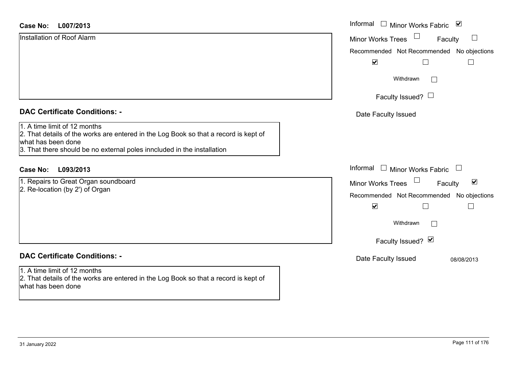#### **L007/2013Case No:**

| Case No:<br>L007/2013                                                                                                                                                                                                 | Informal □ Minor Works Fabric ⊠                      |
|-----------------------------------------------------------------------------------------------------------------------------------------------------------------------------------------------------------------------|------------------------------------------------------|
| Installation of Roof Alarm                                                                                                                                                                                            | Minor Works Trees<br>Faculty                         |
|                                                                                                                                                                                                                       | Recommended Not Recommended No objections            |
|                                                                                                                                                                                                                       | $\blacktriangledown$<br>$\Box$                       |
|                                                                                                                                                                                                                       | Withdrawn                                            |
|                                                                                                                                                                                                                       | Faculty Issued? $\Box$                               |
| <b>DAC Certificate Conditions: -</b>                                                                                                                                                                                  | Date Faculty Issued                                  |
| 1. A time limit of 12 months<br>2. That details of the works are entered in the Log Book so that a record is kept of<br>what has been done<br>3. That there should be no external poles inncluded in the installation |                                                      |
| <b>Case No:</b><br>L093/2013                                                                                                                                                                                          | Informal $\Box$ Minor Works Fabric                   |
| 1. Repairs to Great Organ soundboard                                                                                                                                                                                  | Minor Works Trees<br>$\blacktriangledown$<br>Faculty |
| 2. Re-location (by 2') of Organ                                                                                                                                                                                       | Recommended Not Recommended No objections            |
|                                                                                                                                                                                                                       | $\blacktriangledown$<br>$\mathsf{L}$                 |
|                                                                                                                                                                                                                       | Withdrawn                                            |
|                                                                                                                                                                                                                       | Faculty Issued? Ø                                    |

#### **DAC Certificate Conditions: -**

# 1. A time limit of 12 months

2. That details of the works are entered in the Log Book so that a record is kept of what has been done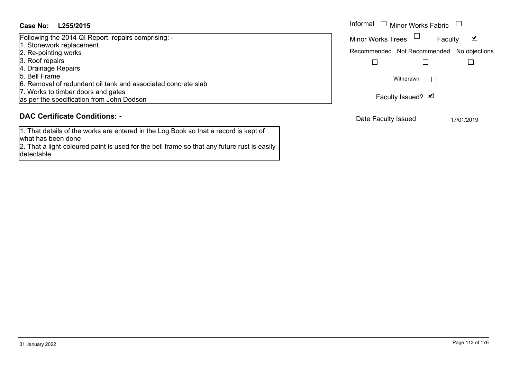# **L255/2015Case No:** Informal

| Following the 2014 QI Report, repairs comprising: -           |
|---------------------------------------------------------------|
| 1. Stonework replacement                                      |
| 2. Re-pointing works                                          |
| 3. Roof repairs                                               |
| 4. Drainage Repairs                                           |
| 5. Bell Frame                                                 |
| 6. Removal of redundant oil tank and associated concrete slab |
| 7. Works to timber doors and gates                            |
| as per the specification from John Dodson                     |

# **DAC Certificate Conditions: -**

1. That details of the works are entered in the Log Book so that a record is kept of what has been done

2. That a light-coloured paint is used for the bell frame so that any future rust is easily detectable

| Informal<br>Minor Works Fabric           |                                           |            |
|------------------------------------------|-------------------------------------------|------------|
| M<br><b>Minor Works Trees</b><br>Faculty |                                           |            |
|                                          | Recommended Not Recommended No objections |            |
|                                          |                                           |            |
|                                          | Withdrawn<br>Faculty Issued? Ø            |            |
| Date Faculty Issued                      |                                           | 17/01/2019 |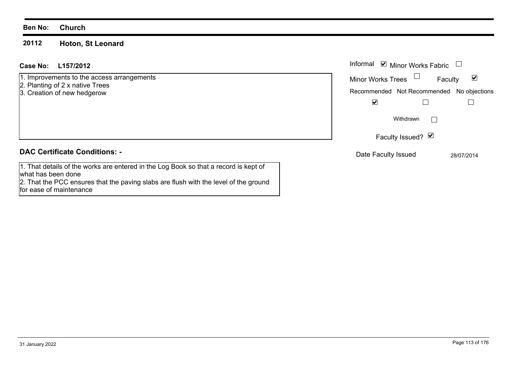#### **20112Hoton, St Leonard**

# **L157/2012Case No:** Informal

1. Improvements to the access arrangements

- 2. Planting of 2 x native Trees
- 3. Creation of new hedgerow

# **DAC Certificate Conditions: -**

1. That details of the works are entered in the Log Book so that a record is kept of what has been done 2. That the PCC ensures that the paving slabs are flush with the level of the ground for ease of maintenance

| Informal Ø Minor Works Fabric             |                   |         |            |
|-------------------------------------------|-------------------|---------|------------|
| <b>Minor Works Trees</b>                  |                   | Faculty | V          |
| Recommended Not Recommended No objections |                   |         |            |
|                                           |                   |         |            |
|                                           | Withdrawn         |         |            |
|                                           | Faculty Issued? Ø |         |            |
| Date Faculty Issued                       |                   |         | 28/07/2014 |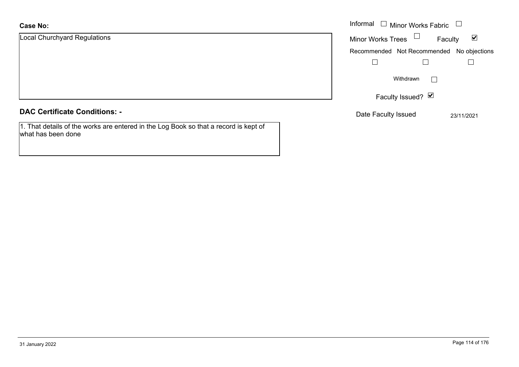#### **Case No:**

| <b>Case No:</b>                      | Informal<br>$\Box$ Minor Works Fabric                       |  |  |
|--------------------------------------|-------------------------------------------------------------|--|--|
| <b>Local Churchyard Regulations</b>  | $\blacktriangledown$<br><b>Minor Works Trees</b><br>Faculty |  |  |
|                                      | Recommended Not Recommended No objections                   |  |  |
|                                      |                                                             |  |  |
|                                      | Withdrawn<br>$\mathbb{R}$                                   |  |  |
|                                      | Faculty Issued? Ø                                           |  |  |
| <b>DAC Certificate Conditions: -</b> | Date Faculty Issued<br>23/11/2021                           |  |  |

# **DAC Certificate Conditions: -**

1. That details of the works are entered in the Log Book so that a record is kept of what has been done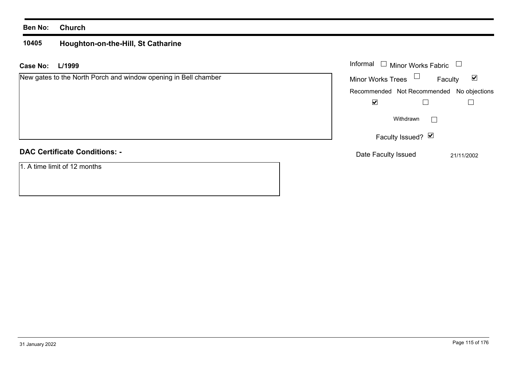#### **10405Houghton-on-the-Hill, St Catharine**

| Case No: | L/1999 |
|----------|--------|
|----------|--------|

|  |  | New gates to the North Porch and window opening in Bell chamber |
|--|--|-----------------------------------------------------------------|
|--|--|-----------------------------------------------------------------|

# **DAC Certificate Conditions: -**

1. A time limit of 12 months

| L/1999<br>٠.                                             | Informal<br>$\Box$ Minor Works Fabric $\Box$                   |  |
|----------------------------------------------------------|----------------------------------------------------------------|--|
| es to the North Porch and window opening in Bell chamber | Minor Works Trees $\Box$<br>$\overline{\mathbf{v}}$<br>Faculty |  |
|                                                          | Recommended Not Recommended No objections                      |  |
|                                                          | $\blacktriangledown$                                           |  |
|                                                          | Withdrawn                                                      |  |
|                                                          | Faculty Issued? Ø                                              |  |
| rtificate Conditions: -                                  | Date Faculty Issued<br>21/11/2002                              |  |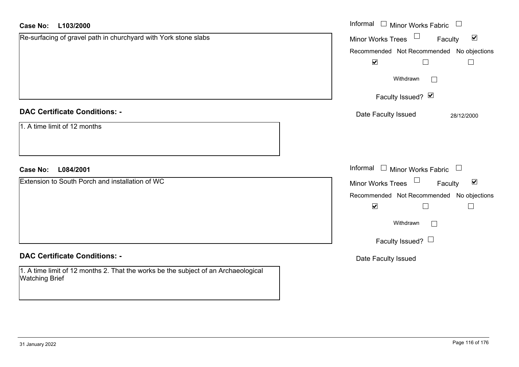| <b>Case No:</b><br>L103/2000                                                                                | Informal □ Minor Works Fabric □                      |
|-------------------------------------------------------------------------------------------------------------|------------------------------------------------------|
| Re-surfacing of gravel path in churchyard with York stone slabs                                             | Minor Works Trees<br>$\blacktriangledown$<br>Faculty |
|                                                                                                             | Recommended Not Recommended No objections            |
|                                                                                                             | $\blacktriangledown$<br>$\Box$<br>$\Box$             |
|                                                                                                             | Withdrawn<br>$\Box$                                  |
|                                                                                                             | Faculty Issued? Ø                                    |
| <b>DAC Certificate Conditions: -</b>                                                                        | Date Faculty Issued<br>28/12/2000                    |
| 1. A time limit of 12 months                                                                                |                                                      |
| L084/2001<br><b>Case No:</b>                                                                                | Informal $\Box$ Minor Works Fabric $\Box$            |
| Extension to South Porch and installation of WC                                                             | Minor Works Trees<br>$\blacktriangledown$<br>Faculty |
|                                                                                                             | Recommended Not Recommended No objections            |
|                                                                                                             | $\blacktriangledown$<br>$\Box$<br>$\Box$             |
|                                                                                                             | Withdrawn                                            |
|                                                                                                             | Faculty Issued? $\Box$                               |
| <b>DAC Certificate Conditions: -</b>                                                                        | Date Faculty Issued                                  |
| 1. A time limit of 12 months 2. That the works be the subject of an Archaeological<br><b>Watching Brief</b> |                                                      |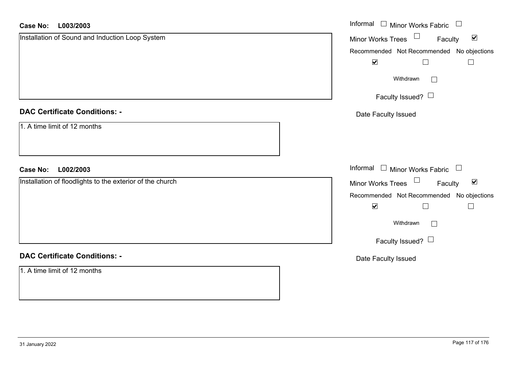| L003/2003<br><b>Case No:</b>                              | Informal $\square$<br><b>Minor Works Fabric</b><br>$\mathcal{L}_{\mathcal{A}}$ |
|-----------------------------------------------------------|--------------------------------------------------------------------------------|
| Installation of Sound and Induction Loop System           | $\Box$<br>$\blacktriangledown$<br>Minor Works Trees<br>Faculty                 |
|                                                           | Recommended Not Recommended No objections                                      |
|                                                           | $\blacktriangledown$                                                           |
|                                                           | Withdrawn                                                                      |
|                                                           | Faculty Issued?                                                                |
| <b>DAC Certificate Conditions: -</b>                      | Date Faculty Issued                                                            |
| 1. A time limit of 12 months                              |                                                                                |
| L002/2003<br><b>Case No:</b>                              | Informal<br>$\Box$ Minor Works Fabric $\Box$                                   |
| Installation of floodlights to the exterior of the church | Minor Works Trees<br>$\blacktriangledown$<br>Faculty                           |
|                                                           | Recommended Not Recommended No objections                                      |
|                                                           | $\blacktriangledown$<br>$\Box$                                                 |
|                                                           | Withdrawn                                                                      |
|                                                           | Faculty Issued?                                                                |
| <b>DAC Certificate Conditions: -</b>                      | Date Faculty Issued                                                            |
| 1. A time limit of 12 months                              |                                                                                |
|                                                           |                                                                                |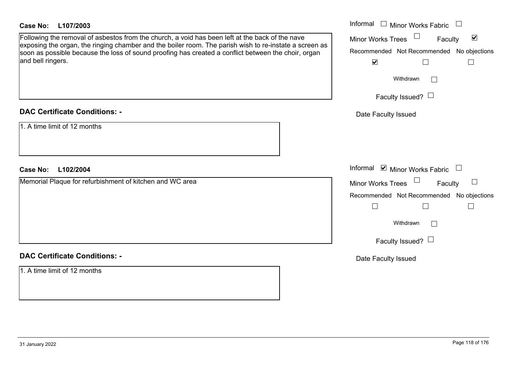# **DAC Certificate Conditions: -**

# **DAC Certificate Conditions: -**

1. A time limit of 12 months

| <b>Case No:</b><br>L107/2003                                                                                                                                                                                                                                                                                                          | Informal<br>$\mathbf{1}$<br>Minor Works Fabric                                                                            |
|---------------------------------------------------------------------------------------------------------------------------------------------------------------------------------------------------------------------------------------------------------------------------------------------------------------------------------------|---------------------------------------------------------------------------------------------------------------------------|
| Following the removal of asbestos from the church, a void has been left at the back of the nave<br>exposing the organ, the ringing chamber and the boiler room. The parish wish to re-instate a screen as<br>soon as possible because the loss of sound proofing has created a conflict between the choir, organ<br>and bell ringers. | $\blacktriangledown$<br>Minor Works Trees<br>Faculty<br>Recommended Not Recommended No objections<br>$\blacktriangledown$ |
|                                                                                                                                                                                                                                                                                                                                       | Withdrawn<br>Faculty Issued? $\Box$                                                                                       |
| <b>DAC Certificate Conditions: -</b>                                                                                                                                                                                                                                                                                                  | Date Faculty Issued                                                                                                       |
| 1. A time limit of 12 months                                                                                                                                                                                                                                                                                                          | Informal <b>☑</b> Minor Works Fabric                                                                                      |
| L102/2004<br><b>Case No:</b><br>Memorial Plaque for refurbishment of kitchen and WC area                                                                                                                                                                                                                                              |                                                                                                                           |
|                                                                                                                                                                                                                                                                                                                                       | Minor Works Trees<br>$\Box$<br>Faculty<br>Recommended Not Recommended No objections                                       |
|                                                                                                                                                                                                                                                                                                                                       | Withdrawn<br>$\overline{1}$<br>Faculty Issued? $\Box$                                                                     |
| <b>DAC Certificate Conditions: -</b>                                                                                                                                                                                                                                                                                                  | Date Faculty Issued                                                                                                       |
|                                                                                                                                                                                                                                                                                                                                       |                                                                                                                           |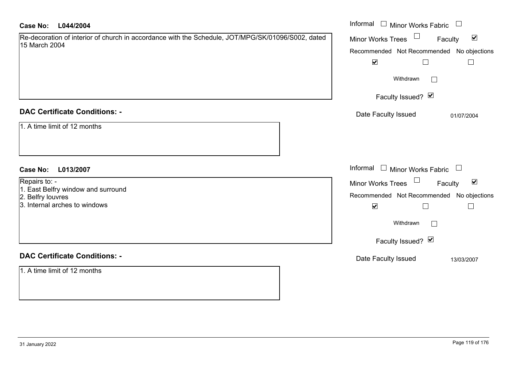| <b>Case No:</b><br>L044/2004                                                                                       | Informal $\Box$ Minor Works Fabric $\Box$                      |
|--------------------------------------------------------------------------------------------------------------------|----------------------------------------------------------------|
| Re-decoration of interior of church in accordance with the Schedule, JOT/MPG/SK/01096/S002, dated<br>15 March 2004 | $\Box$<br>$\blacktriangledown$<br>Minor Works Trees<br>Faculty |
|                                                                                                                    | Recommended Not Recommended No objections                      |
|                                                                                                                    | $\blacktriangledown$<br>$\Box$<br>$\Box$                       |
|                                                                                                                    | Withdrawn                                                      |
|                                                                                                                    | Faculty Issued? Ø                                              |
| <b>DAC Certificate Conditions: -</b>                                                                               | Date Faculty Issued<br>01/07/2004                              |
| 1. A time limit of 12 months                                                                                       |                                                                |
| <b>Case No:</b><br>L013/2007                                                                                       | Informal $\Box$ Minor Works Fabric $\Box$                      |
| Repairs to: -                                                                                                      | Minor Works Trees<br>$\blacktriangledown$<br>Faculty           |
| 1. East Belfry window and surround                                                                                 | Recommended Not Recommended No objections                      |
| 2. Belfry louvres<br>3. Internal arches to windows                                                                 | $\blacktriangledown$<br>$\Box$<br>$\Box$                       |
|                                                                                                                    | Withdrawn<br>$\mathbf{L}$                                      |
|                                                                                                                    | Faculty Issued? Ø                                              |
| <b>DAC Certificate Conditions: -</b>                                                                               | Date Faculty Issued<br>13/03/2007                              |
| 1. A time limit of 12 months                                                                                       |                                                                |
|                                                                                                                    |                                                                |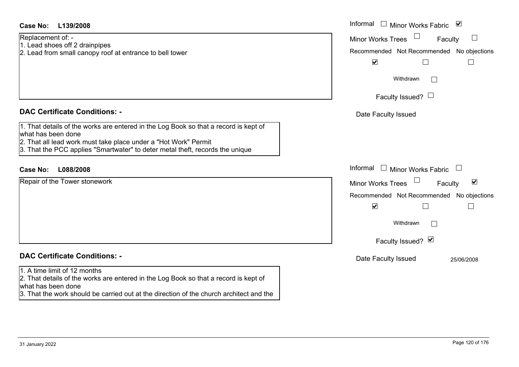| <b>Case No:</b><br>L139/2008                                                                                                                                                                                                                                   | Informal<br>$\Box$ Minor Works Fabric $\Box$                                                                                       |
|----------------------------------------------------------------------------------------------------------------------------------------------------------------------------------------------------------------------------------------------------------------|------------------------------------------------------------------------------------------------------------------------------------|
| Replacement of: -<br>1. Lead shoes off 2 drainpipes<br>2. Lead from small canopy roof at entrance to bell tower                                                                                                                                                | <b>Minor Works Trees</b><br>Faculty<br>Recommended Not Recommended No objections<br>$\blacktriangledown$<br>$\Box$<br>$\mathbf{I}$ |
|                                                                                                                                                                                                                                                                | Withdrawn                                                                                                                          |
|                                                                                                                                                                                                                                                                | Faculty Issued? $\Box$                                                                                                             |
| <b>DAC Certificate Conditions: -</b>                                                                                                                                                                                                                           | Date Faculty Issued                                                                                                                |
| 1. That details of the works are entered in the Log Book so that a record is kept of<br>what has been done<br>2. That all lead work must take place under a "Hot Work" Permit<br>3. That the PCC applies "Smartwater" to deter metal theft, records the unique |                                                                                                                                    |
| <b>Case No:</b><br>L088/2008                                                                                                                                                                                                                                   | Informal<br>$\Box$ Minor Works Fabric $\Box$                                                                                       |
| Repair of the Tower stonework                                                                                                                                                                                                                                  | $\blacktriangledown$<br>Minor Works Trees<br>Faculty                                                                               |
|                                                                                                                                                                                                                                                                | Recommended Not Recommended No objections                                                                                          |
|                                                                                                                                                                                                                                                                | $\blacktriangledown$<br>$\Box$                                                                                                     |
|                                                                                                                                                                                                                                                                | Withdrawn                                                                                                                          |
|                                                                                                                                                                                                                                                                | Faculty Issued? Ø                                                                                                                  |
| <b>DAC Certificate Conditions: -</b>                                                                                                                                                                                                                           | Date Faculty Issued<br>25/06/2008                                                                                                  |
| 1. A time limit of 12 months<br>2. That details of the works are entered in the Log Book so that a record is kept of<br>what has been done<br>3. That the work should be carried out at the direction of the church architect and the                          |                                                                                                                                    |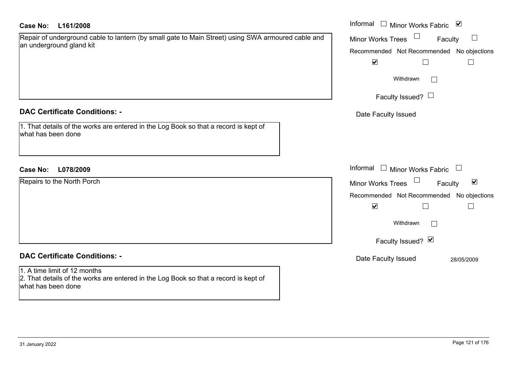# **L161/2008Case No:** Informal

| Repair of underground cable to lantern (by small gate to Main Street) using SWA armoured cable and |  |
|----------------------------------------------------------------------------------------------------|--|
| an underground gland kit                                                                           |  |

# **DAC Certificate Conditions: -**

1. That details of the works are entered in the Log Book so that a record is kept of what has been done

# **L078/2009Case No:** Informal

Repairs to the North Porch

## **DAC Certificate Conditions: -**

1. A time limit of 12 months 2. That details of the works are entered in the Log Book so that a record is kept of what has been done

| Informal<br>⊻<br>Minor Works Fabric            |
|------------------------------------------------|
| <b>Minor Works Trees</b><br>Faculty            |
| Recommended Not Recommended No objections<br>M |
| Withdrawn                                      |
| Faculty Issued?                                |
| Date Faculty Issued                            |
|                                                |
|                                                |
| Informal<br><b>Minor Works Fabric</b>          |
| ⊻<br><b>Minor Works Trees</b><br>Faculty       |
| Recommended Not Recommended No objections      |
| M                                              |
| Withdrawn                                      |
| Faculty Issued? Ø                              |
| Date Faculty Issued<br>28/05/2009              |
|                                                |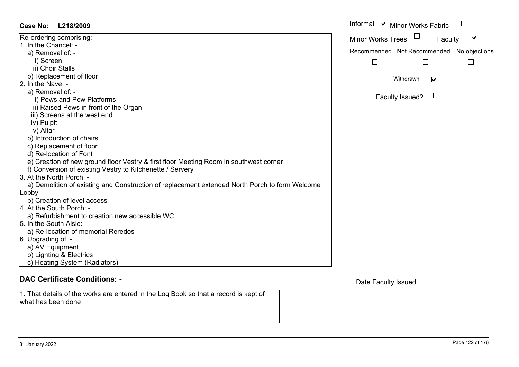| <b>Case No:</b><br>L218/2009                                                                   | Informal |
|------------------------------------------------------------------------------------------------|----------|
| Re-ordering comprising: -                                                                      | Minor W  |
| 1. In the Chancel: -                                                                           |          |
| a) Removal of: -                                                                               | Recomm   |
| i) Screen                                                                                      |          |
| ii) Choir Stalls                                                                               |          |
| b) Replacement of floor                                                                        |          |
| 2. In the Nave: -                                                                              |          |
| a) Removal of: -                                                                               |          |
| i) Pews and Pew Platforms                                                                      |          |
| ii) Raised Pews in front of the Organ                                                          |          |
| iii) Screens at the west end                                                                   |          |
| iv) Pulpit                                                                                     |          |
| v) Altar                                                                                       |          |
| b) Introduction of chairs                                                                      |          |
| c) Replacement of floor                                                                        |          |
| d) Re-location of Font                                                                         |          |
| e) Creation of new ground floor Vestry & first floor Meeting Room in southwest corner          |          |
| f) Conversion of existing Vestry to Kitchenette / Servery                                      |          |
| 3. At the North Porch: -                                                                       |          |
| a) Demolition of existing and Construction of replacement extended North Porch to form Welcome |          |
| Lobby                                                                                          |          |
| b) Creation of level access                                                                    |          |
| 4. At the South Porch: -                                                                       |          |
| a) Refurbishment to creation new accessible WC                                                 |          |
| 5. In the South Aisle: -                                                                       |          |
| a) Re-location of memorial Reredos                                                             |          |
| 6. Upgrading of: -                                                                             |          |
| a) AV Equipment                                                                                |          |
| b) Lighting & Electrics                                                                        |          |
| c) Heating System (Radiators)                                                                  |          |

1. That details of the works are entered in the Log Book so that a record is kept of what has been done

| Informal                 | $\triangledown$ Minor Works Fabric        |  |
|--------------------------|-------------------------------------------|--|
| <b>Minor Works Trees</b> | Faculty                                   |  |
|                          | Recommended Not Recommended No objections |  |
|                          |                                           |  |
|                          | Withdrawn<br>Faculty Issued?              |  |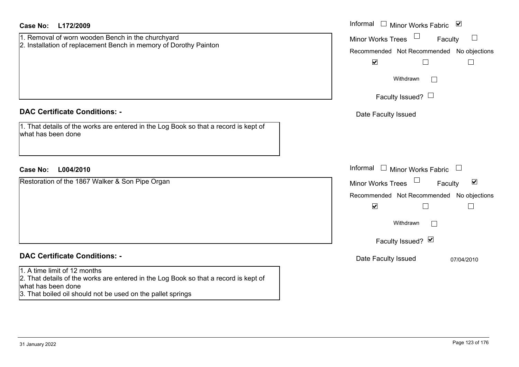| <b>Case No:</b><br>L172/2009                                                                                                                                                                              | Informal $\Box$ Minor Works Fabric $\Box$                                                                                                                                                |
|-----------------------------------------------------------------------------------------------------------------------------------------------------------------------------------------------------------|------------------------------------------------------------------------------------------------------------------------------------------------------------------------------------------|
| 1. Removal of worn wooden Bench in the churchyard<br>2. Installation of replacement Bench in memory of Dorothy Painton                                                                                    | $\mathcal{L}_{\mathcal{A}}$<br><b>Minor Works Trees</b><br>Faculty<br>Recommended Not Recommended No objections<br>$\blacktriangledown$<br>$\Box$<br>$\mathsf{L}$<br>Withdrawn<br>$\sim$ |
|                                                                                                                                                                                                           | Faculty Issued? $\Box$                                                                                                                                                                   |
| <b>DAC Certificate Conditions: -</b><br>1. That details of the works are entered in the Log Book so that a record is kept of<br>what has been done                                                        | Date Faculty Issued                                                                                                                                                                      |
| L004/2010<br><b>Case No:</b>                                                                                                                                                                              | Informal<br>$\perp$<br>Minor Works Fabric                                                                                                                                                |
| Restoration of the 1867 Walker & Son Pipe Organ                                                                                                                                                           | $\blacktriangledown$<br><b>Minor Works Trees</b><br>Faculty<br>Recommended Not Recommended No objections<br>$\blacktriangledown$<br>$\Box$<br>Withdrawn<br>Faculty Issued? Ø             |
| <b>DAC Certificate Conditions: -</b>                                                                                                                                                                      | Date Faculty Issued<br>07/04/2010                                                                                                                                                        |
| 1. A time limit of 12 months<br>2. That details of the works are entered in the Log Book so that a record is kept of<br>what has been done<br>3. That boiled oil should not be used on the pallet springs |                                                                                                                                                                                          |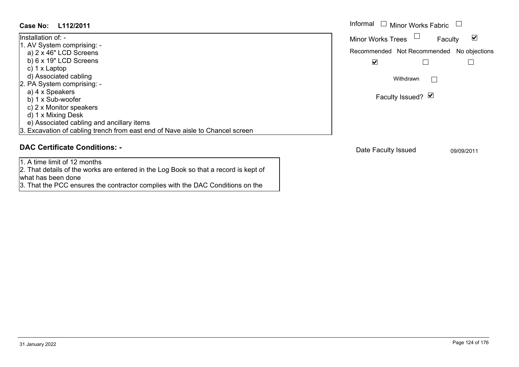| Case No: L112/2011                                                            | Informal |
|-------------------------------------------------------------------------------|----------|
| Installation of: -                                                            | Minor W  |
| 1. AV System comprising: -                                                    |          |
| a) $2 \times 46$ " LCD Screens                                                | Recomm   |
| b) $6 \times 19$ " LCD Screens                                                |          |
| c) $1 \times$ Laptop                                                          |          |
| d) Associated cabling                                                         |          |
| 2. PA System comprising: -                                                    |          |
| a) 4 x Speakers                                                               |          |
| b) 1 x Sub-woofer                                                             |          |
| c) 2 x Monitor speakers                                                       |          |
| d) 1 x Mixing Desk                                                            |          |
| e) Associated cabling and ancillary items                                     |          |
| 3. Excavation of cabling trench from east end of Nave aisle to Chancel screen |          |

1. A time limit of 12 months

2. That details of the works are entered in the Log Book so that a record is kept of what has been done

3. That the PCC ensures the contractor complies with the DAC Conditions on the

| Informal<br>$\Box$ Minor Works Fabric     |  |
|-------------------------------------------|--|
| <b>Minor Works Trees</b><br>Faculty       |  |
| Recommended Not Recommended No objections |  |
|                                           |  |
| Withdrawn                                 |  |
| Faculty Issued? Ø                         |  |
|                                           |  |
|                                           |  |

Date Faculty Issued 09/09/2011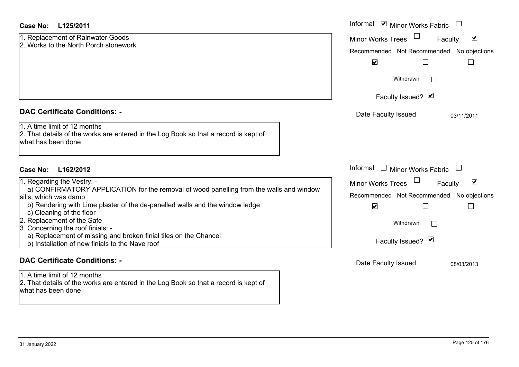|  | 1. Replacement of Rainwater Goods     |
|--|---------------------------------------|
|  | 2. Works to the North Porch stonework |

| 1. Regarding the Vestry: -                                                              |
|-----------------------------------------------------------------------------------------|
| a) CONFIRMATORY APPLICATION for the removal of wood panelling from the walls and window |
| sills, which was damp                                                                   |
| b) Rendering with Lime plaster of the de-panelled walls and the window ledge            |
| c) Cleaning of the floor                                                                |
| 2. Replacement of the Safe                                                              |
| 3. Concerning the roof finials: -                                                       |
| a) Replacement of missing and broken finial tiles on the Chancel                        |
| b) Installation of new finials to the Nave roof                                         |
|                                                                                         |
|                                                                                         |

#### **DAC Certificate Conditions: -**

1. A time limit of 12 months 2. That details of the works are entered in the Log Book so that a record is kept of what has been done

| Case No:<br>L125/2011                                                                                                                                                                                                                                                                                                                                                                                                                                | Informal ■ Minor Works Fabric                                                                                                                                      |
|------------------------------------------------------------------------------------------------------------------------------------------------------------------------------------------------------------------------------------------------------------------------------------------------------------------------------------------------------------------------------------------------------------------------------------------------------|--------------------------------------------------------------------------------------------------------------------------------------------------------------------|
| 1. Replacement of Rainwater Goods<br>2. Works to the North Porch stonework                                                                                                                                                                                                                                                                                                                                                                           | $\blacktriangledown$<br><b>Minor Works Trees</b><br>Faculty<br>Recommended Not Recommended No objections<br>$\blacktriangledown$                                   |
|                                                                                                                                                                                                                                                                                                                                                                                                                                                      | Withdrawn<br>$\vert \ \ \vert$<br>Faculty Issued? Ø                                                                                                                |
| <b>DAC Certificate Conditions: -</b>                                                                                                                                                                                                                                                                                                                                                                                                                 | Date Faculty Issued<br>03/11/2011                                                                                                                                  |
| 1. A time limit of 12 months<br>2. That details of the works are entered in the Log Book so that a record is kept of<br>what has been done                                                                                                                                                                                                                                                                                                           |                                                                                                                                                                    |
| <b>Case No:</b><br>L162/2012                                                                                                                                                                                                                                                                                                                                                                                                                         | Informal<br><b>Minor Works Fabric</b>                                                                                                                              |
| 1. Regarding the Vestry: -<br>a) CONFIRMATORY APPLICATION for the removal of wood panelling from the walls and window<br>sills, which was damp<br>b) Rendering with Lime plaster of the de-panelled walls and the window ledge<br>c) Cleaning of the floor<br>2. Replacement of the Safe<br>3. Concerning the roof finials: -<br>a) Replacement of missing and broken finial tiles on the Chancel<br>b) Installation of new finials to the Nave roof | $\blacktriangledown$<br><b>Minor Works Trees</b><br>Faculty<br>Recommended Not Recommended No objections<br>$\blacktriangledown$<br>Withdrawn<br>Faculty Issued? Ø |
| <b>DAC Certificate Conditions: -</b>                                                                                                                                                                                                                                                                                                                                                                                                                 | Date Faculty Issued<br>08/03/2013                                                                                                                                  |
| 1 A time limit of 12 months                                                                                                                                                                                                                                                                                                                                                                                                                          |                                                                                                                                                                    |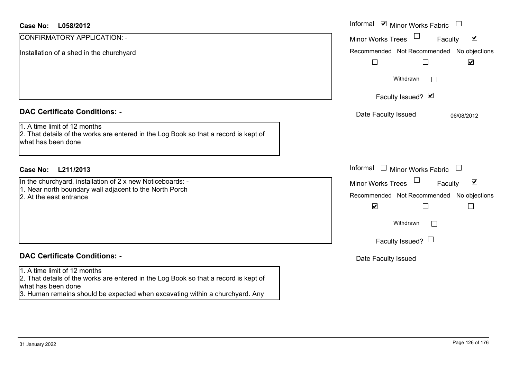| <b>Case No:</b><br>L058/2012                                                                                                                                                                                               | Informal Ø Minor Works Fabric □                                                                                                |
|----------------------------------------------------------------------------------------------------------------------------------------------------------------------------------------------------------------------------|--------------------------------------------------------------------------------------------------------------------------------|
| CONFIRMATORY APPLICATION: -                                                                                                                                                                                                | Minor Works Trees<br>$\blacktriangledown$<br>Faculty                                                                           |
| Installation of a shed in the churchyard                                                                                                                                                                                   | Recommended Not Recommended No objections<br>$\blacktriangledown$<br>$\Box$                                                    |
|                                                                                                                                                                                                                            | Withdrawn<br>$\sim$                                                                                                            |
|                                                                                                                                                                                                                            | Faculty Issued? Ø                                                                                                              |
| <b>DAC Certificate Conditions: -</b>                                                                                                                                                                                       | Date Faculty Issued<br>06/08/2012                                                                                              |
| 1. A time limit of 12 months<br>2. That details of the works are entered in the Log Book so that a record is kept of<br>what has been done                                                                                 |                                                                                                                                |
| L211/2013<br><b>Case No:</b>                                                                                                                                                                                               | Informal $\Box$ Minor Works Fabric $\Box$                                                                                      |
| In the churchyard, installation of 2 x new Noticeboards: -<br>1. Near north boundary wall adjacent to the North Porch<br>2. At the east entrance                                                                           | Minor Works Trees<br>$\blacktriangledown$<br>Faculty<br>Recommended Not Recommended No objections<br>$\blacktriangledown$<br>П |
|                                                                                                                                                                                                                            | Withdrawn<br>$\mathbf{I}$<br>Faculty Issued? $\Box$                                                                            |
| <b>DAC Certificate Conditions: -</b>                                                                                                                                                                                       | Date Faculty Issued                                                                                                            |
| 1. A time limit of 12 months<br>2. That details of the works are entered in the Log Book so that a record is kept of<br>what has been done<br>3. Human remains should be expected when excavating within a churchyard. Any |                                                                                                                                |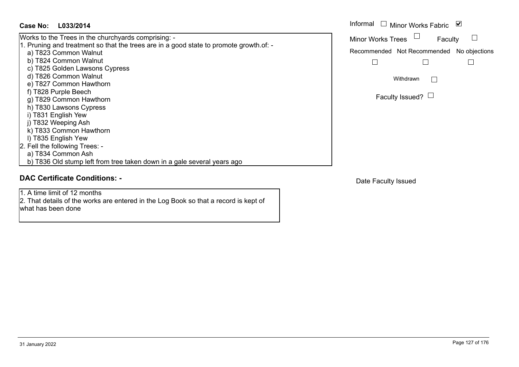# **L033/2014Case No:** Informal

Works to the Trees in the churchyards comprising: - 1. Pruning and treatment so that the trees are in a good state to promote growth.of: a) T823 Common Walnut b) T824 Common Walnut c) T825 Golden Lawsons Cypress d) T826 Common Walnut e) T827 Common Hawthorn f) T828 Purple Beech g) T829 Common Hawthorn h) T830 Lawsons Cypress i) T831 English Yew j) T832 Weeping Ash k) T833 Common Hawthorn l) T835 English Yew 2. Fell the following Trees: a) T834 Common Ash b) T836 Old stump left from tree taken down in a gale several years ago

# **DAC Certificate Conditions: -**

1. A time limit of 12 months

2. That details of the works are entered in the Log Book so that a record is kept of what has been done

| Informal<br>M<br>$\Box$ Minor Works Fabric |                                     |         |  |
|--------------------------------------------|-------------------------------------|---------|--|
| <b>Minor Works Trees</b>                   |                                     | Faculty |  |
| Recommended Not Recommended No objections  |                                     |         |  |
|                                            |                                     |         |  |
|                                            | Withdrawn<br>Faculty Issued? $\Box$ |         |  |
|                                            |                                     |         |  |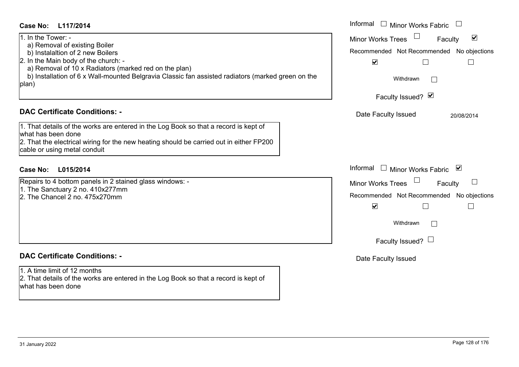| Case No:<br>L117/2014                                                                                                                                                                                                                                                                                                                                                                                                                                        | Informal $\Box$ Minor Works Fabric $\Box$                                                                                                                                                                                                           |
|--------------------------------------------------------------------------------------------------------------------------------------------------------------------------------------------------------------------------------------------------------------------------------------------------------------------------------------------------------------------------------------------------------------------------------------------------------------|-----------------------------------------------------------------------------------------------------------------------------------------------------------------------------------------------------------------------------------------------------|
| 1. In the Tower: -<br>a) Removal of existing Boiler<br>b) Instalaltion of 2 new Boilers<br>2. In the Main body of the church: -<br>a) Removal of 10 x Radiators (marked red on the plan)<br>b) Installation of 6 x Wall-mounted Belgravia Classic fan assisted radiators (marked green on the<br>plan)<br><b>DAC Certificate Conditions: -</b><br>1. That details of the works are entered in the Log Book so that a record is kept of<br>what has been done | $\blacktriangledown$<br><b>Minor Works Trees</b><br>Faculty<br>Recommended Not Recommended No objections<br>$\blacktriangledown$<br>$\mathbf{L}$<br>$\Box$<br>Withdrawn<br>$\mathbb{R}^n$<br>Faculty Issued? Ø<br>Date Faculty Issued<br>20/08/2014 |
| 2. That the electrical wiring for the new heating should be carried out in either FP200<br>cable or using metal conduit                                                                                                                                                                                                                                                                                                                                      |                                                                                                                                                                                                                                                     |
| L015/2014<br><b>Case No:</b>                                                                                                                                                                                                                                                                                                                                                                                                                                 | Informal □ Minor Works Fabric ⊠                                                                                                                                                                                                                     |
| Repairs to 4 bottom panels in 2 stained glass windows: -<br>1. The Sanctuary 2 no. 410x277mm<br>2. The Chancel 2 no. 475x270mm                                                                                                                                                                                                                                                                                                                               | Minor Works Trees<br>Faculty<br>Recommended Not Recommended No objections<br>$\blacktriangledown$<br>$\mathbf{L}$<br>$\Box$<br>Withdrawn<br>$\Box$<br>Faculty Issued? $\Box$                                                                        |
| <b>DAC Certificate Conditions: -</b>                                                                                                                                                                                                                                                                                                                                                                                                                         | Date Faculty Issued                                                                                                                                                                                                                                 |
| 1. A time limit of 12 months<br>2. That details of the works are entered in the Log Book so that a record is kept of<br>what has been done                                                                                                                                                                                                                                                                                                                   |                                                                                                                                                                                                                                                     |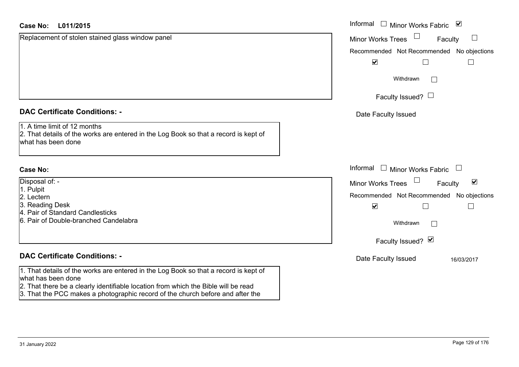| <b>Case No:</b><br>L011/2015                                                                                                               | Informal $\square$<br>Minor Works Fabric ⊠                                         |
|--------------------------------------------------------------------------------------------------------------------------------------------|------------------------------------------------------------------------------------|
| Replacement of stolen stained glass window panel                                                                                           | Minor Works Trees<br>$\Box$<br>Faculty                                             |
|                                                                                                                                            | Recommended Not Recommended No objections                                          |
|                                                                                                                                            | $\blacktriangledown$                                                               |
|                                                                                                                                            | Withdrawn<br>$\mathbb{R}^n$                                                        |
|                                                                                                                                            | Faculty Issued? $\Box$                                                             |
| <b>DAC Certificate Conditions: -</b>                                                                                                       | Date Faculty Issued                                                                |
| 1. A time limit of 12 months<br>2. That details of the works are entered in the Log Book so that a record is kept of<br>what has been done |                                                                                    |
| <b>Case No:</b>                                                                                                                            | Informal<br>$\Box$<br>Minor Works Fabric<br>$\begin{array}{c} \square \end{array}$ |
| Disposal of: -                                                                                                                             | $\blacktriangledown$<br><b>Minor Works Trees</b><br>Faculty                        |
| 1. Pulpit<br>2. Lectern                                                                                                                    | Recommended Not Recommended No objections                                          |
| 3. Reading Desk                                                                                                                            | $\blacktriangledown$                                                               |
| 4. Pair of Standard Candlesticks                                                                                                           |                                                                                    |
| 6. Pair of Double-branched Candelabra                                                                                                      | Withdrawn                                                                          |
|                                                                                                                                            | Faculty Issued? Ø                                                                  |
| <b>DAC Certificate Conditions: -</b>                                                                                                       | Date Faculty Issued<br>16/03/2017                                                  |
| 1. That details of the works are entered in the Log Book so that a record is kept of<br>what has been done                                 |                                                                                    |
| 2. That there be a clearly identifiable location from which the Bible will be read                                                         |                                                                                    |
| 3. That the PCC makes a photographic record of the church before and after the                                                             |                                                                                    |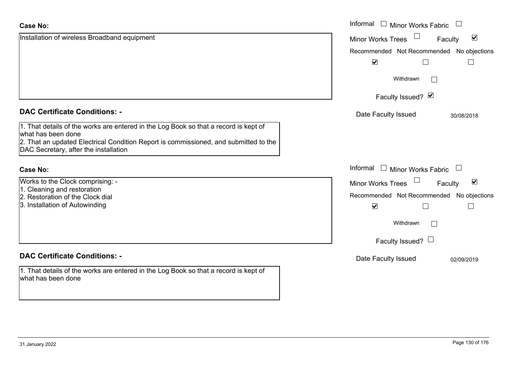| <b>Case No:</b>                                                                                                                                                                                    | Informal<br>Minor Works Fabric                              |
|----------------------------------------------------------------------------------------------------------------------------------------------------------------------------------------------------|-------------------------------------------------------------|
| Installation of wireless Broadband equipment                                                                                                                                                       | $\blacktriangledown$<br>Minor Works Trees<br>Faculty        |
|                                                                                                                                                                                                    | Recommended Not Recommended No objections                   |
|                                                                                                                                                                                                    | $\blacktriangledown$                                        |
|                                                                                                                                                                                                    | Withdrawn                                                   |
|                                                                                                                                                                                                    | Faculty Issued? Ø                                           |
| <b>DAC Certificate Conditions: -</b>                                                                                                                                                               | Date Faculty Issued<br>30/08/2018                           |
| 1. That details of the works are entered in the Log Book so that a record is kept of<br>what has been done<br>2. That an updated Electrical Condition Report is commissioned, and submitted to the |                                                             |
| DAC Secretary, after the installation                                                                                                                                                              |                                                             |
| <b>Case No:</b>                                                                                                                                                                                    | Informal<br><b>Minor Works Fabric</b>                       |
| Works to the Clock comprising: -                                                                                                                                                                   | $\blacktriangledown$<br><b>Minor Works Trees</b><br>Faculty |
| 1. Cleaning and restoration                                                                                                                                                                        | Recommended Not Recommended No objections                   |
| 2. Restoration of the Clock dial<br>3. Installation of Autowinding                                                                                                                                 | $\blacktriangledown$                                        |
|                                                                                                                                                                                                    | Withdrawn                                                   |
|                                                                                                                                                                                                    | Faculty Issued? $\Box$                                      |
| <b>DAC Certificate Conditions: -</b>                                                                                                                                                               | Date Faculty Issued<br>02/09/2019                           |
| 1. That details of the works are entered in the Log Book so that a record is kept of<br>what has been done                                                                                         |                                                             |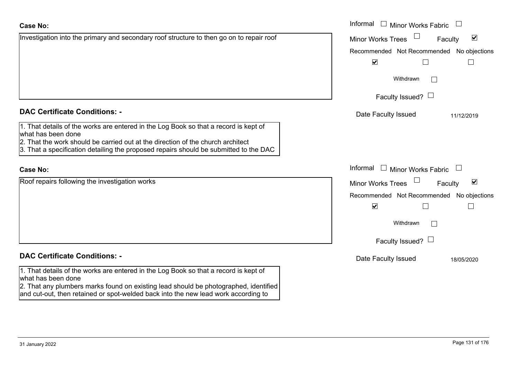| Investigation into the primary and secondary roof structure to then go on to repair roof                                                                                                           | <b>Minor Works Trees</b>                  | $\blacktriangledown$<br>Faculty |
|----------------------------------------------------------------------------------------------------------------------------------------------------------------------------------------------------|-------------------------------------------|---------------------------------|
|                                                                                                                                                                                                    | Recommended Not Recommended No objections |                                 |
|                                                                                                                                                                                                    | $\blacktriangledown$                      |                                 |
|                                                                                                                                                                                                    | Withdrawn<br>$\mathbf{L}$                 |                                 |
|                                                                                                                                                                                                    | Faculty Issued? $\Box$                    |                                 |
| <b>DAC Certificate Conditions: -</b>                                                                                                                                                               | Date Faculty Issued                       | 11/12/2019                      |
| 1. That details of the works are entered in the Log Book so that a record is kept of<br>what has been done<br>2. That the work should be carried out at the direction of the church architect      |                                           |                                 |
| 3. That a specification detailing the proposed repairs should be submitted to the DAC                                                                                                              |                                           |                                 |
| <b>Case No:</b>                                                                                                                                                                                    | Informal<br>$\Box$ Minor Works Fabric     |                                 |
| Roof repairs following the investigation works                                                                                                                                                     | <b>Minor Works Trees</b>                  | $\blacktriangledown$<br>Faculty |
|                                                                                                                                                                                                    | Recommended Not Recommended No objections |                                 |
|                                                                                                                                                                                                    | $\blacktriangledown$                      |                                 |
|                                                                                                                                                                                                    | Withdrawn                                 |                                 |
|                                                                                                                                                                                                    | Faculty Issued? $\Box$                    |                                 |
| <b>DAC Certificate Conditions: -</b>                                                                                                                                                               | Date Faculty Issued                       | 18/05/2020                      |
| 1. That details of the works are entered in the Log Book so that a record is kept of<br>what has been done<br>2. That any plumbers marks found on existing lead should be photographed, identified |                                           |                                 |

Informal

Minor Works Fabric

and cut-out, then retained or spot-welded back into the new lead work according to

**Case No:**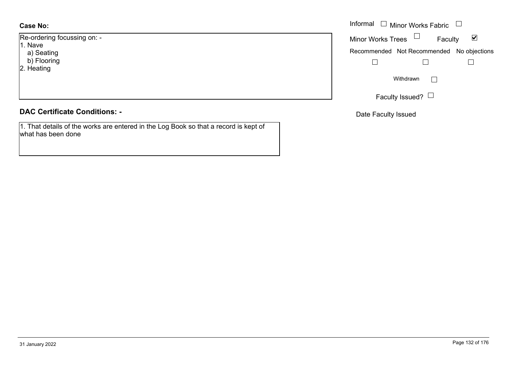# **Case No:**

Re-ordering focussing on: - 1. Nave a) Seating b) Flooring 2. Heating

# **DAC Certificate Conditions: -**

1. That details of the works are entered in the Log Book so that a record is kept of what has been done

|                     | Informal $\Box$ Minor Works Fabric $\Box$ |
|---------------------|-------------------------------------------|
| ing focussing on: - | Minor Works Trees $\Box$<br>⊻<br>Faculty  |
| ting<br>pring<br>g  | Recommended Not Recommended No objections |
|                     | Withdrawn<br>I.                           |
|                     | Faculty Issued? $L$                       |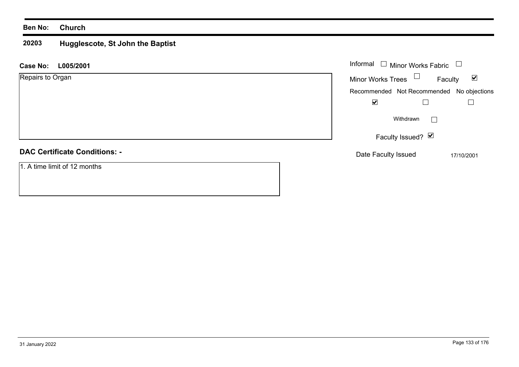#### **20203 Hugglescote, St John the Baptist**

| L005/2001<br><b>Case No:</b>         | Informal $\Box$ Minor Works Fabric        | $\Box$                          |
|--------------------------------------|-------------------------------------------|---------------------------------|
| Repairs to Organ                     | Minor Works Trees $\Box$                  | Faculty<br>$\blacktriangledown$ |
|                                      | Recommended Not Recommended No objections |                                 |
|                                      | $\blacktriangledown$                      |                                 |
|                                      | Withdrawn                                 | $\vert \ \ \vert$               |
|                                      | Faculty Issued? Ø                         |                                 |
| <b>DAC Certificate Conditions: -</b> | Date Faculty Issued                       | 17/10/2001                      |
| 1. A time limit of 12 months         |                                           |                                 |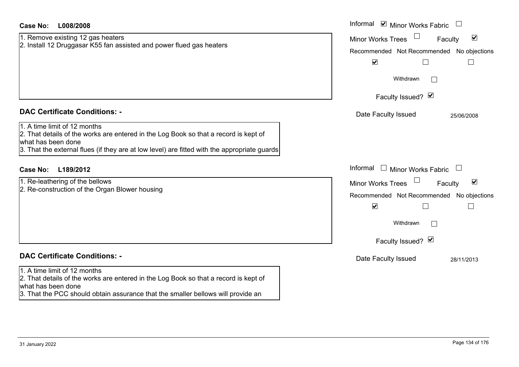| <b>Case No:</b><br>L008/2008                                                                                                                                                                                                                                                       | Informal $\blacksquare$ Minor Works Fabric $\blacksquare$                                                                                                             |
|------------------------------------------------------------------------------------------------------------------------------------------------------------------------------------------------------------------------------------------------------------------------------------|-----------------------------------------------------------------------------------------------------------------------------------------------------------------------|
| 1. Remove existing 12 gas heaters<br>2. Install 12 Druggasar K55 fan assisted and power flued gas heaters                                                                                                                                                                          | $\blacktriangledown$<br><b>Minor Works Trees</b><br>Faculty<br>Recommended Not Recommended No objections<br>$\blacktriangledown$<br>$\Box$                            |
|                                                                                                                                                                                                                                                                                    | Withdrawn<br>Faculty Issued? Ø                                                                                                                                        |
| <b>DAC Certificate Conditions: -</b><br>1. A time limit of 12 months<br>2. That details of the works are entered in the Log Book so that a record is kept of<br>what has been done<br>3. That the external flues (if they are at low level) are fitted with the appropriate guards | Date Faculty Issued<br>25/06/2008                                                                                                                                     |
| L189/2012<br><b>Case No:</b>                                                                                                                                                                                                                                                       | Informal<br>$\Box$ Minor Works Fabric $\Box$                                                                                                                          |
| 1. Re-leathering of the bellows<br>2. Re-construction of the Organ Blower housing                                                                                                                                                                                                  | $\blacktriangledown$<br>Minor Works Trees<br>Faculty<br>Recommended Not Recommended No objections<br>$\blacktriangledown$<br>$\Box$<br>Withdrawn<br>Faculty Issued? Ø |
| <b>DAC Certificate Conditions: -</b>                                                                                                                                                                                                                                               | Date Faculty Issued<br>28/11/2013                                                                                                                                     |
| 1. A time limit of 12 months<br>2. That details of the works are entered in the Log Book so that a record is kept of<br>what has been done<br>3. That the PCC should obtain assurance that the smaller bellows will provide an                                                     |                                                                                                                                                                       |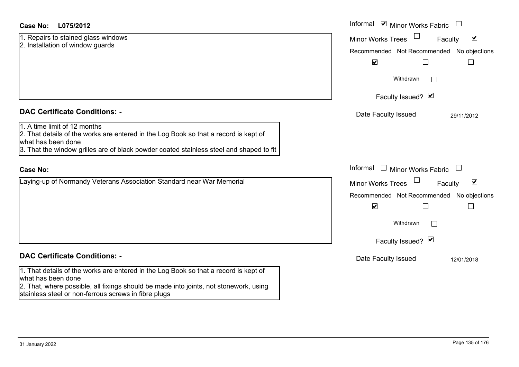# **L075/2012Case No:** Informal

1. Repairs to stained glass windows 2. Installation of window guards

# **DAC Certificate Conditions: -**

# 1. A time limit of 12 months

2. That details of the works are entered in the Log Book so that a record is kept of what has been done

3. That the window grilles are of black powder coated stainless steel and shaped to fit

#### **Case No:**

Laying-up of Normandy Veterans Association Standard near War Memorial

# **DAC Certificate Conditions: -**

1. That details of the works are entered in the Log Book so that a record is kept of what has been done

2. That, where possible, all fixings should be made into joints, not stonework, using stainless steel or non-ferrous screws in fibre plugs

| L075/2012                                                                                                                                                                                       | Informal $\blacksquare$ Minor Works Fabric $\blacksquare$                                                                                                       |
|-------------------------------------------------------------------------------------------------------------------------------------------------------------------------------------------------|-----------------------------------------------------------------------------------------------------------------------------------------------------------------|
| s to stained glass windows<br>ation of window guards                                                                                                                                            | $\blacktriangledown$<br><b>Minor Works Trees</b><br>Faculty<br>Recommended Not Recommended No objections<br>$\blacktriangledown$                                |
|                                                                                                                                                                                                 | Withdrawn<br>$\Box$                                                                                                                                             |
| rtificate Conditions: -                                                                                                                                                                         | Faculty Issued? Ø<br>Date Faculty Issued<br>29/11/2012                                                                                                          |
| limit of 12 months<br>etails of the works are entered in the Log Book so that a record is kept of<br>been done<br>e window grilles are of black powder coated stainless steel and shaped to fit |                                                                                                                                                                 |
|                                                                                                                                                                                                 | Informal $\Box$ Minor Works Fabric $\Box$                                                                                                                       |
| p of Normandy Veterans Association Standard near War Memorial                                                                                                                                   | $\blacktriangledown$<br><b>Minor Works Trees</b><br>Faculty<br>Recommended Not Recommended No objections<br>$\blacktriangledown$<br>Withdrawn<br>$\overline{a}$ |
|                                                                                                                                                                                                 | Faculty Issued? Ø                                                                                                                                               |
| rtificate Conditions: -                                                                                                                                                                         | Date Faculty Issued<br>12/01/2018                                                                                                                               |
| etails of the works are entered in the Log Book so that a record is kept of                                                                                                                     |                                                                                                                                                                 |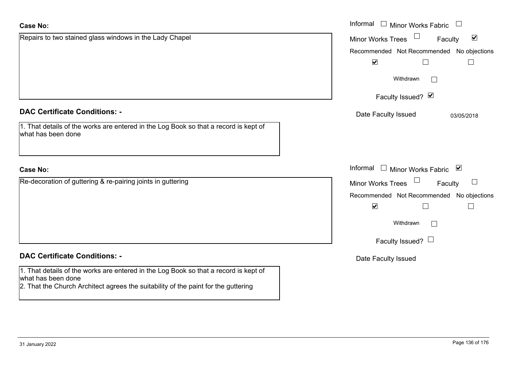what has been done

2. That the Church Architect agrees the suitability of the paint for the guttering

| <b>Case No:</b>                                                                                            | Informal $\Box$ Minor Works Fabric $\Box$                   |
|------------------------------------------------------------------------------------------------------------|-------------------------------------------------------------|
| Repairs to two stained glass windows in the Lady Chapel                                                    | $\blacktriangledown$<br><b>Minor Works Trees</b><br>Faculty |
|                                                                                                            | Recommended Not Recommended No objections                   |
|                                                                                                            | $\blacktriangledown$<br>$\Box$<br>$\Box$                    |
|                                                                                                            | Withdrawn<br>$\Box$                                         |
|                                                                                                            | Faculty Issued? Ø                                           |
| <b>DAC Certificate Conditions: -</b>                                                                       | Date Faculty Issued<br>03/05/2018                           |
| 1. That details of the works are entered in the Log Book so that a record is kept of<br>what has been done |                                                             |
| <b>Case No:</b>                                                                                            | Informal $\Box$ Minor Works Fabric $\Box$                   |
| Re-decoration of guttering & re-pairing joints in guttering                                                | Minor Works Trees $\Box$<br>$\Box$<br>Faculty               |
|                                                                                                            | Recommended Not Recommended No objections                   |
|                                                                                                            | $\blacktriangledown$<br>$\Box$<br>$\overline{\phantom{a}}$  |
|                                                                                                            | Withdrawn<br>$\Box$                                         |
|                                                                                                            | Faculty Issued? $\Box$                                      |
| <b>DAC Certificate Conditions: -</b>                                                                       | Date Faculty Issued                                         |
| 1. That details of the works are entered in the Log Book so that a record is kept of                       |                                                             |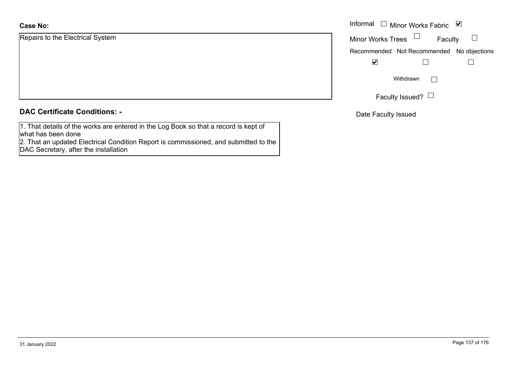# **Case No:**

Repairs to the Electrical System

|  |  | <b>DAC Certificate Conditions: -</b> |  |
|--|--|--------------------------------------|--|
|--|--|--------------------------------------|--|

1. That details of the works are entered in the Log Book so that a record is kept of what has been done

 2. That an updated Electrical Condition Report is commissioned, and submitted to the DAC Secretary, after the installation

|                         | Informal $\Box$ Minor Works Fabric $\Box$ |
|-------------------------|-------------------------------------------|
| o the Electrical System | Minor Works Trees $\quad \Box$<br>Faculty |
|                         | Recommended Not Recommended No objections |
|                         | ⊻                                         |
|                         | Withdrawn<br>$\mathbf{L}$                 |
|                         | Faculty Issued? $\Box$                    |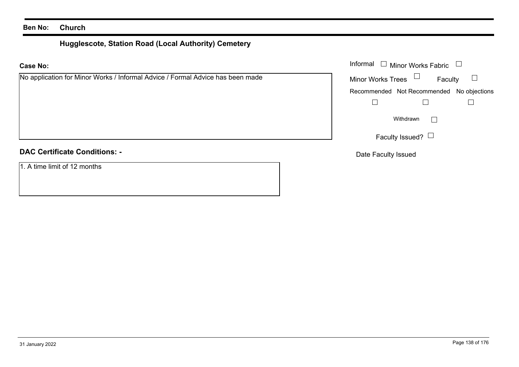# **Hugglescote, Station Road (Local Authority) Cemetery**

# **Case No:**

# **DAC Certificate Conditions: -**

1. A time limit of 12 months

|                                                                       |                          | Informal $\Box$ Minor Works Fabric $\Box$ |  |
|-----------------------------------------------------------------------|--------------------------|-------------------------------------------|--|
| ation for Minor Works / Informal Advice / Formal Advice has been made | Minor Works Trees $\Box$ | Faculty                                   |  |
|                                                                       |                          | Recommended Not Recommended No objections |  |
|                                                                       |                          |                                           |  |
|                                                                       |                          | Withdrawn                                 |  |
|                                                                       |                          | Faculty Issued? $\Box$                    |  |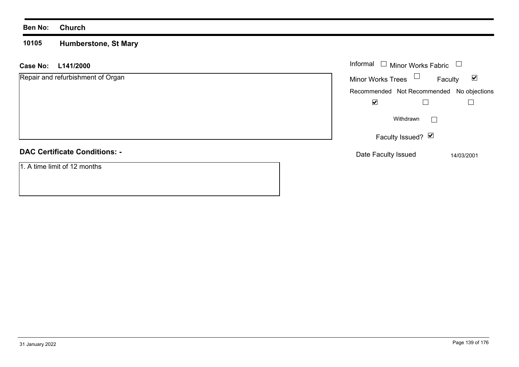#### **10105 Humberstone, St Mary**

| L141/2000<br><b>Case No:</b>         | Informal<br>$\Box$ Minor Works Fabric                       |
|--------------------------------------|-------------------------------------------------------------|
| Repair and refurbishment of Organ    | Minor Works Trees $\Box$<br>$\blacktriangledown$<br>Faculty |
|                                      | Recommended Not Recommended No objections                   |
|                                      | $\blacktriangledown$                                        |
|                                      | Withdrawn                                                   |
|                                      | Faculty Issued? Ø                                           |
| <b>DAC Certificate Conditions: -</b> | Date Faculty Issued<br>14/03/2001                           |
| 1. A time limit of 12 months         |                                                             |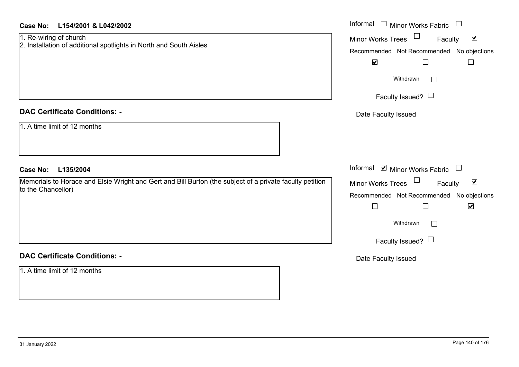| <b>Case No:</b><br>L154/2001 & L042/2002                                                                                       | Informal □ Minor Works Fabric                                                                                                                                              |
|--------------------------------------------------------------------------------------------------------------------------------|----------------------------------------------------------------------------------------------------------------------------------------------------------------------------|
| 1. Re-wiring of church<br>2. Installation of additional spotlights in North and South Aisles                                   | $\blacktriangledown$<br>Minor Works Trees<br>Faculty<br>Recommended Not Recommended No objections<br>$\blacktriangledown$<br>$\Box$                                        |
|                                                                                                                                | Withdrawn<br>Faculty Issued? $\Box$                                                                                                                                        |
| <b>DAC Certificate Conditions: -</b>                                                                                           | Date Faculty Issued                                                                                                                                                        |
| 1. A time limit of 12 months                                                                                                   |                                                                                                                                                                            |
| <b>Case No:</b><br>L135/2004                                                                                                   | Informal ⊠ Minor Works Fabric □                                                                                                                                            |
| Memorials to Horace and Elsie Wright and Gert and Bill Burton (the subject of a private faculty petition<br>to the Chancellor) | Minor Works Trees<br>$\blacktriangledown$<br>Faculty<br>Recommended Not Recommended No objections<br>$\blacktriangledown$<br>$\Box$<br>Withdrawn<br>Faculty Issued? $\Box$ |
| <b>DAC Certificate Conditions: -</b>                                                                                           | Date Faculty Issued                                                                                                                                                        |
| 1. A time limit of 12 months                                                                                                   |                                                                                                                                                                            |

#### **DAC Certificate Conditions: -**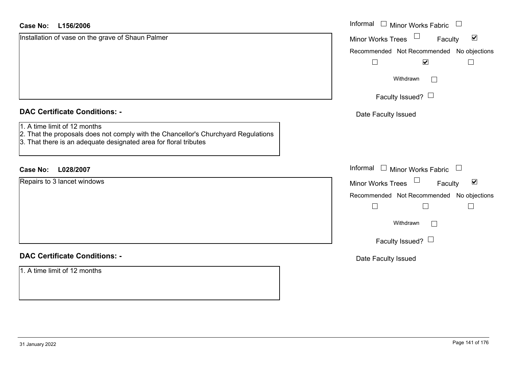| <b>Case No:</b><br>L156/2006                                                                                                                                                           | Informal □ Minor Works Fabric □                                |
|----------------------------------------------------------------------------------------------------------------------------------------------------------------------------------------|----------------------------------------------------------------|
| Installation of vase on the grave of Shaun Palmer                                                                                                                                      | $\Box$<br>$\blacktriangledown$<br>Minor Works Trees<br>Faculty |
|                                                                                                                                                                                        | Recommended Not Recommended No objections                      |
|                                                                                                                                                                                        | $\overline{\mathbf{v}}$                                        |
|                                                                                                                                                                                        | Withdrawn                                                      |
|                                                                                                                                                                                        | Faculty Issued? $\Box$                                         |
| <b>DAC Certificate Conditions: -</b>                                                                                                                                                   | Date Faculty Issued                                            |
| 1. A time limit of 12 months<br>2. That the proposals does not comply with the Chancellor's Churchyard Regulations<br>3. That there is an adequate designated area for floral tributes |                                                                |
| <b>Case No:</b><br>L028/2007                                                                                                                                                           | Informal $\Box$ Minor Works Fabric $\Box$                      |
| Repairs to 3 lancet windows                                                                                                                                                            | Minor Works Trees<br>$\blacktriangledown$<br>Faculty           |
|                                                                                                                                                                                        | Recommended Not Recommended No objections                      |
|                                                                                                                                                                                        | Г<br>$\vert \ \ \vert$                                         |
|                                                                                                                                                                                        | Withdrawn                                                      |
|                                                                                                                                                                                        | Faculty Issued? $\Box$                                         |
| <b>DAC Certificate Conditions: -</b>                                                                                                                                                   | Date Faculty Issued                                            |
| 1. A time limit of 12 months                                                                                                                                                           |                                                                |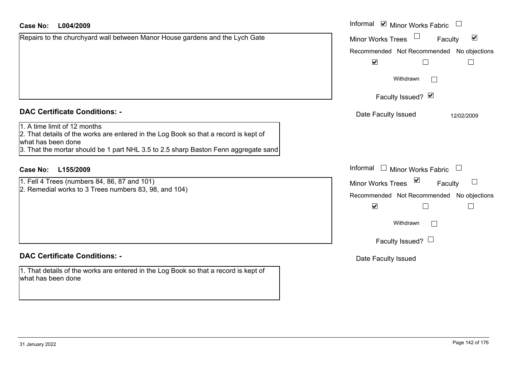| Case No:<br>L004/2009                                                                                                                     | Informal ⊠ Minor Works Fabric                                                                        |
|-------------------------------------------------------------------------------------------------------------------------------------------|------------------------------------------------------------------------------------------------------|
| Repairs to the churchyard wall between Manor House gardens and the Lych Gate                                                              | $\blacktriangledown$<br><b>Minor Works Trees</b><br>Faculty                                          |
|                                                                                                                                           | Recommended Not Recommended No objections                                                            |
|                                                                                                                                           | $\blacktriangledown$                                                                                 |
|                                                                                                                                           | Withdrawn                                                                                            |
|                                                                                                                                           | Faculty Issued? Ø                                                                                    |
| <b>DAC Certificate Conditions: -</b>                                                                                                      | Date Faculty Issued<br>12/02/2009                                                                    |
| . A time limit of 12 months<br>2. That details of the works are entered in the Log Book so that a record is kept of<br>what has been done |                                                                                                      |
| 3. That the mortar should be 1 part NHL 3.5 to 2.5 sharp Baston Fenn aggregate sand                                                       |                                                                                                      |
| <b>Case No:</b><br>L155/2009                                                                                                              | Informal<br>Minor Works Fabric                                                                       |
| 1. Fell 4 Trees (numbers 84, 86, 87 and 101)                                                                                              | $\blacktriangledown$<br>$\begin{array}{c} \hline \end{array}$<br><b>Minor Works Trees</b><br>Faculty |
| 2. Remedial works to 3 Trees numbers 83, 98, and 104)                                                                                     | Recommended Not Recommended No objections                                                            |
|                                                                                                                                           | $\blacktriangledown$                                                                                 |
|                                                                                                                                           | Withdrawn                                                                                            |
|                                                                                                                                           |                                                                                                      |

1. That details of the works are entered in the Log Book so that a record is kept of what has been done

ended No objections  $\Box$ Faculty Issued?  $\Box$ 

Date Faculty Issued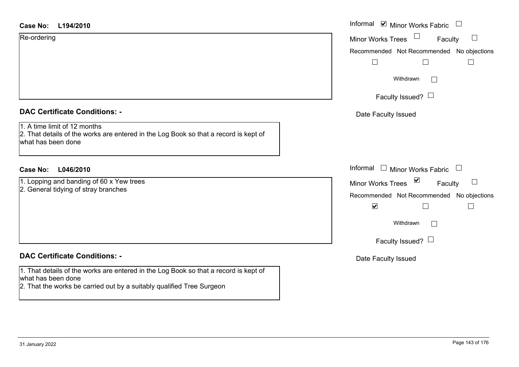| <b>Case No:</b> |  | L194/2010 |  |
|-----------------|--|-----------|--|
|-----------------|--|-----------|--|

Re-ordering

|  | <b>DAC Certificate Conditions: -</b> |  |
|--|--------------------------------------|--|

1. A time limit of 12 months

2. That details of the works are entered in the Log Book so that a record is kept of what has been done

# **L046/2010Case No:** Informal

1. Lopping and banding of 60 x Yew trees 2. General tidying of stray branches

## **DAC Certificate Conditions: -**

1. That details of the works are entered in the Log Book so that a record is kept of what has been done

2. That the works be carried out by a suitably qualified Tree Surgeon

| L194/2010                                                                                                      | Informal <b>v</b> Minor Works Fabric                                                                                      |
|----------------------------------------------------------------------------------------------------------------|---------------------------------------------------------------------------------------------------------------------------|
| ing                                                                                                            | $\Box$<br>Minor Works Trees<br>$\Box$<br>Faculty<br>Recommended Not Recommended No objections<br>$\overline{\phantom{a}}$ |
|                                                                                                                | Withdrawn                                                                                                                 |
|                                                                                                                | Faculty Issued? $\Box$                                                                                                    |
| rtificate Conditions: -                                                                                        | Date Faculty Issued                                                                                                       |
| limit of 12 months<br>etails of the works are entered in the Log Book so that a record is kept of<br>been done |                                                                                                                           |
| L046/2010                                                                                                      | Informal $\Box$ Minor Works Fabric                                                                                        |
| g and banding of 60 x Yew trees<br>al tidying of stray branches                                                | Minor Works Trees $\blacksquare$<br>$\Box$<br>Faculty                                                                     |
|                                                                                                                | Recommended Not Recommended No objections<br>$\blacktriangledown$                                                         |
|                                                                                                                | Withdrawn                                                                                                                 |
|                                                                                                                | Faculty Issued? $\Box$                                                                                                    |
| rtificate Conditions: -                                                                                        | Date Faculty Issued                                                                                                       |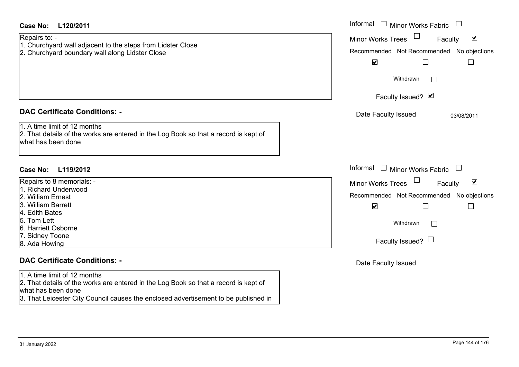| <b>Case No:</b><br>L120/2011                                                                                                                                                                                                      | Informal $\Box$ Minor Works Fabric $\Box$                                                                                                                                                        |
|-----------------------------------------------------------------------------------------------------------------------------------------------------------------------------------------------------------------------------------|--------------------------------------------------------------------------------------------------------------------------------------------------------------------------------------------------|
| Repairs to: -<br>1. Churchyard wall adjacent to the steps from Lidster Close<br>2. Churchyard boundary wall along Lidster Close                                                                                                   | $\blacktriangledown$<br><b>Minor Works Trees</b><br>Faculty<br>Recommended Not Recommended No objections<br>$\blacktriangledown$<br>$\Box$<br>$\Box$<br>Withdrawn<br>$\Box$<br>Faculty Issued? Ø |
| <b>DAC Certificate Conditions: -</b>                                                                                                                                                                                              | Date Faculty Issued<br>03/08/2011                                                                                                                                                                |
| 1. A time limit of 12 months<br>2. That details of the works are entered in the Log Book so that a record is kept of<br>what has been done                                                                                        |                                                                                                                                                                                                  |
| <b>Case No:</b><br>L119/2012                                                                                                                                                                                                      | Informal $\Box$ Minor Works Fabric $\Box$                                                                                                                                                        |
| Repairs to 8 memorials: -<br>1. Richard Underwood<br>2. William Ernest<br>3. William Barrett<br>4. Edith Bates<br>5. Tom Lett<br>6. Harriett Osborne<br>7. Sidney Toone<br>8. Ada Howing                                          | $\blacktriangledown$<br><b>Minor Works Trees</b><br>Faculty<br>Recommended Not Recommended No objections<br>$\blacktriangledown$<br>$\Box$<br>$\Box$<br>Withdrawn<br>Faculty Issued? $\Box$      |
| <b>DAC Certificate Conditions: -</b>                                                                                                                                                                                              | Date Faculty Issued                                                                                                                                                                              |
| 1. A time limit of 12 months<br>2. That details of the works are entered in the Log Book so that a record is kept of<br>what has been done<br>3. That Leicester City Council causes the enclosed advertisement to be published in |                                                                                                                                                                                                  |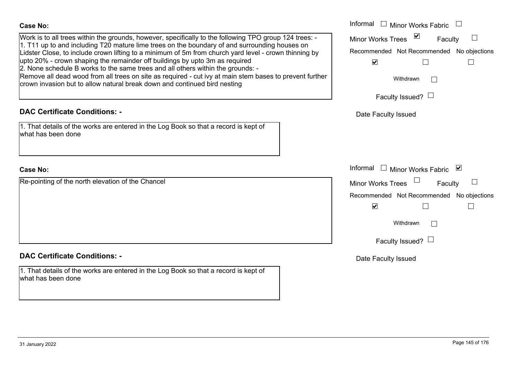| <b>Case No:</b>                                                                                                                                                                                        | Informal $\Box$ Minor Works Fabric                             |
|--------------------------------------------------------------------------------------------------------------------------------------------------------------------------------------------------------|----------------------------------------------------------------|
| Work is to all trees within the grounds, however, specifically to the following TPO group 124 trees: -                                                                                                 | $\overline{\mathbf{v}}$<br><b>Minor Works Trees</b><br>Faculty |
| 1. T11 up to and including T20 mature lime trees on the boundary of and surrounding houses on<br>Lidster Close, to include crown lifting to a minimum of 5m from church yard level - crown thinning by | Recommended Not Recommended No objections                      |
| upto 20% - crown shaping the remainder off buildings by upto 3m as required<br>2. None schedule B works to the same trees and all others within the grounds: -                                         | $\blacktriangledown$                                           |
| Remove all dead wood from all trees on site as required - cut ivy at main stem bases to prevent further<br>crown invasion but to allow natural break down and continued bird nesting                   | Withdrawn                                                      |
|                                                                                                                                                                                                        | Faculty Issued? $\Box$                                         |
| <b>DAC Certificate Conditions: -</b>                                                                                                                                                                   | Date Faculty Issued                                            |
| 1. That details of the works are entered in the Log Book so that a record is kept of<br>what has been done                                                                                             |                                                                |
| <b>Case No:</b>                                                                                                                                                                                        | Informal □ Minor Works Fabric ⊠                                |
| Re-pointing of the north elevation of the Chancel                                                                                                                                                      | $\Box$<br><b>Minor Works Trees</b><br>Faculty                  |
|                                                                                                                                                                                                        | Recommended Not Recommended No objections                      |
|                                                                                                                                                                                                        | $\blacktriangledown$                                           |
|                                                                                                                                                                                                        | Withdrawn                                                      |
|                                                                                                                                                                                                        | Faculty Issued? $\Box$                                         |
| <b>DAC Certificate Conditions: -</b>                                                                                                                                                                   | Date Faculty Issued                                            |
| 1. That details of the works are entered in the Log Book so that a record is kept of<br>what has been done                                                                                             |                                                                |
|                                                                                                                                                                                                        |                                                                |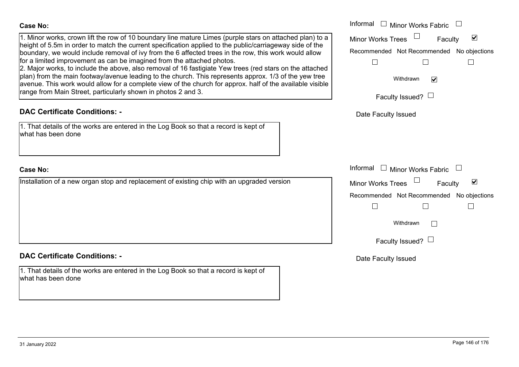Informal  $\Box$  Minor Works Fabric  $\Box$  Informal Minor Works Trees<sup>1</sup> 1. Minor works, crown lift the row of 10 boundary line mature Limes (purple stars on attached plan) to a  $\blacktriangledown$ Faculty height of 5.5m in order to match the current specification applied to the public/carriageway side of the boundary, we would include removal of ivy from the 6 affected trees in the row, this work would allow Recommended Not Recommended No objections for a limited improvement as can be imagined from the attached photos.  $\Box$  $\Box$  $\Box$ 2. Major works, to include the above, also removal of 16 fastigiate Yew trees (red stars on the attached plan) from the main footway/avenue leading to the church. This represents approx. 1/3 of the yew tree Withdrawn $\overline{\mathbf{v}}$ avenue. This work would allow for a complete view of the church for approx. half of the available visible range from Main Street, particularly shown in photos 2 and 3. Faculty Issued?  $\Box$ **DAC Certificate Conditions: -**Date Faculty Issued 1. That details of the works are entered in the Log Book so that a record is kept of what has been doneInformal  $\Box$  Minor Works Fabric  $\Box$  Informal Installation of a new organ stop and replacement of existing chip with an upgraded version  $\overline{\mathsf{v}}$ Faculty Minor Works Trees Recommended Not Recommended No objections  $\Box$  $\Box$  $\Box$ Withdrawn $\Box$ Faculty Issued?  $\Box$ **DAC Certificate Conditions: -**Date Faculty Issued 1. That details of the works are entered in the Log Book so that a record is kept of what has been done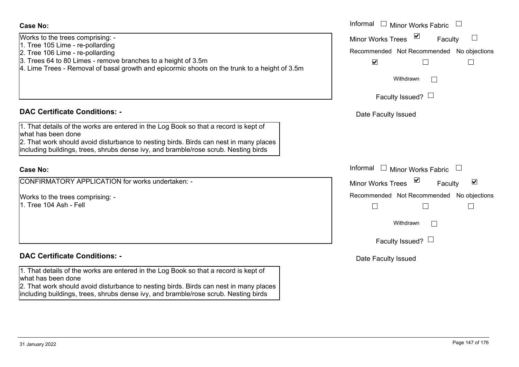| Works to the trees comprising: -                                                              |
|-----------------------------------------------------------------------------------------------|
| 1. Tree 105 Lime - re-pollarding                                                              |
| 2. Tree 106 Lime - re-pollarding                                                              |
| 3. Trees 64 to 80 Limes - remove branches to a height of 3.5m                                 |
| 4. Lime Trees - Removal of basal growth and epicormic shoots on the trunk to a height of 3.5m |
|                                                                                               |
|                                                                                               |
|                                                                                               |
|                                                                                               |

## **DAC Certificate Conditions: -**

| 1. That details of the works are entered in the Log Book so that a record is kept of |  |
|--------------------------------------------------------------------------------------|--|
| what has been done                                                                   |  |

2. That work should avoid disturbance to nesting birds. Birds can nest in many places including buildings, trees, shrubs dense ivy, and bramble/rose scrub. Nesting birds

#### **Case No:**

CONFIRMATORY APPLICATION for works undertaken: -

Works to the trees comprising: - 1. Tree 104 Ash - Fell

# **DAC Certificate Conditions: -**

1. That details of the works are entered in the Log Book so that a record is kept of what has been done

2. That work should avoid disturbance to nesting birds. Birds can nest in many places including buildings, trees, shrubs dense ivy, and bramble/rose scrub. Nesting birds

|                                                                                                                                                                                                                                                       | Informal $\Box$<br><b>Minor Works Fabric</b>                                                                                       |
|-------------------------------------------------------------------------------------------------------------------------------------------------------------------------------------------------------------------------------------------------------|------------------------------------------------------------------------------------------------------------------------------------|
| the trees comprising: -<br>05 Lime - re-pollarding<br>06 Lime - re-pollarding<br>64 to 80 Limes - remove branches to a height of 3.5m<br>rees - Removal of basal growth and epicormic shoots on the trunk to a height of 3.5m                         | $\sum$<br>Minor Works Trees<br>$\Box$<br>Faculty<br>Recommended Not Recommended No objections<br>$\blacktriangledown$<br>Withdrawn |
|                                                                                                                                                                                                                                                       | Faculty Issued? $\Box$                                                                                                             |
| rtificate Conditions: -                                                                                                                                                                                                                               | Date Faculty Issued                                                                                                                |
| etails of the works are entered in the Log Book so that a record is kept of<br>been done<br>ork should avoid disturbance to nesting birds. Birds can nest in many places<br>buildings, trees, shrubs dense ivy, and bramble/rose scrub. Nesting birds |                                                                                                                                    |
|                                                                                                                                                                                                                                                       | Informal<br><b>Minor Works Fabric</b>                                                                                              |
| MATORY APPLICATION for works undertaken: -                                                                                                                                                                                                            | $\blacktriangledown$<br>$\blacktriangledown$<br><b>Minor Works Trees</b><br>Faculty                                                |
| the trees comprising: -<br>04 Ash - Fell                                                                                                                                                                                                              | Recommended Not Recommended No objections                                                                                          |
|                                                                                                                                                                                                                                                       | Withdrawn                                                                                                                          |
|                                                                                                                                                                                                                                                       | Faculty Issued? $\Box$                                                                                                             |
|                                                                                                                                                                                                                                                       |                                                                                                                                    |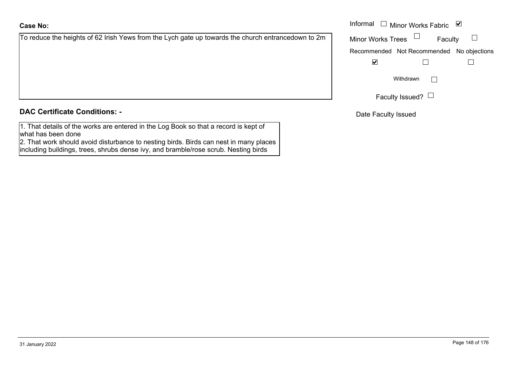To reduce the heights of 62 Irish Yews from the Lych gate up towards the church entrancedown to 2m

# **DAC Certificate Conditions: -**

1. That details of the works are entered in the Log Book so that a record is kept of what has been done

2. That work should avoid disturbance to nesting birds. Birds can nest in many places including buildings, trees, shrubs dense ivy, and bramble/rose scrub. Nesting birds

|                                                                                            | Informal<br>Minor Works Fabric ⊠          |  |
|--------------------------------------------------------------------------------------------|-------------------------------------------|--|
| e the heights of 62 Irish Yews from the Lych gate up towards the church entrancedown to 2m | <b>Minor Works Trees</b><br>Faculty       |  |
|                                                                                            | Recommended Not Recommended No objections |  |
|                                                                                            | $\overline{\mathbf{v}}$                   |  |
|                                                                                            | Withdrawn                                 |  |
|                                                                                            | Faculty Issued? $\Box$                    |  |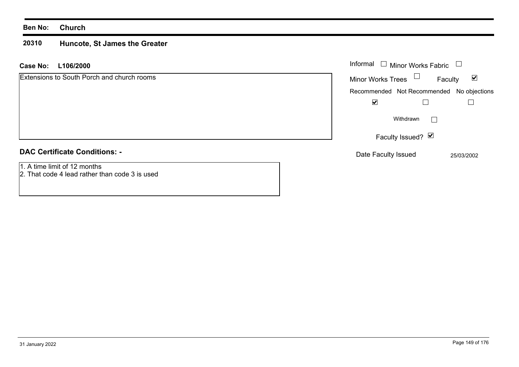#### **Ben No: Church**

#### **20310 Huncote, St James the Greater**

#### **L106/2000 Case No:** Informal

| <b>Extensions to South Porch and church rooms</b>                              | <b>Minor Works Trees</b>                  | Faculty                                  | $\blacktriangledown$ |
|--------------------------------------------------------------------------------|-------------------------------------------|------------------------------------------|----------------------|
|                                                                                | Recommended Not Recommended No objections |                                          |                      |
|                                                                                | ☑                                         |                                          |                      |
|                                                                                |                                           | Withdrawn                                |                      |
|                                                                                |                                           | Faculty Issued? $\vert \mathbf{v} \vert$ |                      |
| <b>DAC Certificate Conditions: -</b>                                           | Date Faculty Issued                       |                                          | 25/03/2002           |
| 1. A time limit of 12 months<br>2. That code 4 lead rather than code 3 is used |                                           |                                          |                      |

Minor Works Fabric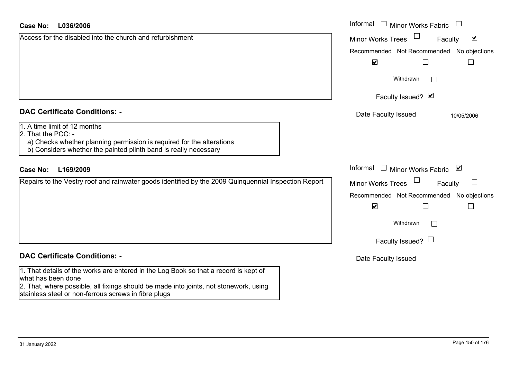| L036/2006<br>Case No:                                                                                                                                                                                                                                       | Informal<br>$\Box$ Minor Works Fabric                       |
|-------------------------------------------------------------------------------------------------------------------------------------------------------------------------------------------------------------------------------------------------------------|-------------------------------------------------------------|
| Access for the disabled into the church and refurbishment                                                                                                                                                                                                   | $\blacktriangledown$<br><b>Minor Works Trees</b><br>Faculty |
|                                                                                                                                                                                                                                                             | No objections<br>Recommended Not Recommended                |
|                                                                                                                                                                                                                                                             | $\blacktriangledown$<br>$\Box$<br>$\Box$                    |
|                                                                                                                                                                                                                                                             | Withdrawn                                                   |
|                                                                                                                                                                                                                                                             | Faculty Issued? Ø                                           |
| <b>DAC Certificate Conditions: -</b>                                                                                                                                                                                                                        | Date Faculty Issued<br>10/05/2006                           |
| 1. A time limit of 12 months<br>2. That the PCC: -<br>a) Checks whether planning permission is required for the alterations<br>b) Considers whether the painted plinth band is really necessary                                                             |                                                             |
| L169/2009<br><b>Case No:</b>                                                                                                                                                                                                                                | Informal<br>$\Box$ Minor Works Fabric $\Box$                |
| Repairs to the Vestry roof and rainwater goods identified by the 2009 Quinquennial Inspection Report                                                                                                                                                        | <b>Minor Works Trees</b><br>Faculty                         |
|                                                                                                                                                                                                                                                             | Recommended Not Recommended<br>No objections                |
|                                                                                                                                                                                                                                                             | $\blacktriangledown$<br>Г<br>$\Box$                         |
|                                                                                                                                                                                                                                                             | Withdrawn                                                   |
|                                                                                                                                                                                                                                                             | Faculty Issued? $\Box$                                      |
| <b>DAC Certificate Conditions: -</b>                                                                                                                                                                                                                        | Date Faculty Issued                                         |
| 1. That details of the works are entered in the Log Book so that a record is kept of<br>what has been done<br>2. That, where possible, all fixings should be made into joints, not stonework, using<br>stainless steel or non-ferrous screws in fibre plugs |                                                             |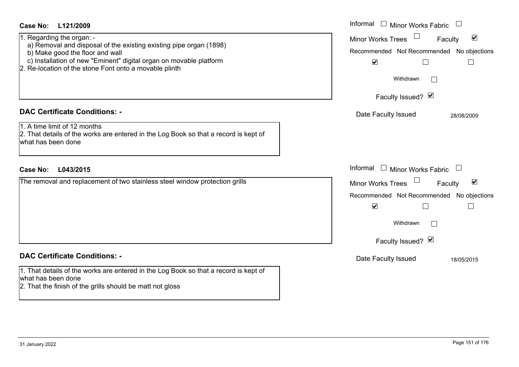| <b>Case No:</b><br>L121/2009<br>1. Regarding the organ: -<br>a) Removal and disposal of the existing existing pipe organ (1898)<br>b) Make good the floor and wall<br>c) Installation of new "Eminent" digital organ on movable platform<br>2. Re-location of the stone Font onto a movable plinth | Informal $\Box$ Minor Works Fabric $\Box$<br>$\Box$<br>$\blacktriangledown$<br><b>Minor Works Trees</b><br>Faculty<br>Recommended Not Recommended No objections<br>$\blacktriangledown$<br>П<br>Withdrawn<br>Faculty Issued? Ø         |
|----------------------------------------------------------------------------------------------------------------------------------------------------------------------------------------------------------------------------------------------------------------------------------------------------|----------------------------------------------------------------------------------------------------------------------------------------------------------------------------------------------------------------------------------------|
| <b>DAC Certificate Conditions: -</b><br>1. A time limit of 12 months<br>2. That details of the works are entered in the Log Book so that a record is kept of<br>what has been done                                                                                                                 | Date Faculty Issued<br>28/08/2009                                                                                                                                                                                                      |
| <b>Case No:</b><br>L043/2015<br>The removal and replacement of two stainless steel window protection grills                                                                                                                                                                                        | Informal $\Box$ Minor Works Fabric<br>$\Box$<br>$\blacktriangledown$<br><b>Minor Works Trees</b><br>Faculty<br>Recommended Not Recommended No objections<br>$\blacktriangledown$<br>$\Box$<br>$\Box$<br>Withdrawn<br>Faculty Issued? Ø |
| <b>DAC Certificate Conditions: -</b><br>1. That details of the works are entered in the Log Book so that a record is kept of<br>what has been done<br>2. That the finish of the grills should be matt not gloss                                                                                    | Date Faculty Issued<br>18/05/2015                                                                                                                                                                                                      |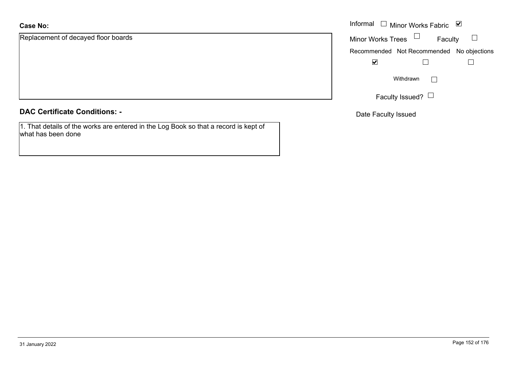Replacement of decayed floor boards

#### **DAC Certificate Conditions: -**

1. That details of the works are entered in the Log Book so that a record is kept of what has been done

|                              | Informal $\Box$ Minor Works Fabric $\Box$ |           |  |
|------------------------------|-------------------------------------------|-----------|--|
| nent of decayed floor boards | Minor Works Trees $\Box$                  | Faculty   |  |
|                              | Recommended Not Recommended No objections |           |  |
|                              | $\blacktriangledown$                      |           |  |
|                              |                                           | Withdrawn |  |
|                              | Faculty Issued? $\lfloor$                 |           |  |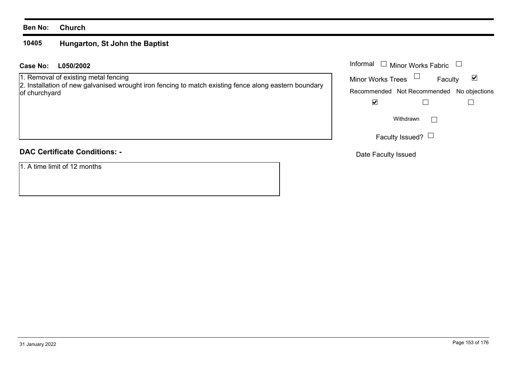#### **Ben No: Church**

#### **10405Hungarton, St John the Baptist**

#### **L050/2002 Case No:** Informal

1. Removal of existing metal fencing

2. Installation of new galvanised wrought iron fencing to match existing fence along eastern boundary of churchyard

# **DAC Certificate Conditions: -**

1. A time limit of 12 months

| Informal<br>$\Box$ Minor Works Fabric |                                           |   |  |
|---------------------------------------|-------------------------------------------|---|--|
| <b>Minor Works Trees</b>              | Faculty                                   | M |  |
|                                       | Recommended Not Recommended No objections |   |  |
|                                       |                                           |   |  |
|                                       | Withdrawn                                 |   |  |
|                                       | Faculty Issued?                           |   |  |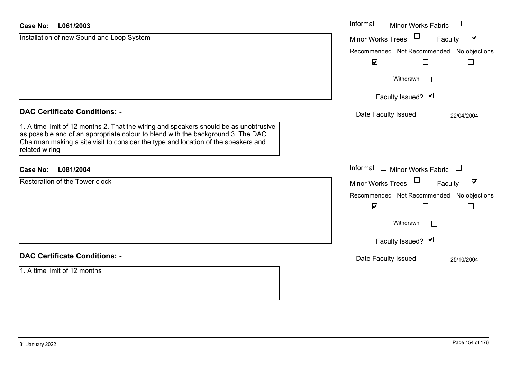#### **L061/2003Case No:**

| <b>Case No:</b><br>L061/2003                                                                                                                                                                                                                                                      | Informal<br>$\overline{\phantom{a}}$<br><b>Minor Works Fabric</b> |
|-----------------------------------------------------------------------------------------------------------------------------------------------------------------------------------------------------------------------------------------------------------------------------------|-------------------------------------------------------------------|
| Installation of new Sound and Loop System                                                                                                                                                                                                                                         | $\blacktriangledown$<br><b>Minor Works Trees</b><br>Faculty       |
|                                                                                                                                                                                                                                                                                   | Recommended Not Recommended<br>No objections                      |
|                                                                                                                                                                                                                                                                                   | $\blacktriangledown$                                              |
|                                                                                                                                                                                                                                                                                   | Withdrawn                                                         |
|                                                                                                                                                                                                                                                                                   | Faculty Issued? Ø                                                 |
| <b>DAC Certificate Conditions: -</b>                                                                                                                                                                                                                                              | Date Faculty Issued<br>22/04/2004                                 |
| 1. A time limit of 12 months 2. That the wiring and speakers should be as unobtrusive<br>as possible and of an appropriate colour to blend with the background 3. The DAC<br>Chairman making a site visit to consider the type and location of the speakers and<br>related wiring |                                                                   |
| L081/2004<br><b>Case No:</b>                                                                                                                                                                                                                                                      | Informal<br>$\Box$ Minor Works Fabric<br>$\overline{\phantom{a}}$ |
| Restoration of the Tower clock                                                                                                                                                                                                                                                    | $\blacktriangledown$<br><b>Minor Works Trees</b><br>Faculty       |
|                                                                                                                                                                                                                                                                                   | Recommended Not Recommended<br>No objections                      |
|                                                                                                                                                                                                                                                                                   | $\blacktriangledown$                                              |
|                                                                                                                                                                                                                                                                                   | Withdrawn                                                         |
|                                                                                                                                                                                                                                                                                   | Faculty Issued? Ø                                                 |
| <b>DAC Certificate Conditions: -</b>                                                                                                                                                                                                                                              | Date Faculty Issued<br>25/10/2004                                 |
| 1. A time limit of 12 months                                                                                                                                                                                                                                                      |                                                                   |
|                                                                                                                                                                                                                                                                                   |                                                                   |
|                                                                                                                                                                                                                                                                                   |                                                                   |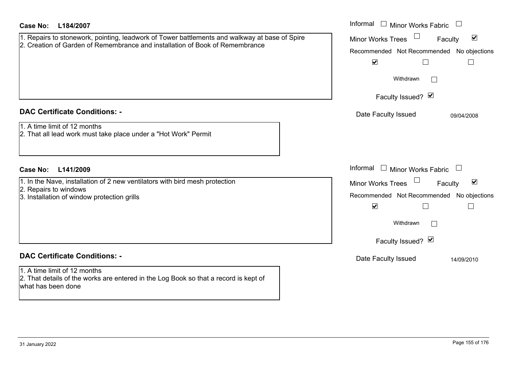| Case No:<br>L184/2007                                                                                                                                                               | Informal<br>$\Box$ Minor Works Fabric                                                                                                                                                                                                        |
|-------------------------------------------------------------------------------------------------------------------------------------------------------------------------------------|----------------------------------------------------------------------------------------------------------------------------------------------------------------------------------------------------------------------------------------------|
| 1. Repairs to stonework, pointing, leadwork of Tower battlements and walkway at base of Spire<br>2. Creation of Garden of Remembrance and installation of Book of Remembrance       | $\blacktriangledown$<br><b>Minor Works Trees</b><br>Faculty<br>Recommended Not Recommended No objections<br>$\blacktriangledown$<br>$\Box$<br>$\mathbb{R}^n$<br>Withdrawn                                                                    |
| <b>DAC Certificate Conditions: -</b><br>1. A time limit of 12 months<br>2. That all lead work must take place under a "Hot Work" Permit                                             | Faculty Issued? Ø<br>Date Faculty Issued<br>09/04/2008                                                                                                                                                                                       |
| L141/2009<br><b>Case No:</b><br>1. In the Nave, installation of 2 new ventilators with bird mesh protection<br>2. Repairs to windows<br>3. Installation of window protection grills | Informal<br>$\Box$ Minor Works Fabric<br>$\blacktriangledown$<br><b>Minor Works Trees</b><br>Faculty<br>Recommended Not Recommended No objections<br>$\blacktriangledown$<br>П<br>$\overline{\phantom{a}}$<br>Withdrawn<br>Faculty Issued? Ø |
| <b>DAC Certificate Conditions: -</b><br>1. A time limit of 12 months<br>2. That details of the works are entered in the Log Book so that a record is kept of<br>what has been done  | Date Faculty Issued<br>14/09/2010                                                                                                                                                                                                            |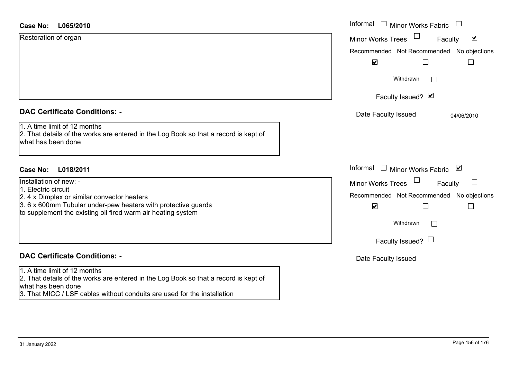| <b>Case No:</b><br>L065/2010                                                                                                               | Informal □ Minor Works Fabric                               |
|--------------------------------------------------------------------------------------------------------------------------------------------|-------------------------------------------------------------|
| Restoration of organ                                                                                                                       | $\blacktriangledown$<br><b>Minor Works Trees</b><br>Faculty |
|                                                                                                                                            | Recommended Not Recommended No objections                   |
|                                                                                                                                            | $\blacktriangledown$                                        |
|                                                                                                                                            | Withdrawn<br>$\mathbf{L}$                                   |
|                                                                                                                                            | Faculty Issued? Ø                                           |
| <b>DAC Certificate Conditions: -</b>                                                                                                       | Date Faculty Issued<br>04/06/2010                           |
| 1. A time limit of 12 months<br>2. That details of the works are entered in the Log Book so that a record is kept of<br>what has been done |                                                             |
| <b>Case No:</b><br>L018/2011                                                                                                               | Informal<br>$\Box$ Minor Works Fabric $\Box$                |
| Installation of new: -                                                                                                                     | <b>Minor Works Trees</b><br>Faculty                         |
| 1. Electric circuit<br>2. 4 x Dimplex or similar convector heaters                                                                         | Recommended Not Recommended No objections                   |
| 3. 6 x 600mm Tubular under-pew heaters with protective guards<br>to supplement the existing oil fired warm air heating system              | $\blacktriangledown$                                        |
|                                                                                                                                            | Withdrawn<br>$\Box$                                         |
|                                                                                                                                            | Faculty Issued? $\Box$                                      |
| <b>DAC Certificate Conditions: -</b>                                                                                                       | Date Faculty Issued                                         |
| 1. A time limit of 12 months                                                                                                               |                                                             |
| 2. That details of the works are entered in the Log Book so that a record is kept of                                                       |                                                             |

what has been done 3. That MICC / LSF cables without conduits are used for the installation

 $\overline{a}$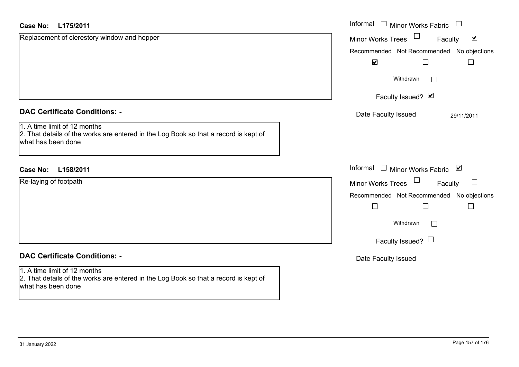| <b>Case No:</b><br>L175/2011                                                                                                               | Informal □ Minor Works Fabric                               |
|--------------------------------------------------------------------------------------------------------------------------------------------|-------------------------------------------------------------|
| Replacement of clerestory window and hopper                                                                                                | $\blacktriangledown$<br><b>Minor Works Trees</b><br>Faculty |
|                                                                                                                                            | Recommended Not Recommended No objections                   |
|                                                                                                                                            | $\blacktriangledown$                                        |
|                                                                                                                                            | Withdrawn<br>$\Box$                                         |
|                                                                                                                                            | Faculty Issued? Ø                                           |
| <b>DAC Certificate Conditions: -</b>                                                                                                       | Date Faculty Issued<br>29/11/2011                           |
| 1. A time limit of 12 months<br>2. That details of the works are entered in the Log Book so that a record is kept of<br>what has been done |                                                             |
| L158/2011<br><b>Case No:</b>                                                                                                               | Informal<br>$\Box$ Minor Works Fabric $\Box$                |
| Re-laying of footpath                                                                                                                      | Faculty<br><b>Minor Works Trees</b><br>$\Box$               |
|                                                                                                                                            | Recommended Not Recommended No objections                   |
|                                                                                                                                            | $\Box$                                                      |
|                                                                                                                                            | Withdrawn<br>$\Box$                                         |
|                                                                                                                                            | Faculty Issued? $\Box$                                      |
| <b>DAC Certificate Conditions: -</b>                                                                                                       | Date Faculty Issued                                         |
| 1. A time limit of 12 months<br>2. That details of the works are entered in the Log Book so that a record is kept of<br>what has been done |                                                             |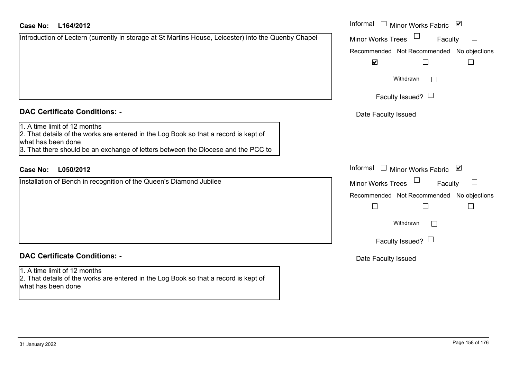#### **L164/2012Case No:** Informal

| Introduction of Lectern (currently in storage at St Martins House, Leicester) into the Quenby Chapel |
|------------------------------------------------------------------------------------------------------|
|                                                                                                      |
|                                                                                                      |
|                                                                                                      |
|                                                                                                      |
|                                                                                                      |
|                                                                                                      |

# **DAC Certificate Conditions: -**

## 1. A time limit of 12 months

2. That details of the works are entered in the Log Book so that a record is kept of what has been done

3. That there should be an exchange of letters between the Diocese and the PCC to

# **L050/2012Case No:** Informal

Installation of Bench in recognition of the Queen's Diamond Jubilee

# **DAC Certificate Conditions: -**

1. A time limit of 12 months 2. That details of the works are entered in the Log Book so that a record is kept of what has been done

| Informal<br>⊻<br>Minor Works Fabric        |
|--------------------------------------------|
| <b>Minor Works Trees</b><br>Faculty        |
| Recommended Not Recommended No objections  |
| $\blacktriangledown$                       |
| Withdrawn                                  |
| Faculty Issued? $\Box$                     |
| Date Faculty Issued                        |
|                                            |
|                                            |
| Informal<br>⊻<br><b>Minor Works Fabric</b> |
| <b>Minor Works Trees</b><br>Faculty        |
| Recommended Not Recommended No objections  |
|                                            |
| Withdrawn                                  |
| Faculty Issued? $\Box$                     |
| Date Faculty Issued                        |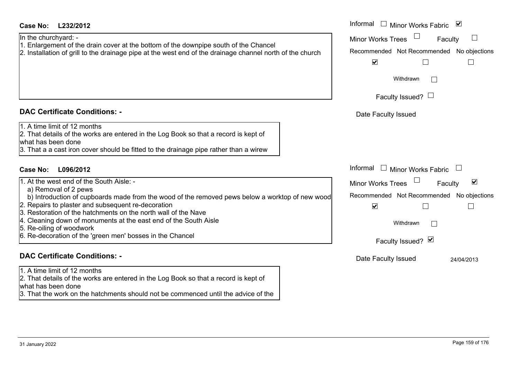what has been done

3. That the work on the hatchments should not be commenced until the advice of the

| <b>Case No:</b><br>L232/2012                                                                                                                                                                                                                    | Informal $\Box$ Minor Works Fabric $\Box$                         |
|-------------------------------------------------------------------------------------------------------------------------------------------------------------------------------------------------------------------------------------------------|-------------------------------------------------------------------|
| In the churchyard: -                                                                                                                                                                                                                            | <b>Minor Works Trees</b><br>$\Box$<br>Faculty                     |
| 1. Enlargement of the drain cover at the bottom of the downpipe south of the Chancel<br>2. Installation of grill to the drainage pipe at the west end of the drainage channel north of the church                                               | Recommended Not Recommended No objections                         |
|                                                                                                                                                                                                                                                 | $\blacktriangledown$                                              |
|                                                                                                                                                                                                                                                 | Withdrawn                                                         |
|                                                                                                                                                                                                                                                 | Faculty Issued? $\Box$                                            |
| <b>DAC Certificate Conditions: -</b>                                                                                                                                                                                                            | Date Faculty Issued                                               |
| 1. A time limit of 12 months<br>2. That details of the works are entered in the Log Book so that a record is kept of<br>what has been done<br>3. That a a cast iron cover should be fitted to the drainage pipe rather than a wirew             |                                                                   |
| <b>Case No:</b><br>L096/2012                                                                                                                                                                                                                    | Informal<br>Minor Works Fabric L<br>$\mathbf{1}$                  |
| 1. At the west end of the South Aisle: -                                                                                                                                                                                                        | $\blacktriangledown$<br><b>Minor Works Trees</b><br>Faculty       |
| a) Removal of 2 pews<br>b) Introduction of cupboards made from the wood of the removed pews below a worktop of new wood<br>2. Repairs to plaster and subsequent re-decoration<br>3. Restoration of the hatchments on the north wall of the Nave | Recommended Not Recommended No objections<br>$\blacktriangledown$ |
| 4. Cleaning down of monuments at the east end of the South Aisle                                                                                                                                                                                | Withdrawn                                                         |
| 5. Re-oiling of woodwork<br>6. Re-decoration of the 'green men' bosses in the Chancel                                                                                                                                                           | Faculty Issued? Ø                                                 |
| <b>DAC Certificate Conditions: -</b>                                                                                                                                                                                                            | Date Faculty Issued<br>24/04/2013                                 |
| 1. A time limit of 12 months<br>2. That details of the works are entered in the Log Book so that a record is kept of                                                                                                                            |                                                                   |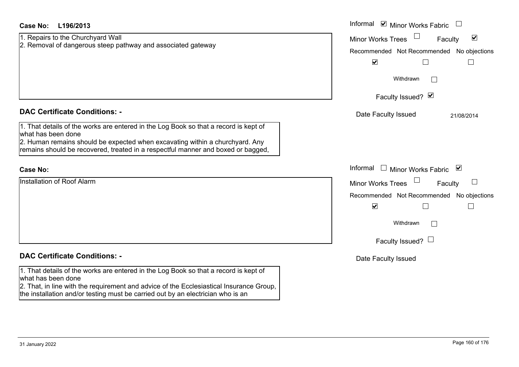| Case No:<br>L196/2013                                                                                      | Informal $\blacksquare$ Minor Works Fabric $\blacksquare$   |
|------------------------------------------------------------------------------------------------------------|-------------------------------------------------------------|
| 1. Repairs to the Churchyard Wall                                                                          | $\blacktriangledown$<br><b>Minor Works Trees</b><br>Faculty |
| 2. Removal of dangerous steep pathway and associated gateway                                               | Recommended Not Recommended No objections                   |
|                                                                                                            | $\blacktriangledown$                                        |
|                                                                                                            | Withdrawn                                                   |
|                                                                                                            | Faculty Issued? Ø                                           |
| <b>DAC Certificate Conditions: -</b>                                                                       | Date Faculty Issued<br>21/08/2014                           |
| 1. That details of the works are entered in the Log Book so that a record is kept of<br>what has been done |                                                             |
| 2. Human remains should be expected when excavating within a churchyard. Any                               |                                                             |
| remains should be recovered, treated in a respectful manner and boxed or bagged,                           |                                                             |
| <b>Case No:</b>                                                                                            | Informal<br>□ Minor Works Fabric $\blacksquare$             |
| Installation of Roof Alarm                                                                                 | <b>Minor Works Trees</b><br>Faculty                         |
|                                                                                                            | Recommended Not Recommended No objections                   |
|                                                                                                            | $\blacktriangledown$<br>$\overline{\phantom{a}}$            |
|                                                                                                            | Withdrawn                                                   |
|                                                                                                            | Faculty Issued? $\Box$                                      |
| <b>DAC Certificate Conditions: -</b>                                                                       | Date Faculty Issued                                         |
| 1. That details of the works are entered in the Log Book so that a record is kept of<br>what has been done |                                                             |
| 2. That, in line with the requirement and advice of the Ecclesiastical Insurance Group,                    |                                                             |
| the installation and/or testing must be carried out by an electrician who is an                            |                                                             |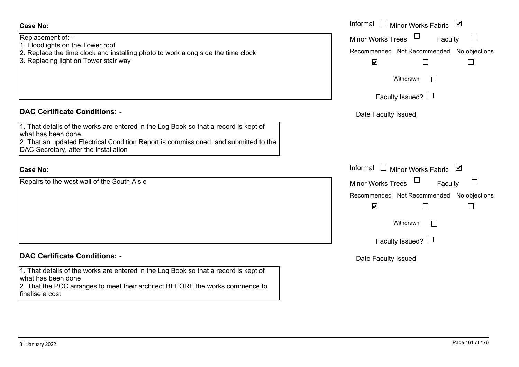Replacement of: -

- 1. Floodlights on the Tower roof
- 2. Replace the time clock and installing photo to work along side the time clock
- 3. Replacing light on Tower stair way

#### **DAC Certificate Conditions: -**

1. That details of the works are entered in the Log Book so that a record is kept of what has been done 2. That an updated Electrical Condition Report is commissioned, and submitted to the DAC Secretary, after the installation

#### **Case No:**

Repairs to the west wall of the South Aisle

## **DAC Certificate Conditions: -**

1. That details of the works are entered in the Log Book so that a record is kept of what has been done

2. That the PCC arranges to meet their architect BEFORE the works commence to finalise a cost

|                                                                                                                                                                                                           | Informal <u>I</u> Minor Works Fabric <b>⊻</b>                                                                                                                             |
|-----------------------------------------------------------------------------------------------------------------------------------------------------------------------------------------------------------|---------------------------------------------------------------------------------------------------------------------------------------------------------------------------|
| nent of: -<br>ghts on the Tower roof<br>ce the time clock and installing photo to work along side the time clock<br>cing light on Tower stair way                                                         | Minor Works Trees<br>Faculty<br>$\begin{array}{c} \hline \end{array}$<br>Recommended Not Recommended No objections<br>$\blacktriangledown$<br>Withdrawn<br>$\mathbb{R}^n$ |
|                                                                                                                                                                                                           | Faculty Issued? $\Box$                                                                                                                                                    |
| rtificate Conditions: -                                                                                                                                                                                   | Date Faculty Issued                                                                                                                                                       |
| etails of the works are entered in the Log Book so that a record is kept of<br>been done<br>n updated Electrical Condition Report is commissioned, and submitted to the<br>retary, after the installation |                                                                                                                                                                           |
|                                                                                                                                                                                                           | Informal $\Box$ Minor Works Fabric $\Box$                                                                                                                                 |
| o the west wall of the South Aisle                                                                                                                                                                        | Minor Works Trees<br>$\Box$<br>Faculty<br>Recommended Not Recommended No objections<br>$\blacktriangledown$<br>Withdrawn<br>$\mathbb{R}^n$<br>Faculty Issued? $\Box$      |
| rtificate Conditions: -                                                                                                                                                                                   | Date Faculty Issued                                                                                                                                                       |
| etails of the works are entered in the Log Book so that a record is kept of<br>heen done                                                                                                                  |                                                                                                                                                                           |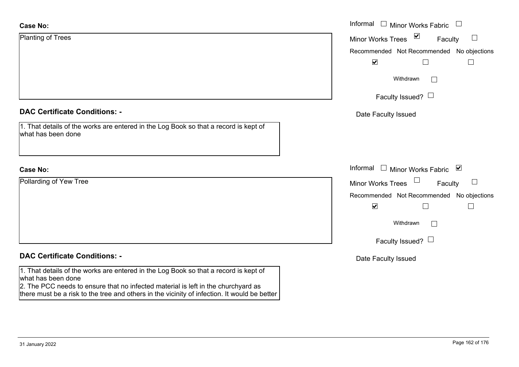| <b>Case No:</b>                                                                                                                                                                                                                                                                                 | Informal $\Box$ Minor Works Fabric $\Box$     |
|-------------------------------------------------------------------------------------------------------------------------------------------------------------------------------------------------------------------------------------------------------------------------------------------------|-----------------------------------------------|
| <b>Planting of Trees</b>                                                                                                                                                                                                                                                                        | $\sum$<br><b>Minor Works Trees</b><br>Faculty |
|                                                                                                                                                                                                                                                                                                 | Recommended Not Recommended No objections     |
|                                                                                                                                                                                                                                                                                                 | $\blacktriangledown$                          |
|                                                                                                                                                                                                                                                                                                 | Withdrawn                                     |
|                                                                                                                                                                                                                                                                                                 | Faculty Issued? $\Box$                        |
| <b>DAC Certificate Conditions: -</b>                                                                                                                                                                                                                                                            | Date Faculty Issued                           |
| 1. That details of the works are entered in the Log Book so that a record is kept of<br>what has been done                                                                                                                                                                                      |                                               |
| <b>Case No:</b>                                                                                                                                                                                                                                                                                 | Informal □ Minor Works Fabric ⊠               |
| Pollarding of Yew Tree                                                                                                                                                                                                                                                                          | Minor Works Trees<br>Faculty                  |
|                                                                                                                                                                                                                                                                                                 | Recommended Not Recommended No objections     |
|                                                                                                                                                                                                                                                                                                 | $\blacktriangledown$<br>П                     |
|                                                                                                                                                                                                                                                                                                 | Withdrawn                                     |
|                                                                                                                                                                                                                                                                                                 | Faculty Issued? $\Box$                        |
| <b>DAC Certificate Conditions: -</b>                                                                                                                                                                                                                                                            | Date Faculty Issued                           |
| 1. That details of the works are entered in the Log Book so that a record is kept of<br>what has been done<br>2. The PCC needs to ensure that no infected material is left in the churchyard as<br>there must be a risk to the tree and others in the vicinity of infection. It would be better |                                               |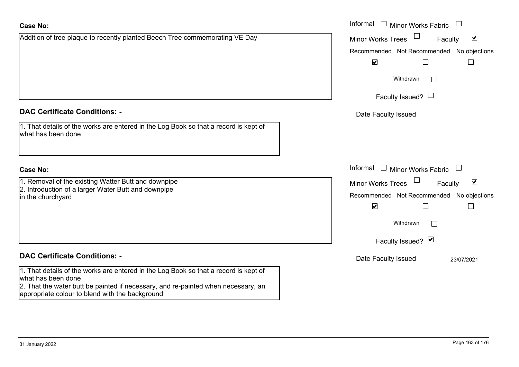| <b>Case No:</b>                                                                                            | Informal $\Box$ Minor Works Fabric $\Box$                   |
|------------------------------------------------------------------------------------------------------------|-------------------------------------------------------------|
| Addition of tree plaque to recently planted Beech Tree commemorating VE Day                                | $\blacktriangledown$<br><b>Minor Works Trees</b><br>Faculty |
|                                                                                                            | Recommended Not Recommended No objections                   |
|                                                                                                            | $\blacktriangledown$                                        |
|                                                                                                            | Withdrawn<br>$\mathbb{R}^n$                                 |
|                                                                                                            | Faculty Issued? $\Box$                                      |
| <b>DAC Certificate Conditions: -</b>                                                                       | Date Faculty Issued                                         |
| 1. That details of the works are entered in the Log Book so that a record is kept of<br>what has been done |                                                             |
| <b>Case No:</b>                                                                                            | Informal $\Box$ Minor Works Fabric $\Box$                   |
| 1. Removal of the existing Watter Butt and downpipe                                                        | $\blacktriangledown$<br><b>Minor Works Trees</b><br>Faculty |
| 2. Introduction of a larger Water Butt and downpipe<br>in the churchyard                                   | Recommended Not Recommended No objections                   |
|                                                                                                            | $\blacktriangledown$                                        |
|                                                                                                            | Withdrawn<br>$\Box$                                         |
|                                                                                                            | Faculty Issued? Ø                                           |
| <b>DAC Certificate Conditions: -</b>                                                                       | Date Faculty Issued<br>23/07/2021                           |
| 1. That details of the works are entered in the Log Book so that a record is kept of                       |                                                             |
| what has been done<br>2. That the water butt be painted if necessary, and re-painted when necessary, an    |                                                             |
| appropriate colour to blend with the background                                                            |                                                             |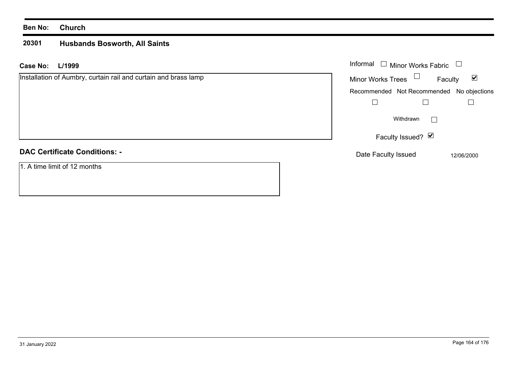#### **Ben No: Church**

#### **20301 Husbands Bosworth, All Saints**

| L/1999<br>Case No:                                              | Informal $\Box$ Minor Works Fabric                          |
|-----------------------------------------------------------------|-------------------------------------------------------------|
| Installation of Aumbry, curtain rail and curtain and brass lamp | Minor Works Trees $\Box$<br>$\blacktriangledown$<br>Faculty |
|                                                                 | Recommended Not Recommended No objections                   |
|                                                                 |                                                             |
|                                                                 | Withdrawn                                                   |
|                                                                 | Faculty Issued? ⊠                                           |
| <b>DAC Certificate Conditions: -</b>                            | Date Faculty Issued<br>12/06/2000                           |
| 1. A time limit of 12 months                                    |                                                             |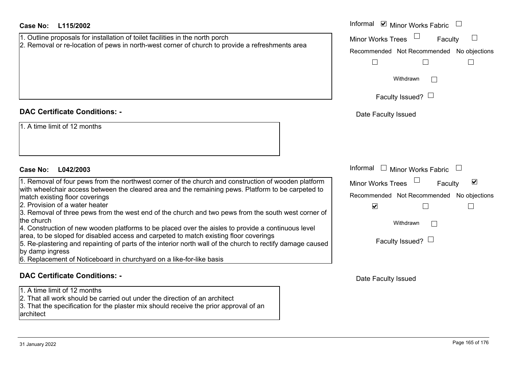| Case No:<br>L115/2002                                                                                                                                                                                                  | Informal <b>☑</b> Minor Works Fabric                 |
|------------------------------------------------------------------------------------------------------------------------------------------------------------------------------------------------------------------------|------------------------------------------------------|
| 1. Outline proposals for installation of toilet facilities in the north porch                                                                                                                                          | Minor Works Trees<br>Faculty                         |
| 2. Removal or re-location of pews in north-west corner of church to provide a refreshments area                                                                                                                        | Recommended Not Recommended No objections            |
|                                                                                                                                                                                                                        | $\Box$<br>$\mathbf{L}$                               |
|                                                                                                                                                                                                                        |                                                      |
|                                                                                                                                                                                                                        | Withdrawn                                            |
|                                                                                                                                                                                                                        | Faculty Issued? $\Box$                               |
|                                                                                                                                                                                                                        |                                                      |
| <b>DAC Certificate Conditions: -</b>                                                                                                                                                                                   | Date Faculty Issued                                  |
| 1. A time limit of 12 months                                                                                                                                                                                           |                                                      |
| <b>Case No:</b><br>L042/2003                                                                                                                                                                                           | Informal $\Box$ Minor Works Fabric                   |
| 1. Removal of four pews from the northwest corner of the church and construction of wooden platform                                                                                                                    | $\blacktriangledown$<br>Minor Works Trees<br>Faculty |
| with wheelchair access between the cleared area and the remaining pews. Platform to be carpeted to                                                                                                                     | Recommended Not Recommended No objections            |
| match existing floor coverings<br>2. Provision of a water heater                                                                                                                                                       |                                                      |
| 3. Removal of three pews from the west end of the church and two pews from the south west corner of                                                                                                                    | $\blacktriangledown$<br>$\Box$<br>$\mathbb{L}$       |
| the church                                                                                                                                                                                                             | Withdrawn                                            |
| 4. Construction of new wooden platforms to be placed over the aisles to provide a continuous level                                                                                                                     |                                                      |
| area, to be sloped for disabled access and carpeted to match existing floor coverings<br>5. Re-plastering and repainting of parts of the interior north wall of the church to rectify damage caused<br>by damp ingress | Faculty Issued? $\Box$                               |
| 6. Replacement of Noticeboard in churchyard on a like-for-like basis                                                                                                                                                   |                                                      |
| <b>DAC Certificate Conditions: -</b>                                                                                                                                                                                   | Date Faculty Issued                                  |

architect

1. A time limit of 12 months

2. That all work should be carried out under the direction of an architect

3. That the specification for the plaster mix should receive the prior approval of an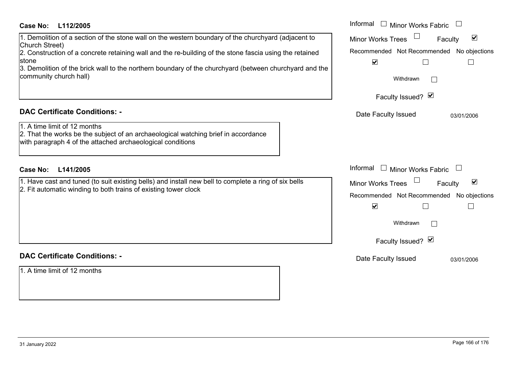#### **L112/2005Case No:** Informal

#### **DAC Certificate Conditions: -**

### **DAC Certificate Conditions: -**

1. A time limit of 12 months

| <b>Case No:</b><br>L112/2005                                                                                                                                                                                                                                                                                                                                                  | Informal $\Box$ Minor Works Fabric                                                                                                                                 |
|-------------------------------------------------------------------------------------------------------------------------------------------------------------------------------------------------------------------------------------------------------------------------------------------------------------------------------------------------------------------------------|--------------------------------------------------------------------------------------------------------------------------------------------------------------------|
| 1. Demolition of a section of the stone wall on the western boundary of the churchyard (adjacent to<br>Church Street)<br>2. Construction of a concrete retaining wall and the re-building of the stone fascia using the retained<br>stone<br>3. Demolition of the brick wall to the northern boundary of the churchyard (between churchyard and the<br>community church hall) | $\blacktriangledown$<br><b>Minor Works Trees</b><br>Faculty<br>Recommended Not Recommended No objections<br>$\blacktriangledown$<br>Withdrawn<br>Faculty Issued? Ø |
| <b>DAC Certificate Conditions: -</b><br>1. A time limit of 12 months<br>2. That the works be the subject of an archaeological watching brief in accordance<br>with paragraph 4 of the attached archaeological conditions                                                                                                                                                      | Date Faculty Issued<br>03/01/2006                                                                                                                                  |
| <b>Case No:</b><br>L141/2005                                                                                                                                                                                                                                                                                                                                                  | Informal $\Box$ Minor Works Fabric $\Box$                                                                                                                          |
| 1. Have cast and tuned (to suit existing bells) and install new bell to complete a ring of six bells<br>2. Fit automatic winding to both trains of existing tower clock                                                                                                                                                                                                       | $\blacktriangledown$<br><b>Minor Works Trees</b><br>Faculty<br>Recommended Not Recommended No objections<br>$\blacktriangledown$<br>Withdrawn                      |
|                                                                                                                                                                                                                                                                                                                                                                               | Faculty Issued? Ø                                                                                                                                                  |
| <b>DAC Certificate Conditions: -</b>                                                                                                                                                                                                                                                                                                                                          | Date Faculty Issued<br>03/01/2006                                                                                                                                  |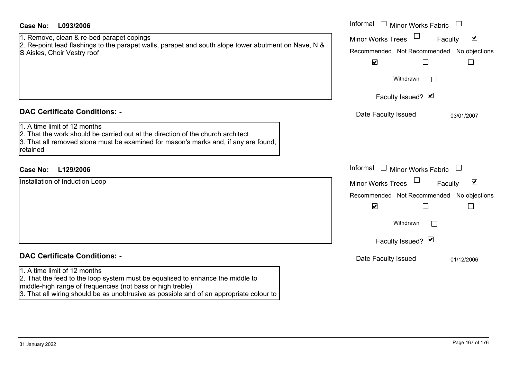| <b>Case No:</b><br>L093/2006                                                                                                                                                                                                                                            | Informal $\Box$ Minor Works Fabric $\Box$                                                                                                                                          |
|-------------------------------------------------------------------------------------------------------------------------------------------------------------------------------------------------------------------------------------------------------------------------|------------------------------------------------------------------------------------------------------------------------------------------------------------------------------------|
| 1. Remove, clean & re-bed parapet copings<br>2. Re-point lead flashings to the parapet walls, parapet and south slope tower abutment on Nave, N &<br>S Aisles, Choir Vestry roof                                                                                        | $\blacktriangledown$<br><b>Minor Works Trees</b><br>Faculty<br>Recommended Not Recommended No objections<br>$\blacktriangledown$<br>$\mathsf{L}$                                   |
|                                                                                                                                                                                                                                                                         | Withdrawn<br>Faculty Issued? Ø                                                                                                                                                     |
| <b>DAC Certificate Conditions: -</b><br>1. A time limit of 12 months<br>2. That the work should be carried out at the direction of the church architect<br>3. That all removed stone must be examined for mason's marks and, if any are found,<br>retained              | Date Faculty Issued<br>03/01/2007                                                                                                                                                  |
| <b>Case No:</b><br>L129/2006                                                                                                                                                                                                                                            | Informal<br>□ Minor Works Fabric □                                                                                                                                                 |
| Installation of Induction Loop                                                                                                                                                                                                                                          | $\blacktriangledown$<br><b>Minor Works Trees</b><br>Faculty<br>Recommended Not Recommended No objections<br>$\blacktriangledown$<br>$\mathsf{L}$<br>Withdrawn<br>Faculty Issued? Ø |
| <b>DAC Certificate Conditions: -</b>                                                                                                                                                                                                                                    | Date Faculty Issued<br>01/12/2006                                                                                                                                                  |
| 1. A time limit of 12 months<br>2. That the feed to the loop system must be equalised to enhance the middle to<br>middle-high range of frequencies (not bass or high treble)<br>3. That all wiring should be as unobtrusive as possible and of an appropriate colour to |                                                                                                                                                                                    |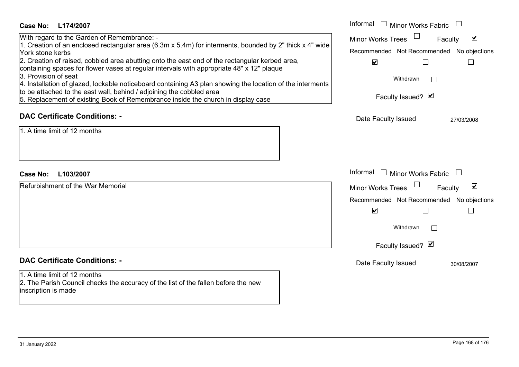| Case No:<br>L174/2007                                                                                                                                                                                                                                                                                                                                                                                                                                                                                                                                                                                                                                                      | Informal □ Minor Works Fabric                                                                                                                                                |
|----------------------------------------------------------------------------------------------------------------------------------------------------------------------------------------------------------------------------------------------------------------------------------------------------------------------------------------------------------------------------------------------------------------------------------------------------------------------------------------------------------------------------------------------------------------------------------------------------------------------------------------------------------------------------|------------------------------------------------------------------------------------------------------------------------------------------------------------------------------|
| With regard to the Garden of Remembrance: -<br>1. Creation of an enclosed rectangular area (6.3m x 5.4m) for interments, bounded by 2" thick x 4" wide<br>York stone kerbs<br>2. Creation of raised, cobbled area abutting onto the east end of the rectangular kerbed area,<br>containing spaces for flower vases at regular intervals with appropriate 48" x 12" plaque<br>3. Provision of seat<br>4. Installation of glazed, lockable noticeboard containing A3 plan showing the location of the interments<br>to be attached to the east wall, behind / adjoining the cobbled area<br>5. Replacement of existing Book of Remembrance inside the church in display case | $\blacktriangledown$<br><b>Minor Works Trees</b><br>Faculty<br>Recommended Not Recommended No objections<br>$\blacktriangledown$<br>Withdrawn<br>Faculty Issued? Ø           |
| <b>DAC Certificate Conditions: -</b><br>1. A time limit of 12 months                                                                                                                                                                                                                                                                                                                                                                                                                                                                                                                                                                                                       | Date Faculty Issued<br>27/03/2008                                                                                                                                            |
| <b>Case No:</b><br>L103/2007                                                                                                                                                                                                                                                                                                                                                                                                                                                                                                                                                                                                                                               | Informal<br>$\Box$ Minor Works Fabric                                                                                                                                        |
| Refurbishment of the War Memorial                                                                                                                                                                                                                                                                                                                                                                                                                                                                                                                                                                                                                                          | $\blacktriangledown$<br><b>Minor Works Trees</b><br>Faculty<br>Recommended Not Recommended No objections<br>$\blacktriangledown$<br>Withdrawn<br>$\sim$<br>Faculty Issued? Ø |
| <b>DAC Certificate Conditions: -</b>                                                                                                                                                                                                                                                                                                                                                                                                                                                                                                                                                                                                                                       | Date Faculty Issued<br>30/08/2007                                                                                                                                            |
| 1. A time limit of 12 months<br>2. The Parish Council checks the accuracy of the list of the fallen before the new<br>inscription is made                                                                                                                                                                                                                                                                                                                                                                                                                                                                                                                                  |                                                                                                                                                                              |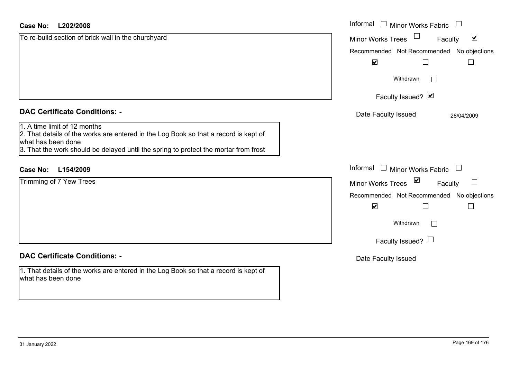| <b>Case No:</b><br>L202/2008                                                                                                                                                                                                       | Informal<br><b>Minor Works Fabric</b>                       |
|------------------------------------------------------------------------------------------------------------------------------------------------------------------------------------------------------------------------------------|-------------------------------------------------------------|
| To re-build section of brick wall in the churchyard                                                                                                                                                                                | $\blacktriangledown$<br><b>Minor Works Trees</b><br>Faculty |
|                                                                                                                                                                                                                                    | Recommended Not Recommended<br>No objections                |
|                                                                                                                                                                                                                                    | $\blacktriangledown$<br>L                                   |
|                                                                                                                                                                                                                                    | Withdrawn<br>$\vert \hspace{.06cm} \vert$                   |
|                                                                                                                                                                                                                                    | Faculty Issued? Ø                                           |
| <b>DAC Certificate Conditions: -</b>                                                                                                                                                                                               | Date Faculty Issued<br>28/04/2009                           |
| 1. A time limit of 12 months<br>2. That details of the works are entered in the Log Book so that a record is kept of<br>what has been done<br>3. That the work should be delayed until the spring to protect the mortar from frost |                                                             |
| L154/2009<br><b>Case No:</b>                                                                                                                                                                                                       | Informal<br><b>Minor Works Fabric</b>                       |
| Trimming of 7 Yew Trees                                                                                                                                                                                                            | $\sum$<br>$\sqcup$<br><b>Minor Works Trees</b><br>Faculty   |
|                                                                                                                                                                                                                                    | Recommended Not Recommended No objections                   |
|                                                                                                                                                                                                                                    | $\blacktriangledown$<br>$\Box$                              |
|                                                                                                                                                                                                                                    | Withdrawn<br>$\mathbf{I}$                                   |
|                                                                                                                                                                                                                                    | Faculty Issued? $\Box$                                      |
| <b>DAC Certificate Conditions: -</b>                                                                                                                                                                                               | Date Faculty Issued                                         |
| 1. That details of the works are entered in the Log Book so that a record is kept of<br>what has been done                                                                                                                         |                                                             |

ш.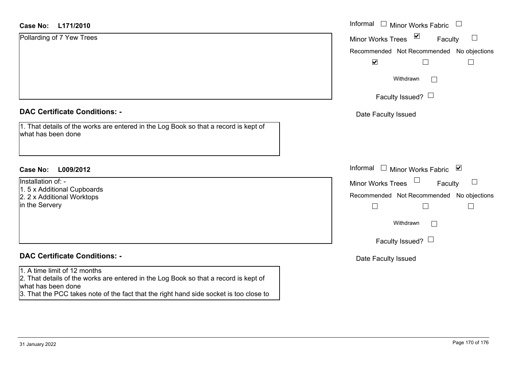| <b>Case No:</b><br>L171/2010                                                                               | Informal $\Box$<br><b>Minor Works Fabric</b>                |
|------------------------------------------------------------------------------------------------------------|-------------------------------------------------------------|
| Pollarding of 7 Yew Trees                                                                                  | $\triangledown$<br><b>Minor Works Trees</b><br>Faculty<br>ப |
|                                                                                                            | Recommended Not Recommended No objections                   |
|                                                                                                            | $\blacktriangledown$                                        |
|                                                                                                            | Withdrawn<br>$\perp$                                        |
|                                                                                                            | Faculty Issued? $\Box$                                      |
| <b>DAC Certificate Conditions: -</b>                                                                       | Date Faculty Issued                                         |
| 1. That details of the works are entered in the Log Book so that a record is kept of<br>what has been done |                                                             |
| <b>Case No:</b><br>L009/2012                                                                               | Informal $\Box$ Minor Works Fabric<br>⊻                     |
| Installation of: -<br>1.5 x Additional Cupboards                                                           | Faculty<br><b>Minor Works Trees</b>                         |
| 2. 2 x Additional Worktops                                                                                 | Recommended Not Recommended No objections                   |
| in the Servery                                                                                             | $\Box$<br>$\Box$                                            |
|                                                                                                            | Withdrawn<br>$\perp$                                        |
|                                                                                                            | Faculty Issued? $\Box$                                      |
| <b>DAC Certificate Conditions: -</b>                                                                       | Date Faculty Issued                                         |
| 1. A time limit of 12 months                                                                               |                                                             |
| 2. That details of the works are entered in the Log Book so that a record is kept of<br>what has been done |                                                             |
| 3. That the PCC takes note of the fact that the right hand side socket is too close to                     |                                                             |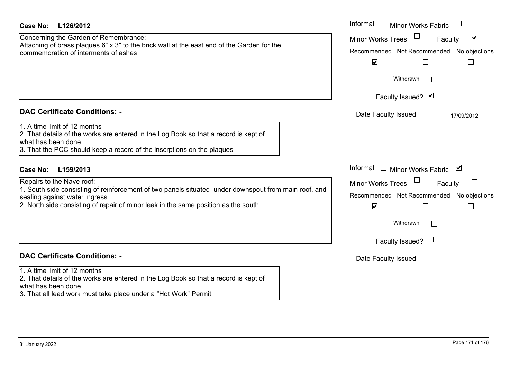| Case No:<br>L126/2012                                                                                                                                                                                                | Informal<br>$\Box$ Minor Works Fabric                           |
|----------------------------------------------------------------------------------------------------------------------------------------------------------------------------------------------------------------------|-----------------------------------------------------------------|
| Concerning the Garden of Remembrance: -                                                                                                                                                                              | $\blacktriangledown$<br><b>Minor Works Trees</b><br>Faculty     |
| Attaching of brass plaques 6" x 3" to the brick wall at the east end of the Garden for the<br>commemoration of interments of ashes                                                                                   | Recommended Not Recommended No objections                       |
|                                                                                                                                                                                                                      | $\blacktriangledown$                                            |
|                                                                                                                                                                                                                      | Withdrawn<br>$\vert \ \ \vert$                                  |
|                                                                                                                                                                                                                      | Faculty Issued? Ø                                               |
| <b>DAC Certificate Conditions: -</b>                                                                                                                                                                                 | Date Faculty Issued<br>17/09/2012                               |
| 1. A time limit of 12 months<br>2. That details of the works are entered in the Log Book so that a record is kept of<br>what has been done<br>3. That the PCC should keep a record of the inscrptions on the plaques |                                                                 |
| L159/2013<br>Case No:                                                                                                                                                                                                | Informal<br>□ Minor Works Fabric $\vert \mathbf{v} \vert$       |
| Repairs to the Nave roof: -                                                                                                                                                                                          | $\overline{\phantom{a}}$<br>Faculty<br><b>Minor Works Trees</b> |
| 1. South side consisting of reinforcement of two panels situated under downspout from main roof, and<br>sealing against water ingress                                                                                | Recommended Not Recommended No objections                       |
| 2. North side consisting of repair of minor leak in the same position as the south                                                                                                                                   | $\blacktriangledown$                                            |
|                                                                                                                                                                                                                      | Withdrawn<br>$\Box$                                             |
|                                                                                                                                                                                                                      | Faculty Issued? $\Box$                                          |
| <b>DAC Certificate Conditions: -</b>                                                                                                                                                                                 | Date Faculty Issued                                             |
| 1. A time limit of 12 months<br>2. That details of the works are entered in the Log Book so that a record is kept of<br>what has been done<br>3. That all lead work must take place under a "Hot Work" Permit        |                                                                 |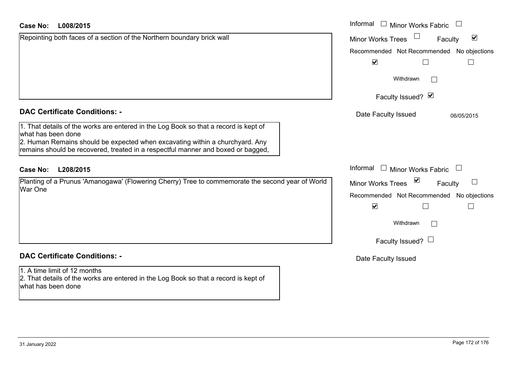| Case No:<br>L008/2015                                                                                                                                            | Informal<br>$\Box$ Minor Works Fabric                   |
|------------------------------------------------------------------------------------------------------------------------------------------------------------------|---------------------------------------------------------|
| Repointing both faces of a section of the Northern boundary brick wall                                                                                           | $\blacktriangledown$<br>Minor Works Trees<br>Faculty    |
|                                                                                                                                                                  | Recommended Not Recommended No objections               |
|                                                                                                                                                                  | $\blacktriangledown$                                    |
|                                                                                                                                                                  | Withdrawn<br>$\mathbf{I}$                               |
|                                                                                                                                                                  | Faculty Issued? Ø                                       |
| <b>DAC Certificate Conditions: -</b>                                                                                                                             | Date Faculty Issued<br>06/05/2015                       |
| 1. That details of the works are entered in the Log Book so that a record is kept of<br>what has been done                                                       |                                                         |
| 2. Human Remains should be expected when excavating within a churchyard. Any<br>remains should be recovered, treated in a respectful manner and boxed or bagged, |                                                         |
| <b>Case No:</b><br>L208/2015                                                                                                                                     | Informal<br>$\Box$ Minor Works Fabric                   |
| Planting of a Prunus 'Amanogawa' (Flowering Cherry) Tree to commemorate the second year of World<br><b>War One</b>                                               | $\sum$<br>$\Box$<br><b>Minor Works Trees</b><br>Faculty |
|                                                                                                                                                                  | Recommended Not Recommended No objections               |
|                                                                                                                                                                  | $\blacktriangledown$                                    |
|                                                                                                                                                                  | Withdrawn                                               |
|                                                                                                                                                                  | Faculty Issued? $\Box$                                  |
| <b>DAC Certificate Conditions: -</b>                                                                                                                             | Date Faculty Issued                                     |
| 1. A time limit of 12 months<br>2. That details of the works are entered in the Log Book so that a record is kept of<br>what has been done                       |                                                         |
|                                                                                                                                                                  |                                                         |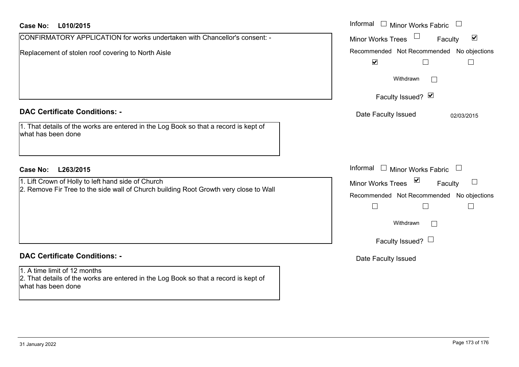| Case No:<br>L010/2015                                                                                                                       | Informal<br>$\Box$ Minor Works Fabric                                                                                  |
|---------------------------------------------------------------------------------------------------------------------------------------------|------------------------------------------------------------------------------------------------------------------------|
| CONFIRMATORY APPLICATION for works undertaken with Chancellor's consent: -                                                                  | $\blacktriangledown$<br><b>Minor Works Trees</b><br>Faculty                                                            |
| Replacement of stolen roof covering to North Aisle                                                                                          | Recommended Not Recommended No objections<br>$\blacktriangledown$                                                      |
|                                                                                                                                             | Withdrawn                                                                                                              |
|                                                                                                                                             | Faculty Issued? Ø                                                                                                      |
| <b>DAC Certificate Conditions: -</b>                                                                                                        | Date Faculty Issued<br>02/03/2015                                                                                      |
| 1. That details of the works are entered in the Log Book so that a record is kept of<br>what has been done                                  |                                                                                                                        |
| <b>Case No:</b><br>L263/2015                                                                                                                | Informal<br>$\Box$ Minor Works Fabric                                                                                  |
| 1. Lift Crown of Holly to left hand side of Church<br>2. Remove Fir Tree to the side wall of Church building Root Growth very close to Wall | $\sum$<br><b>Minor Works Trees</b><br>Faculty<br>Recommended Not Recommended No objections<br>$\Box$<br>Г<br>Withdrawn |
| <b>DAC Certificate Conditions: -</b>                                                                                                        | Faculty Issued? $\Box$<br>Date Faculty Issued                                                                          |
| 1. A time limit of 12 months<br>2. That details of the works are entered in the Log Book so that a record is kept of<br>what has been done  |                                                                                                                        |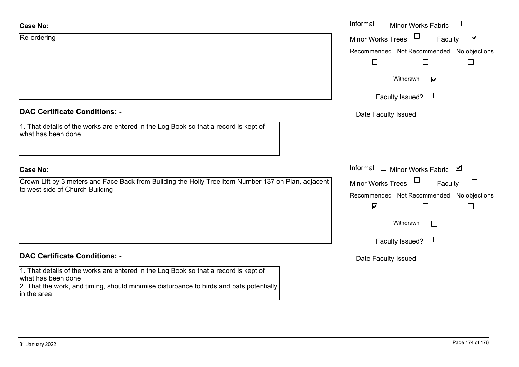| <b>Case No:</b>                                                                                                                                                                                                      | Informal □ Minor Works Fabric                                            |
|----------------------------------------------------------------------------------------------------------------------------------------------------------------------------------------------------------------------|--------------------------------------------------------------------------|
| Re-ordering                                                                                                                                                                                                          | $\blacktriangledown$<br><b>Minor Works Trees</b><br>Faculty              |
|                                                                                                                                                                                                                      | Recommended Not Recommended No objections<br>$\vert \ \ \vert$<br>$\Box$ |
|                                                                                                                                                                                                                      | Withdrawn<br>$\overline{\mathsf{v}}$                                     |
|                                                                                                                                                                                                                      | Faculty Issued? $\Box$                                                   |
| <b>DAC Certificate Conditions: -</b>                                                                                                                                                                                 | Date Faculty Issued                                                      |
| 1. That details of the works are entered in the Log Book so that a record is kept of<br>what has been done                                                                                                           |                                                                          |
| <b>Case No:</b>                                                                                                                                                                                                      | Informal $\Box$ Minor Works Fabric $\Box$                                |
| Crown Lift by 3 meters and Face Back from Building the Holly Tree Item Number 137 on Plan, adjacent                                                                                                                  | Minor Works Trees<br>$\Box$<br>Faculty                                   |
| to west side of Church Building                                                                                                                                                                                      | Recommended Not Recommended No objections                                |
|                                                                                                                                                                                                                      | $\blacktriangledown$                                                     |
|                                                                                                                                                                                                                      | Withdrawn<br>$\perp$                                                     |
|                                                                                                                                                                                                                      | Faculty Issued? $\Box$                                                   |
| <b>DAC Certificate Conditions: -</b>                                                                                                                                                                                 | Date Faculty Issued                                                      |
| 1. That details of the works are entered in the Log Book so that a record is kept of<br>what has been done<br>2. That the work, and timing, should minimise disturbance to birds and bats potentially<br>in the area |                                                                          |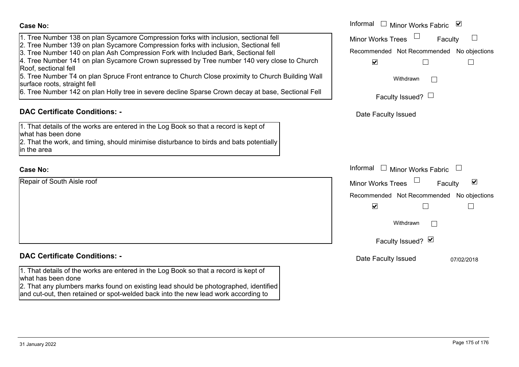| <b>Case No:</b>                                                                                                                                                                                                                                                                                                                                                                                                                                                                                                                | Informal □ Minor Works Fabric ⊠                                                                                                                         |
|--------------------------------------------------------------------------------------------------------------------------------------------------------------------------------------------------------------------------------------------------------------------------------------------------------------------------------------------------------------------------------------------------------------------------------------------------------------------------------------------------------------------------------|---------------------------------------------------------------------------------------------------------------------------------------------------------|
| 1. Tree Number 138 on plan Sycamore Compression forks with inclusion, sectional fell<br>2. Tree Number 139 on plan Sycamore Compression forks with inclusion, Sectional fell<br>3. Tree Number 140 on plan Ash Compression Fork with Included Bark, Sectional fell<br>4. Tree Number 141 on plan Sycamore Crown supressed by Tree number 140 very close to Church<br>Roof, sectional fell<br>5. Tree Number T4 on plan Spruce Front entrance to Church Close proximity to Church Building Wall<br>surface roots, straight fell | <b>Minor Works Trees</b><br>Faculty<br>Recommended Not Recommended No objections<br>$\blacktriangledown$<br>Withdrawn                                   |
| 6. Tree Number 142 on plan Holly tree in severe decline Sparse Crown decay at base, Sectional Fell                                                                                                                                                                                                                                                                                                                                                                                                                             | Faculty Issued? $\Box$                                                                                                                                  |
| <b>DAC Certificate Conditions: -</b>                                                                                                                                                                                                                                                                                                                                                                                                                                                                                           | Date Faculty Issued                                                                                                                                     |
| 1. That details of the works are entered in the Log Book so that a record is kept of<br>what has been done<br>2. That the work, and timing, should minimise disturbance to birds and bats potentially<br>in the area                                                                                                                                                                                                                                                                                                           |                                                                                                                                                         |
| <b>Case No:</b>                                                                                                                                                                                                                                                                                                                                                                                                                                                                                                                | Informal<br>Minor Works Fabric                                                                                                                          |
| Repair of South Aisle roof                                                                                                                                                                                                                                                                                                                                                                                                                                                                                                     | $\blacktriangledown$<br><b>Minor Works Trees</b><br>Faculty<br>Recommended Not Recommended No objections<br>$\blacktriangledown$<br>$\Box$<br>Withdrawn |
| <b>DAC Certificate Conditions: -</b>                                                                                                                                                                                                                                                                                                                                                                                                                                                                                           | Faculty Issued? Ø                                                                                                                                       |
| 1. That details of the works are entered in the Log Book so that a record is kept of<br>what has been done<br>[2. That any plumbers marks found on existing lead should be photographed, identified<br>and cut-out, then retained or spot-welded back into the new lead work according to                                                                                                                                                                                                                                      | Date Faculty Issued<br>07/02/2018                                                                                                                       |